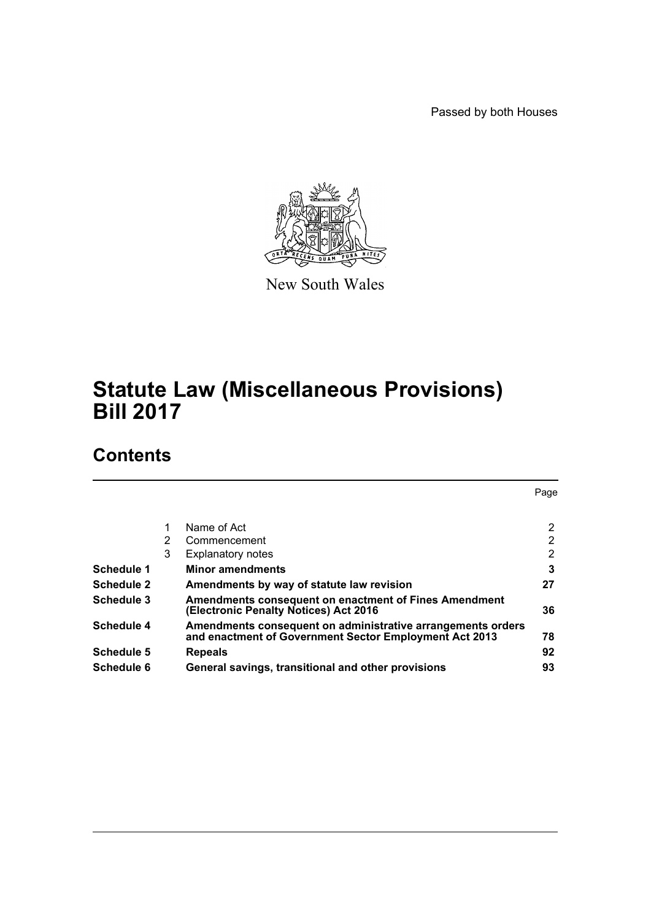Passed by both Houses



New South Wales

# **Statute Law (Miscellaneous Provisions) Bill 2017**

# **Contents**

|                   |   |                                                                                                                       | Page           |
|-------------------|---|-----------------------------------------------------------------------------------------------------------------------|----------------|
|                   |   |                                                                                                                       |                |
|                   |   | Name of Act                                                                                                           | 2              |
|                   | 2 | Commencement                                                                                                          | $\overline{2}$ |
|                   | 3 | <b>Explanatory notes</b>                                                                                              | 2              |
| Schedule 1        |   | <b>Minor amendments</b>                                                                                               | 3              |
| <b>Schedule 2</b> |   | Amendments by way of statute law revision                                                                             | 27             |
| Schedule 3        |   | <b>Amendments consequent on enactment of Fines Amendment</b><br>(Electronic Penalty Notices) Act 2016                 | 36             |
| Schedule 4        |   | Amendments consequent on administrative arrangements orders<br>and enactment of Government Sector Employment Act 2013 | 78             |
| Schedule 5        |   | <b>Repeals</b>                                                                                                        | 92             |
| Schedule 6        |   | General savings, transitional and other provisions                                                                    | 93             |
|                   |   |                                                                                                                       |                |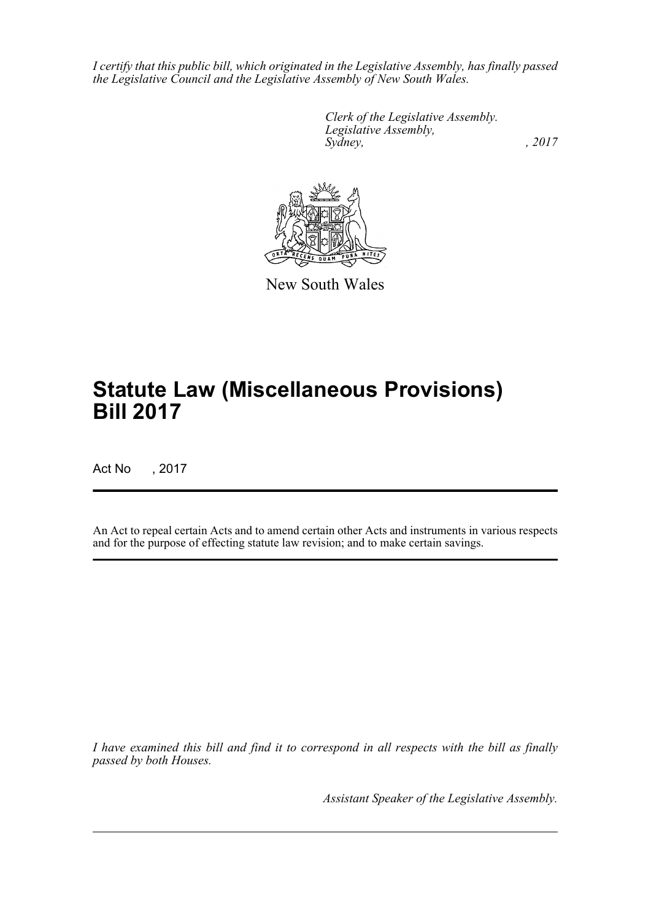*I certify that this public bill, which originated in the Legislative Assembly, has finally passed the Legislative Council and the Legislative Assembly of New South Wales.*

> *Clerk of the Legislative Assembly. Legislative Assembly, Sydney,* , 2017



New South Wales

# **Statute Law (Miscellaneous Provisions) Bill 2017**

Act No , 2017

An Act to repeal certain Acts and to amend certain other Acts and instruments in various respects and for the purpose of effecting statute law revision; and to make certain savings.

*I have examined this bill and find it to correspond in all respects with the bill as finally passed by both Houses.*

*Assistant Speaker of the Legislative Assembly.*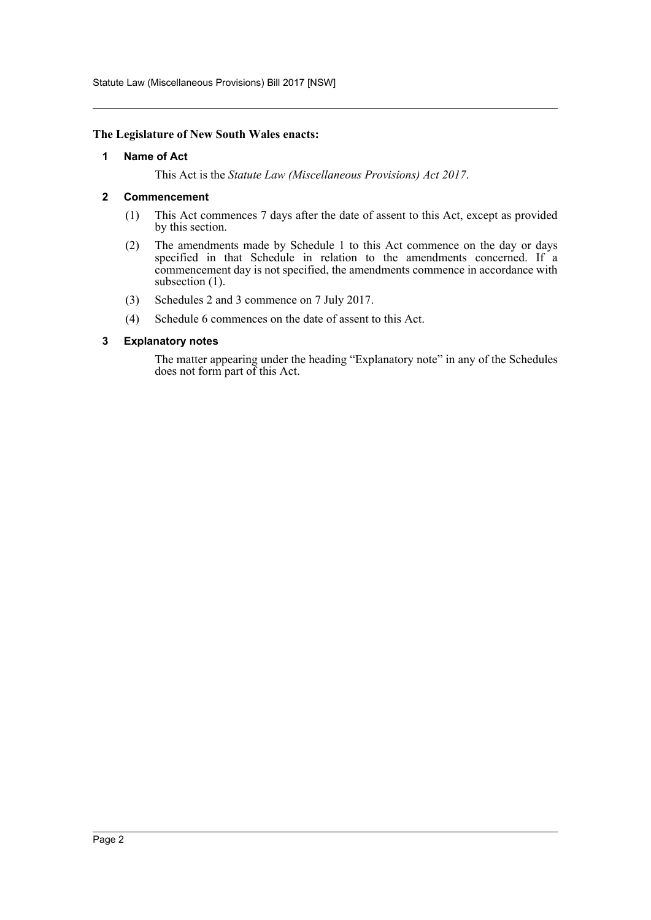Statute Law (Miscellaneous Provisions) Bill 2017 [NSW]

#### <span id="page-2-0"></span>**The Legislature of New South Wales enacts:**

#### **1 Name of Act**

This Act is the *Statute Law (Miscellaneous Provisions) Act 2017*.

#### <span id="page-2-1"></span>**2 Commencement**

- (1) This Act commences 7 days after the date of assent to this Act, except as provided by this section.
- (2) The amendments made by Schedule 1 to this Act commence on the day or days specified in that Schedule in relation to the amendments concerned. If a commencement day is not specified, the amendments commence in accordance with subsection (1).
- (3) Schedules 2 and 3 commence on 7 July 2017.
- (4) Schedule 6 commences on the date of assent to this Act.

#### <span id="page-2-2"></span>**3 Explanatory notes**

The matter appearing under the heading "Explanatory note" in any of the Schedules does not form part of this Act.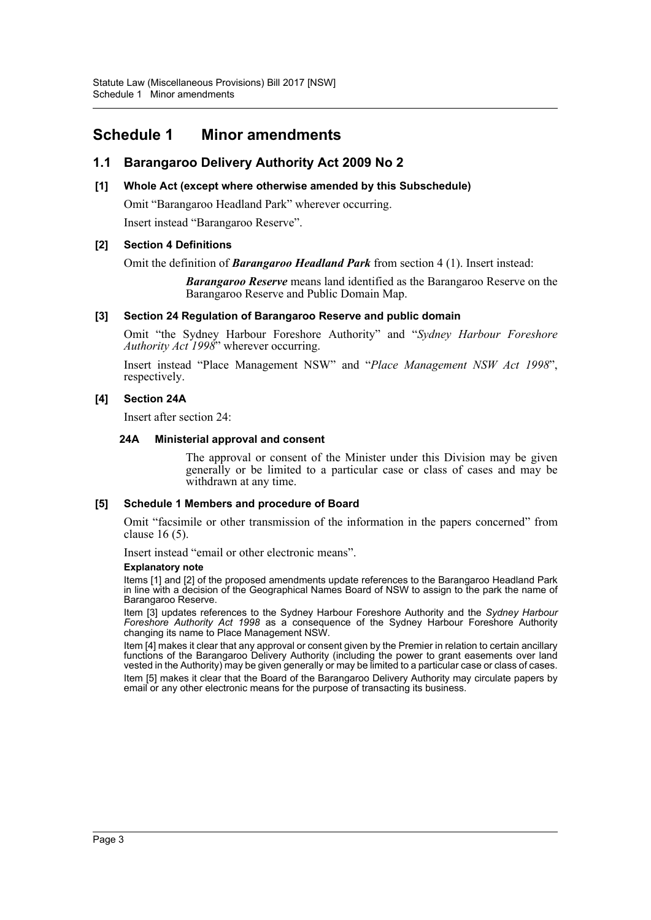## <span id="page-3-0"></span>**Schedule 1 Minor amendments**

## **1.1 Barangaroo Delivery Authority Act 2009 No 2**

#### **[1] Whole Act (except where otherwise amended by this Subschedule)**

Omit "Barangaroo Headland Park" wherever occurring. Insert instead "Barangaroo Reserve".

#### **[2] Section 4 Definitions**

Omit the definition of *Barangaroo Headland Park* from section 4 (1). Insert instead:

*Barangaroo Reserve* means land identified as the Barangaroo Reserve on the Barangaroo Reserve and Public Domain Map.

#### **[3] Section 24 Regulation of Barangaroo Reserve and public domain**

Omit "the Sydney Harbour Foreshore Authority" and "*Sydney Harbour Foreshore Authority Act 1998*" wherever occurring.

Insert instead "Place Management NSW" and "*Place Management NSW Act 1998*", respectively.

#### **[4] Section 24A**

Insert after section 24:

#### **24A Ministerial approval and consent**

The approval or consent of the Minister under this Division may be given generally or be limited to a particular case or class of cases and may be withdrawn at any time.

#### **[5] Schedule 1 Members and procedure of Board**

Omit "facsimile or other transmission of the information in the papers concerned" from clause 16 (5).

Insert instead "email or other electronic means".

#### **Explanatory note**

Items [1] and [2] of the proposed amendments update references to the Barangaroo Headland Park in line with a decision of the Geographical Names Board of NSW to assign to the park the name of Barangaroo Reserve.

Item [3] updates references to the Sydney Harbour Foreshore Authority and the *Sydney Harbour Foreshore Authority Act 1998* as a consequence of the Sydney Harbour Foreshore Authority changing its name to Place Management NSW.

Item [4] makes it clear that any approval or consent given by the Premier in relation to certain ancillary functions of the Barangaroo Delivery Authority (including the power to grant easements over land vested in the Authority) may be given generally or may be limited to a particular case or class of cases.

Item [5] makes it clear that the Board of the Barangaroo Delivery Authority may circulate papers by email or any other electronic means for the purpose of transacting its business.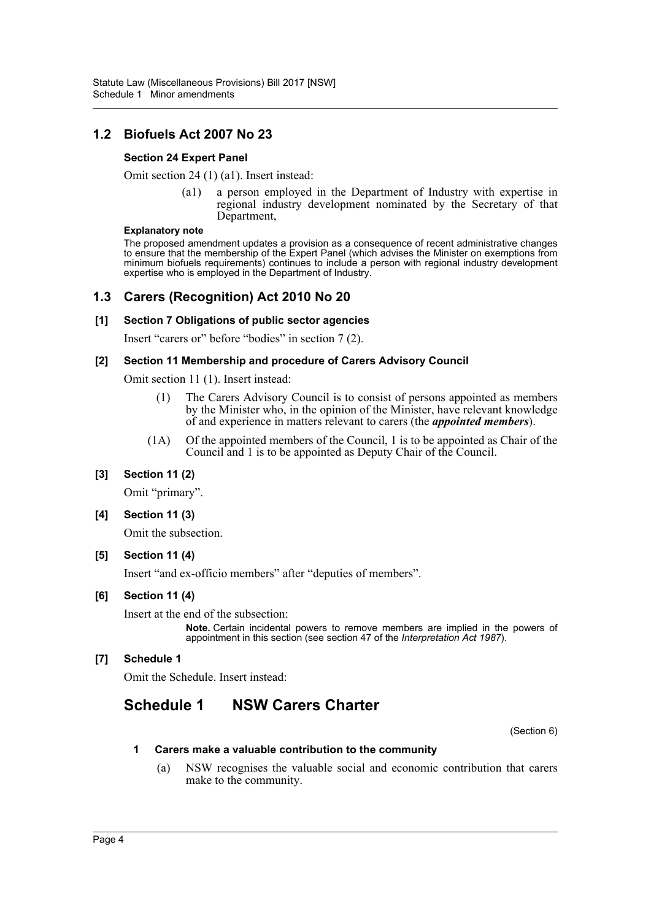## **1.2 Biofuels Act 2007 No 23**

#### **Section 24 Expert Panel**

Omit section 24 (1) (a1). Insert instead:

(a1) a person employed in the Department of Industry with expertise in regional industry development nominated by the Secretary of that Department,

#### **Explanatory note**

The proposed amendment updates a provision as a consequence of recent administrative changes to ensure that the membership of the Expert Panel (which advises the Minister on exemptions from minimum biofuels requirements) continues to include a person with regional industry development expertise who is employed in the Department of Industry.

## **1.3 Carers (Recognition) Act 2010 No 20**

## **[1] Section 7 Obligations of public sector agencies**

Insert "carers or" before "bodies" in section 7 (2).

#### **[2] Section 11 Membership and procedure of Carers Advisory Council**

Omit section 11 (1). Insert instead:

- (1) The Carers Advisory Council is to consist of persons appointed as members by the Minister who, in the opinion of the Minister, have relevant knowledge of and experience in matters relevant to carers (the *appointed members*).
- (1A) Of the appointed members of the Council, 1 is to be appointed as Chair of the Council and 1 is to be appointed as Deputy Chair of the Council.

### **[3] Section 11 (2)**

Omit "primary".

**[4] Section 11 (3)**

Omit the subsection.

#### **[5] Section 11 (4)**

Insert "and ex-officio members" after "deputies of members".

#### **[6] Section 11 (4)**

Insert at the end of the subsection:

**Note.** Certain incidental powers to remove members are implied in the powers of appointment in this section (see section 47 of the *Interpretation Act 1987*).

### **[7] Schedule 1**

Omit the Schedule. Insert instead:

## **Schedule 1 NSW Carers Charter**

(Section 6)

#### **1 Carers make a valuable contribution to the community**

(a) NSW recognises the valuable social and economic contribution that carers make to the community.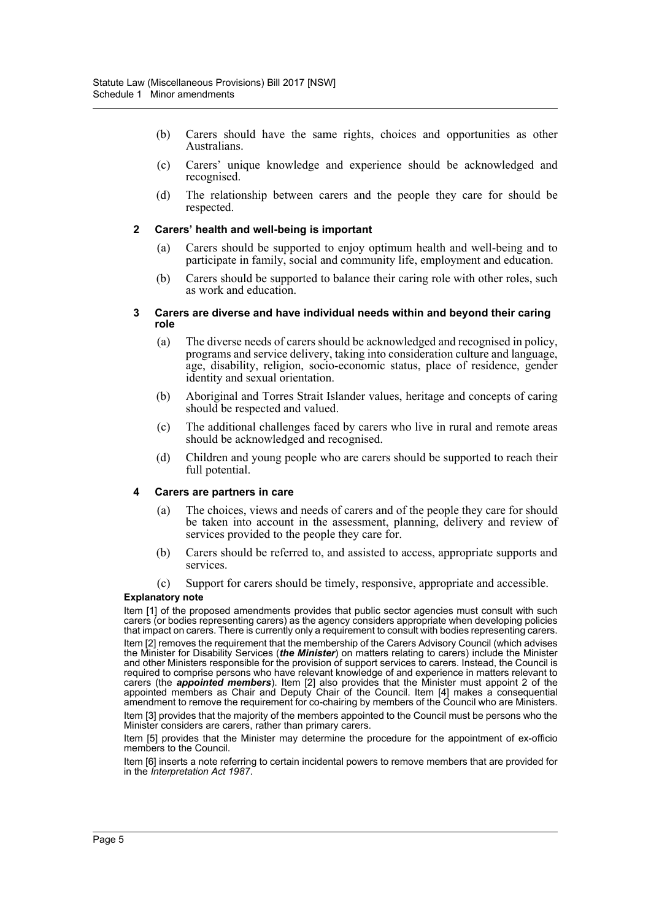- (b) Carers should have the same rights, choices and opportunities as other Australians.
- (c) Carers' unique knowledge and experience should be acknowledged and recognised.
- (d) The relationship between carers and the people they care for should be respected.

#### **2 Carers' health and well-being is important**

- (a) Carers should be supported to enjoy optimum health and well-being and to participate in family, social and community life, employment and education.
- (b) Carers should be supported to balance their caring role with other roles, such as work and education.

#### **3 Carers are diverse and have individual needs within and beyond their caring role**

- (a) The diverse needs of carers should be acknowledged and recognised in policy, programs and service delivery, taking into consideration culture and language, age, disability, religion, socio-economic status, place of residence, gender identity and sexual orientation.
- (b) Aboriginal and Torres Strait Islander values, heritage and concepts of caring should be respected and valued.
- (c) The additional challenges faced by carers who live in rural and remote areas should be acknowledged and recognised.
- (d) Children and young people who are carers should be supported to reach their full potential.

#### **4 Carers are partners in care**

- (a) The choices, views and needs of carers and of the people they care for should be taken into account in the assessment, planning, delivery and review of services provided to the people they care for.
- (b) Carers should be referred to, and assisted to access, appropriate supports and services.
- (c) Support for carers should be timely, responsive, appropriate and accessible.

#### **Explanatory note**

Item [1] of the proposed amendments provides that public sector agencies must consult with such carers (or bodies representing carers) as the agency considers appropriate when developing policies that impact on carers. There is currently only a requirement to consult with bodies representing carers. Item [2] removes the requirement that the membership of the Carers Advisory Council (which advises the Minister for Disability Services (*the Minister*) on matters relating to carers) include the Minister and other Ministers responsible for the provision of support services to carers. Instead, the Council is required to comprise persons who have relevant knowledge of and experience in matters relevant to carers (the *appointed members*). Item [2] also provides that the Minister must appoint 2 of the appointed members as Chair and Deputy Chair of the Council. Item [4] makes a consequential amendment to remove the requirement for co-chairing by members of the Council who are Ministers. Item [3] provides that the majority of the members appointed to the Council must be persons who the Minister considers are carers, rather than primary carers.

Item [5] provides that the Minister may determine the procedure for the appointment of ex-officio members to the Council.

Item [6] inserts a note referring to certain incidental powers to remove members that are provided for in the *Interpretation Act 1987*.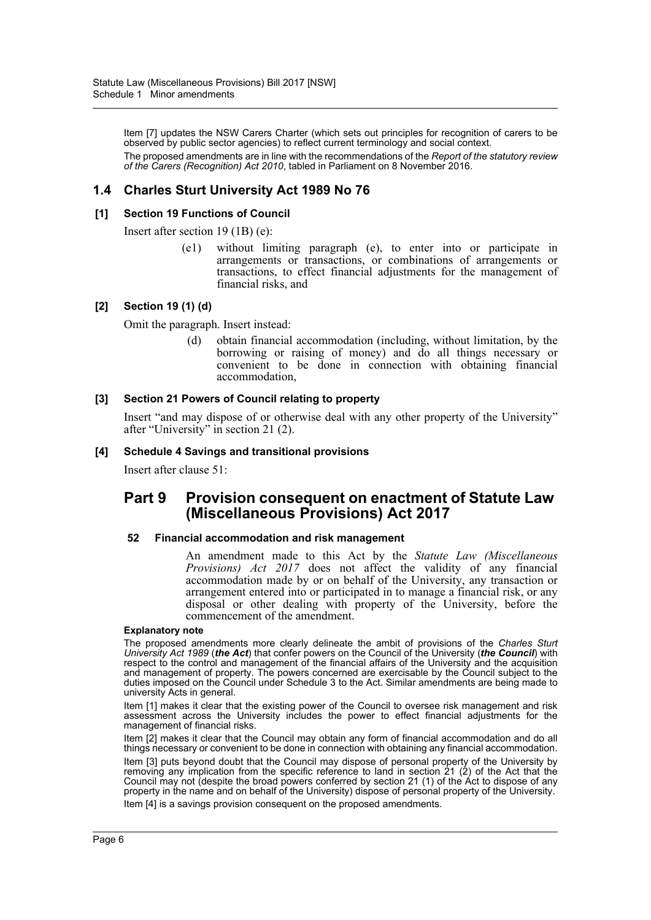Item [7] updates the NSW Carers Charter (which sets out principles for recognition of carers to be observed by public sector agencies) to reflect current terminology and social context. The proposed amendments are in line with the recommendations of the *Report of the statutory review of the Carers (Recognition) Act 2010*, tabled in Parliament on 8 November 2016.

## **1.4 Charles Sturt University Act 1989 No 76**

#### **[1] Section 19 Functions of Council**

Insert after section 19 (1B) (e):

(e1) without limiting paragraph (e), to enter into or participate in arrangements or transactions, or combinations of arrangements or transactions, to effect financial adjustments for the management of financial risks, and

#### **[2] Section 19 (1) (d)**

Omit the paragraph. Insert instead:

(d) obtain financial accommodation (including, without limitation, by the borrowing or raising of money) and do all things necessary or convenient to be done in connection with obtaining financial accommodation,

#### **[3] Section 21 Powers of Council relating to property**

Insert "and may dispose of or otherwise deal with any other property of the University" after "University" in section 21 (2).

#### **[4] Schedule 4 Savings and transitional provisions**

Insert after clause 51:

## **Part 9 Provision consequent on enactment of Statute Law (Miscellaneous Provisions) Act 2017**

#### **52 Financial accommodation and risk management**

An amendment made to this Act by the *Statute Law (Miscellaneous Provisions) Act 2017* does not affect the validity of any financial accommodation made by or on behalf of the University, any transaction or arrangement entered into or participated in to manage a financial risk, or any disposal or other dealing with property of the University, before the commencement of the amendment.

#### **Explanatory note**

The proposed amendments more clearly delineate the ambit of provisions of the *Charles Sturt University Act 1989* (*the Act*) that confer powers on the Council of the University (*the Council*) with respect to the control and management of the financial affairs of the University and the acquisition and management of property. The powers concerned are exercisable by the Council subject to the duties imposed on the Council under Schedule 3 to the Act. Similar amendments are being made to university Acts in general.

Item [1] makes it clear that the existing power of the Council to oversee risk management and risk assessment across the University includes the power to effect financial adjustments for the management of financial risks.

Item [2] makes it clear that the Council may obtain any form of financial accommodation and do all things necessary or convenient to be done in connection with obtaining any financial accommodation. Item [3] puts beyond doubt that the Council may dispose of personal property of the University by removing any implication from the specific reference to land in section 21 (2) of the Act that the Council may not (despite the broad powers conferred by section 21 (1) of the Act to dispose of any property in the name and on behalf of the University) dispose of personal property of the University. Item [4] is a savings provision consequent on the proposed amendments.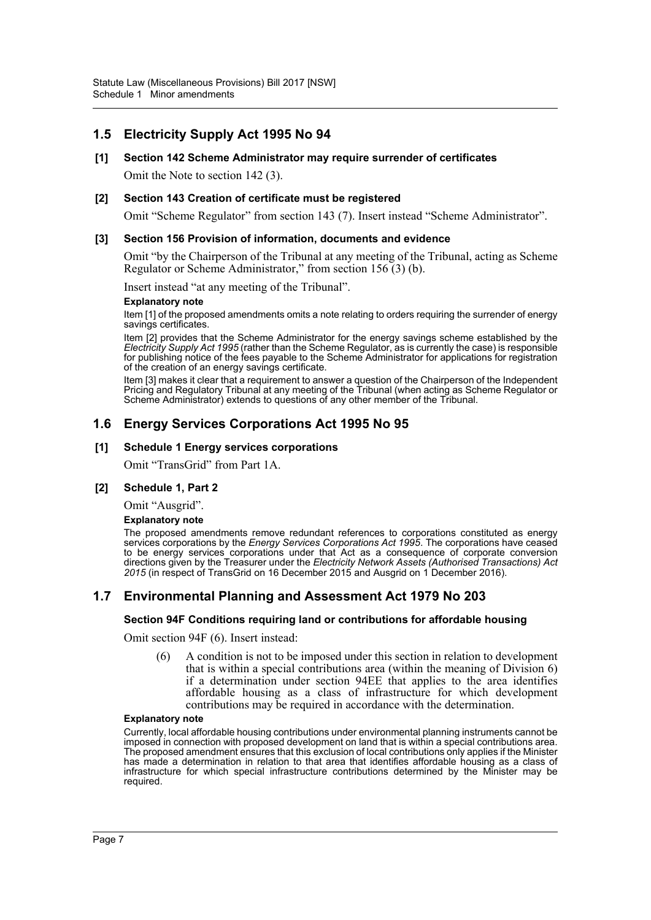## **1.5 Electricity Supply Act 1995 No 94**

#### **[1] Section 142 Scheme Administrator may require surrender of certificates**

Omit the Note to section 142 (3).

#### **[2] Section 143 Creation of certificate must be registered**

Omit "Scheme Regulator" from section 143 (7). Insert instead "Scheme Administrator".

#### **[3] Section 156 Provision of information, documents and evidence**

Omit "by the Chairperson of the Tribunal at any meeting of the Tribunal, acting as Scheme Regulator or Scheme Administrator," from section 156 (3) (b).

Insert instead "at any meeting of the Tribunal".

#### **Explanatory note**

Item [1] of the proposed amendments omits a note relating to orders requiring the surrender of energy savings certificates.

Item [2] provides that the Scheme Administrator for the energy savings scheme established by the *Electricity Supply Act 1995* (rather than the Scheme Regulator, as is currently the case) is responsible for publishing notice of the fees payable to the Scheme Administrator for applications for registration of the creation of an energy savings certificate.

Item [3] makes it clear that a requirement to answer a question of the Chairperson of the Independent Pricing and Regulatory Tribunal at any meeting of the Tribunal (when acting as Scheme Regulator or Scheme Administrator) extends to questions of any other member of the Tribunal.

### **1.6 Energy Services Corporations Act 1995 No 95**

#### **[1] Schedule 1 Energy services corporations**

Omit "TransGrid" from Part 1A.

#### **[2] Schedule 1, Part 2**

Omit "Ausgrid".

#### **Explanatory note**

The proposed amendments remove redundant references to corporations constituted as energy services corporations by the *Energy Services Corporations Act 1995*. The corporations have ceased to be energy services corporations under that Act as a consequence of corporate conversion directions given by the Treasurer under the *Electricity Network Assets (Authorised Transactions) Act 2015* (in respect of TransGrid on 16 December 2015 and Ausgrid on 1 December 2016).

### **1.7 Environmental Planning and Assessment Act 1979 No 203**

#### **Section 94F Conditions requiring land or contributions for affordable housing**

Omit section 94F (6). Insert instead:

(6) A condition is not to be imposed under this section in relation to development that is within a special contributions area (within the meaning of Division 6) if a determination under section 94EE that applies to the area identifies affordable housing as a class of infrastructure for which development contributions may be required in accordance with the determination.

#### **Explanatory note**

Currently, local affordable housing contributions under environmental planning instruments cannot be imposed in connection with proposed development on land that is within a special contributions area. The proposed amendment ensures that this exclusion of local contributions only applies if the Minister has made a determination in relation to that area that identifies affordable housing as a class of infrastructure for which special infrastructure contributions determined by the Minister may be required.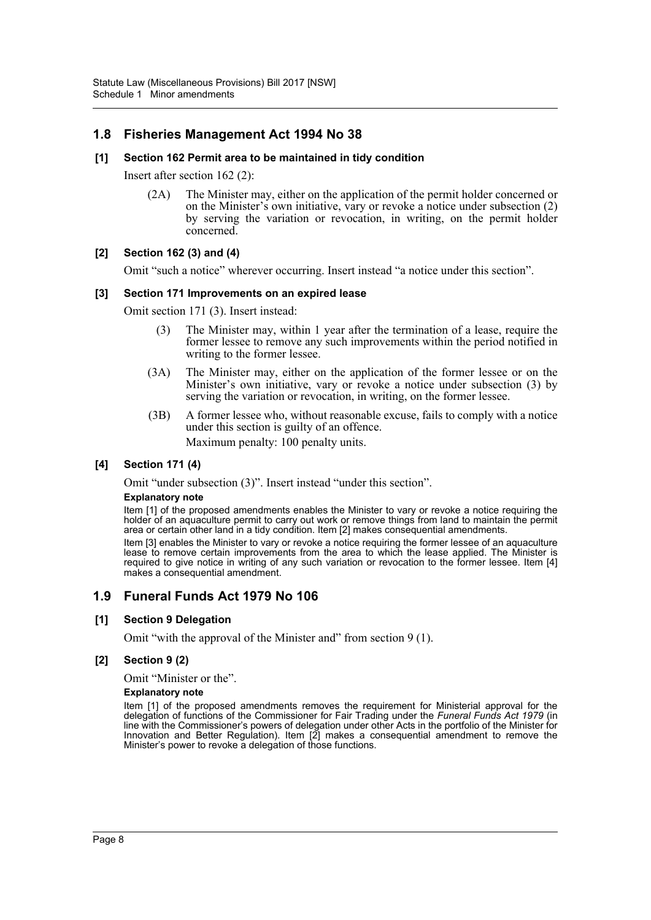## **1.8 Fisheries Management Act 1994 No 38**

#### **[1] Section 162 Permit area to be maintained in tidy condition**

Insert after section 162 (2):

(2A) The Minister may, either on the application of the permit holder concerned or on the Minister's own initiative, vary or revoke a notice under subsection (2) by serving the variation or revocation, in writing, on the permit holder concerned.

#### **[2] Section 162 (3) and (4)**

Omit "such a notice" wherever occurring. Insert instead "a notice under this section".

#### **[3] Section 171 Improvements on an expired lease**

Omit section 171 (3). Insert instead:

- (3) The Minister may, within 1 year after the termination of a lease, require the former lessee to remove any such improvements within the period notified in writing to the former lessee.
- (3A) The Minister may, either on the application of the former lessee or on the Minister's own initiative, vary or revoke a notice under subsection (3) by serving the variation or revocation, in writing, on the former lessee.
- (3B) A former lessee who, without reasonable excuse, fails to comply with a notice under this section is guilty of an offence. Maximum penalty: 100 penalty units.

#### **[4] Section 171 (4)**

Omit "under subsection (3)". Insert instead "under this section".

#### **Explanatory note**

Item [1] of the proposed amendments enables the Minister to vary or revoke a notice requiring the holder of an aquaculture permit to carry out work or remove things from land to maintain the permit area or certain other land in a tidy condition. Item [2] makes consequential amendments.

Item [3] enables the Minister to vary or revoke a notice requiring the former lessee of an aquaculture lease to remove certain improvements from the area to which the lease applied. The Minister is required to give notice in writing of any such variation or revocation to the former lessee. Item [4] makes a consequential amendment.

#### **1.9 Funeral Funds Act 1979 No 106**

#### **[1] Section 9 Delegation**

Omit "with the approval of the Minister and" from section 9 (1).

#### **[2] Section 9 (2)**

Omit "Minister or the".

#### **Explanatory note**

Item [1] of the proposed amendments removes the requirement for Ministerial approval for the delegation of functions of the Commissioner for Fair Trading under the *Funeral Funds Act 1979* (in line with the Commissioner's powers of delegation under other Acts in the portfolio of the Minister for Innovation and Better Regulation). Item [2] makes a consequential amendment to remove the Minister's power to revoke a delegation of those functions.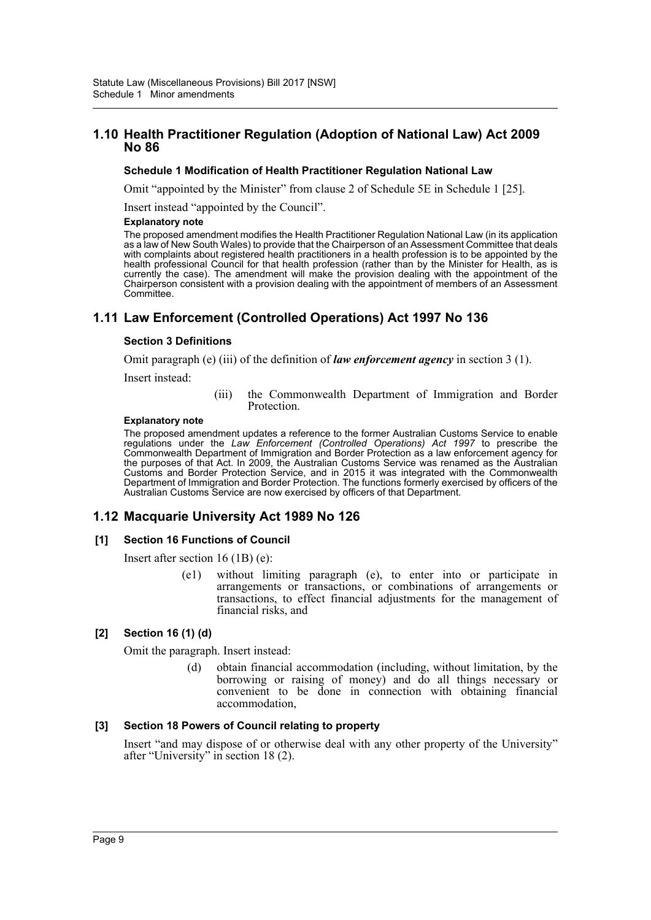## **1.10 Health Practitioner Regulation (Adoption of National Law) Act 2009 No 86**

#### **Schedule 1 Modification of Health Practitioner Regulation National Law**

Omit "appointed by the Minister" from clause 2 of Schedule 5E in Schedule 1 [25].

Insert instead "appointed by the Council".

#### **Explanatory note**

The proposed amendment modifies the Health Practitioner Regulation National Law (in its application as a law of New South Wales) to provide that the Chairperson of an Assessment Committee that deals with complaints about registered health practitioners in a health profession is to be appointed by the health professional Council for that health profession (rather than by the Minister for Health, as is currently the case). The amendment will make the provision dealing with the appointment of the Chairperson consistent with a provision dealing with the appointment of members of an Assessment Committee.

## **1.11 Law Enforcement (Controlled Operations) Act 1997 No 136**

#### **Section 3 Definitions**

Omit paragraph (e) (iii) of the definition of *law enforcement agency* in section 3 (1).

Insert instead:

(iii) the Commonwealth Department of Immigration and Border Protection.

#### **Explanatory note**

The proposed amendment updates a reference to the former Australian Customs Service to enable regulations under the *Law Enforcement (Controlled Operations) Act 1997* to prescribe the Commonwealth Department of Immigration and Border Protection as a law enforcement agency for the purposes of that Act. In 2009, the Australian Customs Service was renamed as the Australian Customs and Border Protection Service, and in 2015 it was integrated with the Commonwealth Department of Immigration and Border Protection. The functions formerly exercised by officers of the Australian Customs Service are now exercised by officers of that Department.

### **1.12 Macquarie University Act 1989 No 126**

#### **[1] Section 16 Functions of Council**

Insert after section 16 (1B) (e):

(e1) without limiting paragraph (e), to enter into or participate in arrangements or transactions, or combinations of arrangements or transactions, to effect financial adjustments for the management of financial risks, and

#### **[2] Section 16 (1) (d)**

Omit the paragraph. Insert instead:

(d) obtain financial accommodation (including, without limitation, by the borrowing or raising of money) and do all things necessary or convenient to be done in connection with obtaining financial accommodation,

#### **[3] Section 18 Powers of Council relating to property**

Insert "and may dispose of or otherwise deal with any other property of the University" after "University" in section 18 (2).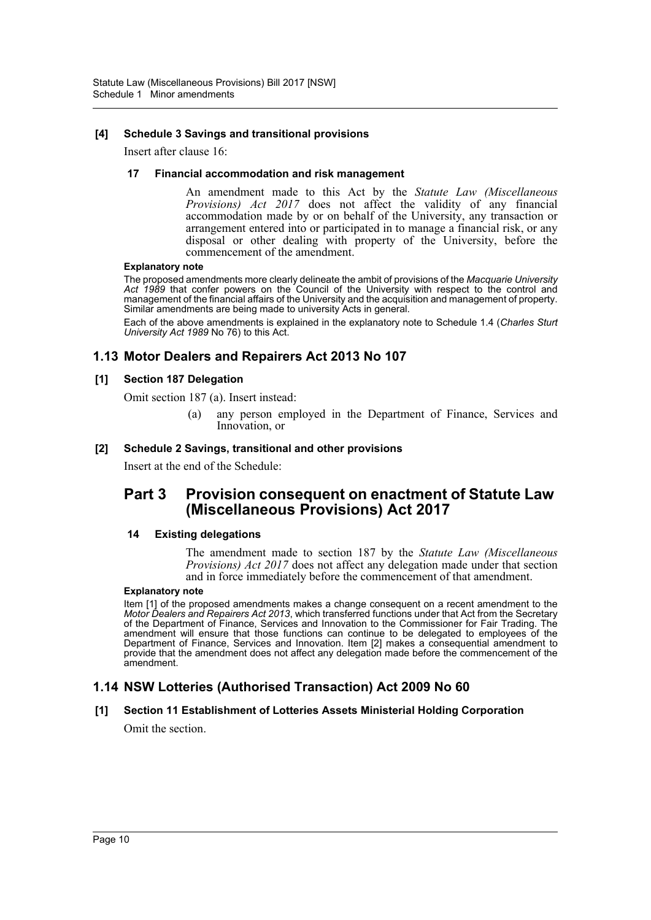#### **[4] Schedule 3 Savings and transitional provisions**

Insert after clause 16:

#### **17 Financial accommodation and risk management**

An amendment made to this Act by the *Statute Law (Miscellaneous Provisions) Act 2017* does not affect the validity of any financial accommodation made by or on behalf of the University, any transaction or arrangement entered into or participated in to manage a financial risk, or any disposal or other dealing with property of the University, before the commencement of the amendment.

#### **Explanatory note**

The proposed amendments more clearly delineate the ambit of provisions of the *Macquarie University Act 1989* that confer powers on the Council of the University with respect to the control and management of the financial affairs of the University and the acquisition and management of property. Similar amendments are being made to university Acts in general.

Each of the above amendments is explained in the explanatory note to Schedule 1.4 (*Charles Sturt University Act 1989* No 76) to this Act.

## **1.13 Motor Dealers and Repairers Act 2013 No 107**

#### **[1] Section 187 Delegation**

Omit section 187 (a). Insert instead:

(a) any person employed in the Department of Finance, Services and Innovation, or

#### **[2] Schedule 2 Savings, transitional and other provisions**

Insert at the end of the Schedule:

## **Part 3 Provision consequent on enactment of Statute Law (Miscellaneous Provisions) Act 2017**

#### **14 Existing delegations**

The amendment made to section 187 by the *Statute Law (Miscellaneous Provisions) Act 2017* does not affect any delegation made under that section and in force immediately before the commencement of that amendment.

#### **Explanatory note**

Item [1] of the proposed amendments makes a change consequent on a recent amendment to the *Motor Dealers and Repairers Act 2013*, which transferred functions under that Act from the Secretary of the Department of Finance, Services and Innovation to the Commissioner for Fair Trading. The amendment will ensure that those functions can continue to be delegated to employees of the Department of Finance, Services and Innovation. Item [2] makes a consequential amendment to provide that the amendment does not affect any delegation made before the commencement of the amendment.

### **1.14 NSW Lotteries (Authorised Transaction) Act 2009 No 60**

#### **[1] Section 11 Establishment of Lotteries Assets Ministerial Holding Corporation**

Omit the section.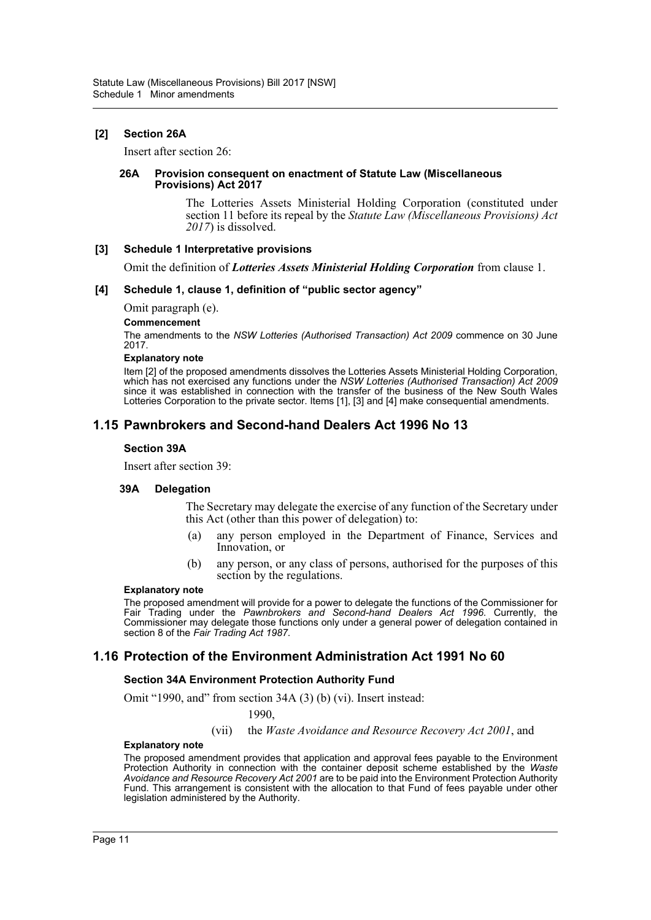#### **[2] Section 26A**

Insert after section 26:

#### **26A Provision consequent on enactment of Statute Law (Miscellaneous Provisions) Act 2017**

The Lotteries Assets Ministerial Holding Corporation (constituted under section 11 before its repeal by the *Statute Law (Miscellaneous Provisions) Act 2017*) is dissolved.

#### **[3] Schedule 1 Interpretative provisions**

Omit the definition of *Lotteries Assets Ministerial Holding Corporation* from clause 1.

#### **[4] Schedule 1, clause 1, definition of "public sector agency"**

Omit paragraph (e).

#### **Commencement**

The amendments to the *NSW Lotteries (Authorised Transaction) Act 2009* commence on 30 June 2017.

#### **Explanatory note**

Item [2] of the proposed amendments dissolves the Lotteries Assets Ministerial Holding Corporation, which has not exercised any functions under the *NSW Lotteries (Authorised Transaction) Act 2009* since it was established in connection with the transfer of the business of the New South Wales Lotteries Corporation to the private sector. Items [1], [3] and [4] make consequential amendments.

## **1.15 Pawnbrokers and Second-hand Dealers Act 1996 No 13**

#### **Section 39A**

Insert after section 39:

#### **39A Delegation**

The Secretary may delegate the exercise of any function of the Secretary under this Act (other than this power of delegation) to:

- (a) any person employed in the Department of Finance, Services and Innovation, or
- (b) any person, or any class of persons, authorised for the purposes of this section by the regulations.

#### **Explanatory note**

The proposed amendment will provide for a power to delegate the functions of the Commissioner for Fair Trading under the *Pawnbrokers and Second-hand Dealers Act 1996*. Currently, the Commissioner may delegate those functions only under a general power of delegation contained in section 8 of the *Fair Trading Act 1987*.

### **1.16 Protection of the Environment Administration Act 1991 No 60**

#### **Section 34A Environment Protection Authority Fund**

Omit "1990, and" from section 34A (3) (b) (vi). Insert instead:

#### 1990,

(vii) the *Waste Avoidance and Resource Recovery Act 2001*, and

#### **Explanatory note**

The proposed amendment provides that application and approval fees payable to the Environment Protection Authority in connection with the container deposit scheme established by the *Waste Avoidance and Resource Recovery Act 2001* are to be paid into the Environment Protection Authority Fund. This arrangement is consistent with the allocation to that Fund of fees payable under other legislation administered by the Authority.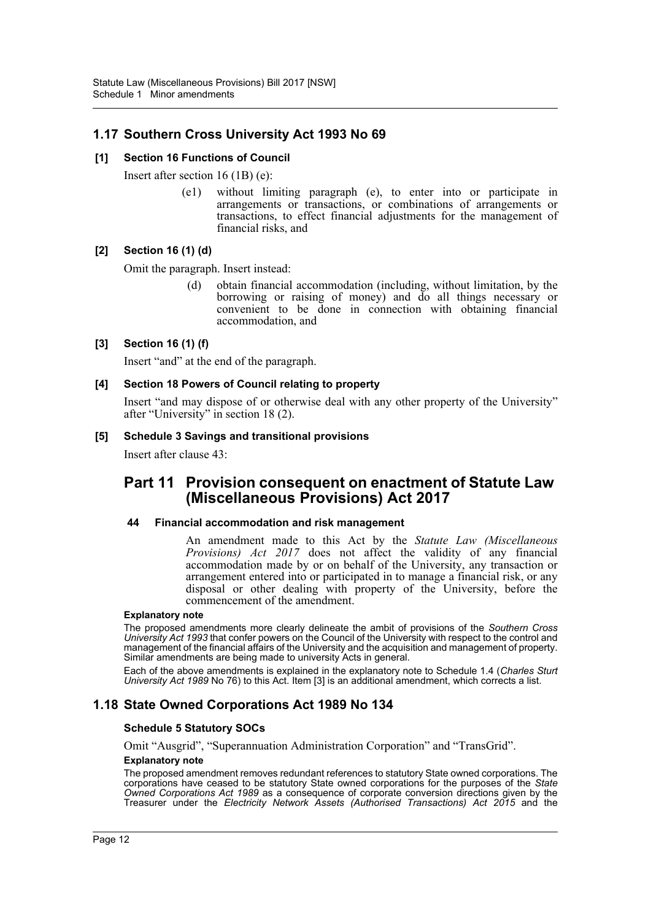## **1.17 Southern Cross University Act 1993 No 69**

#### **[1] Section 16 Functions of Council**

Insert after section 16 (1B) (e):

(e1) without limiting paragraph (e), to enter into or participate in arrangements or transactions, or combinations of arrangements or transactions, to effect financial adjustments for the management of financial risks, and

#### **[2] Section 16 (1) (d)**

Omit the paragraph. Insert instead:

(d) obtain financial accommodation (including, without limitation, by the borrowing or raising of money) and do all things necessary or convenient to be done in connection with obtaining financial accommodation, and

#### **[3] Section 16 (1) (f)**

Insert "and" at the end of the paragraph.

#### **[4] Section 18 Powers of Council relating to property**

Insert "and may dispose of or otherwise deal with any other property of the University" after "University" in section 18 (2).

#### **[5] Schedule 3 Savings and transitional provisions**

Insert after clause 43:

## **Part 11 Provision consequent on enactment of Statute Law (Miscellaneous Provisions) Act 2017**

#### **44 Financial accommodation and risk management**

An amendment made to this Act by the *Statute Law (Miscellaneous Provisions) Act 2017* does not affect the validity of any financial accommodation made by or on behalf of the University, any transaction or arrangement entered into or participated in to manage a financial risk, or any disposal or other dealing with property of the University, before the commencement of the amendment.

#### **Explanatory note**

The proposed amendments more clearly delineate the ambit of provisions of the *Southern Cross University Act 1993* that confer powers on the Council of the University with respect to the control and management of the financial affairs of the University and the acquisition and management of property. Similar amendments are being made to university Acts in general.

Each of the above amendments is explained in the explanatory note to Schedule 1.4 (*Charles Sturt University Act 1989* No 76) to this Act. Item [3] is an additional amendment, which corrects a list.

### **1.18 State Owned Corporations Act 1989 No 134**

#### **Schedule 5 Statutory SOCs**

Omit "Ausgrid", "Superannuation Administration Corporation" and "TransGrid". **Explanatory note**

The proposed amendment removes redundant references to statutory State owned corporations. The corporations have ceased to be statutory State owned corporations for the purposes of the *State Owned Corporations Act 1989* as a consequence of corporate conversion directions given by the Treasurer under the *Electricity Network Assets (Authorised Transactions) Act 2015* and the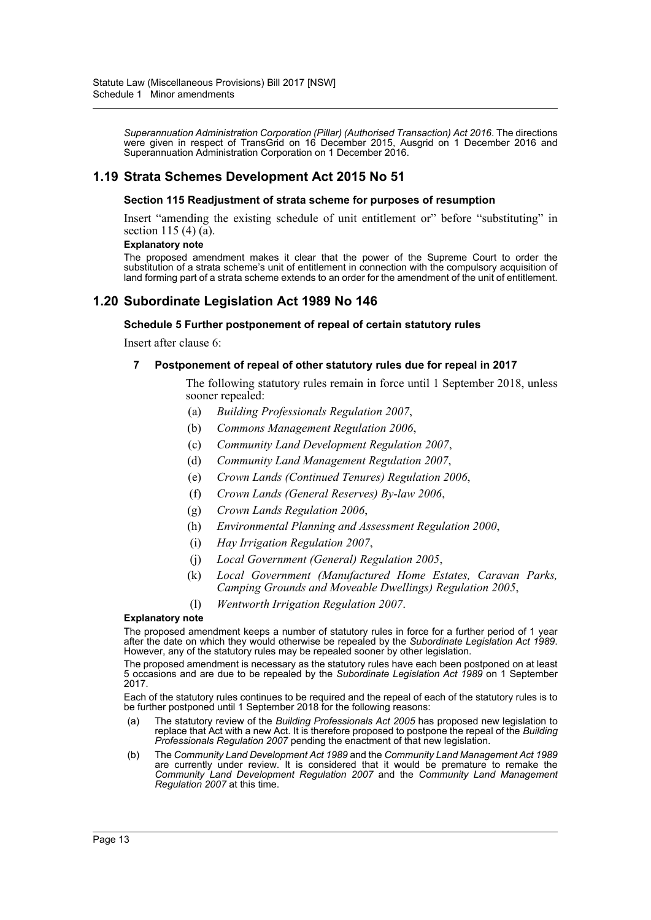*Superannuation Administration Corporation (Pillar) (Authorised Transaction) Act 2016*. The directions were given in respect of TransGrid on 16 December 2015, Ausgrid on 1 December 2016 and Superannuation Administration Corporation on 1 December 2016.

## **1.19 Strata Schemes Development Act 2015 No 51**

#### **Section 115 Readjustment of strata scheme for purposes of resumption**

Insert "amending the existing schedule of unit entitlement or" before "substituting" in section 115 (4) (a).

#### **Explanatory note**

The proposed amendment makes it clear that the power of the Supreme Court to order the substitution of a strata scheme's unit of entitlement in connection with the compulsory acquisition of land forming part of a strata scheme extends to an order for the amendment of the unit of entitlement.

## **1.20 Subordinate Legislation Act 1989 No 146**

#### **Schedule 5 Further postponement of repeal of certain statutory rules**

Insert after clause 6:

#### **7 Postponement of repeal of other statutory rules due for repeal in 2017**

The following statutory rules remain in force until 1 September 2018, unless sooner repealed:

- (a) *Building Professionals Regulation 2007*,
- (b) *Commons Management Regulation 2006*,
- (c) *Community Land Development Regulation 2007*,
- (d) *Community Land Management Regulation 2007*,
- (e) *Crown Lands (Continued Tenures) Regulation 2006*,
- (f) *Crown Lands (General Reserves) By-law 2006*,
- (g) *Crown Lands Regulation 2006*,
- (h) *Environmental Planning and Assessment Regulation 2000*,
- (i) *Hay Irrigation Regulation 2007*,
- (j) *Local Government (General) Regulation 2005*,
- (k) *Local Government (Manufactured Home Estates, Caravan Parks, Camping Grounds and Moveable Dwellings) Regulation 2005*,
- (l) *Wentworth Irrigation Regulation 2007*.

#### **Explanatory note**

The proposed amendment keeps a number of statutory rules in force for a further period of 1 year after the date on which they would otherwise be repealed by the *Subordinate Legislation Act 1989*. However, any of the statutory rules may be repealed sooner by other legislation.

The proposed amendment is necessary as the statutory rules have each been postponed on at least 5 occasions and are due to be repealed by the *Subordinate Legislation Act 1989* on 1 September 2017.

Each of the statutory rules continues to be required and the repeal of each of the statutory rules is to be further postponed until 1 September 2018 for the following reasons:

- (a) The statutory review of the *Building Professionals Act 2005* has proposed new legislation to replace that Act with a new Act. It is therefore proposed to postpone the repeal of the *Building Professionals Regulation 2007* pending the enactment of that new legislation.
- (b) The *Community Land Development Act 1989* and the *Community Land Management Act 1989* are currently under review. It is considered that it would be premature to remake the *Community Land Development Regulation 2007* and the *Community Land Management Regulation 2007* at this time.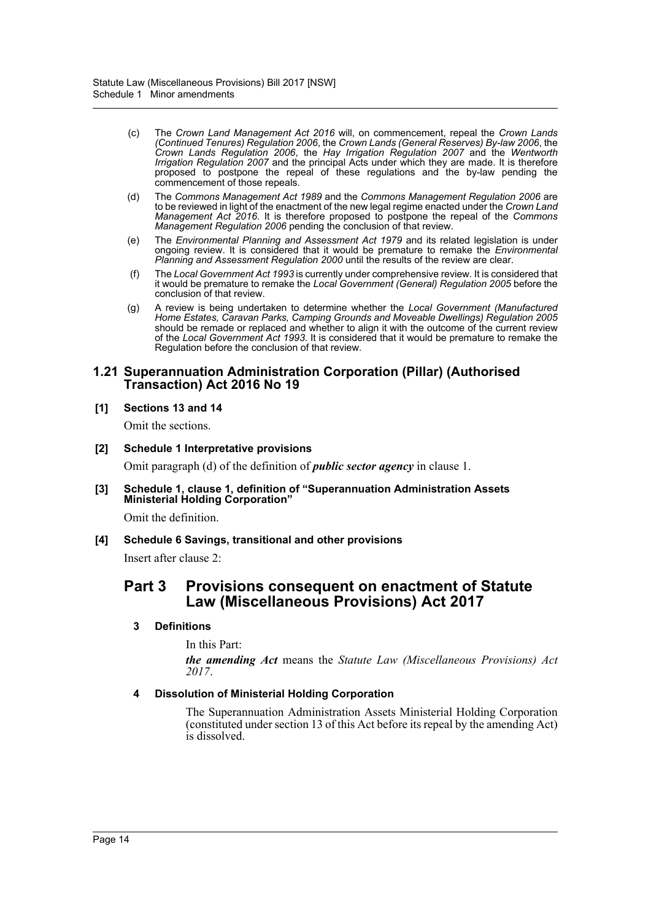- (c) The *Crown Land Management Act 2016* will, on commencement, repeal the *Crown Lands (Continued Tenures) Regulation 2006*, the *Crown Lands (General Reserves) By-law 2006*, the *Crown Lands Regulation 2006*, the *Hay Irrigation Regulation 2007* and the *Wentworth Irrigation Regulation 2007* and the principal Acts under which they are made. It is therefore proposed to postpone the repeal of these regulations and the by-law pending the commencement of those repeals.
- (d) The *Commons Management Act 1989* and the *Commons Management Regulation 2006* are to be reviewed in light of the enactment of the new legal regime enacted under the *Crown Land Management Act 2016*. It is therefore proposed to postpone the repeal of the *Commons Management Regulation 2006* pending the conclusion of that review.
- (e) The *Environmental Planning and Assessment Act 1979* and its related legislation is under ongoing review. It is considered that it would be premature to remake the *Environmental Planning and Assessment Regulation 2000* until the results of the review are clear.
- (f) The *Local Government Act 1993* is currently under comprehensive review. It is considered that it would be premature to remake the *Local Government (General) Regulation 2005* before the conclusion of that review.
- (g) A review is being undertaken to determine whether the *Local Government (Manufactured Home Estates, Caravan Parks, Camping Grounds and Moveable Dwellings) Regulation 2005* should be remade or replaced and whether to align it with the outcome of the current review of the *Local Government Act 1993*. It is considered that it would be premature to remake the Regulation before the conclusion of that review.

#### **1.21 Superannuation Administration Corporation (Pillar) (Authorised Transaction) Act 2016 No 19**

#### **[1] Sections 13 and 14**

Omit the sections.

#### **[2] Schedule 1 Interpretative provisions**

Omit paragraph (d) of the definition of *public sector agency* in clause 1.

#### **[3] Schedule 1, clause 1, definition of "Superannuation Administration Assets Ministerial Holding Corporation"**

Omit the definition.

### **[4] Schedule 6 Savings, transitional and other provisions**

Insert after clause 2:

## **Part 3 Provisions consequent on enactment of Statute Law (Miscellaneous Provisions) Act 2017**

#### **3 Definitions**

In this Part: *the amending Act* means the *Statute Law (Miscellaneous Provisions) Act 2017*.

### **4 Dissolution of Ministerial Holding Corporation**

The Superannuation Administration Assets Ministerial Holding Corporation (constituted under section 13 of this Act before its repeal by the amending Act) is dissolved.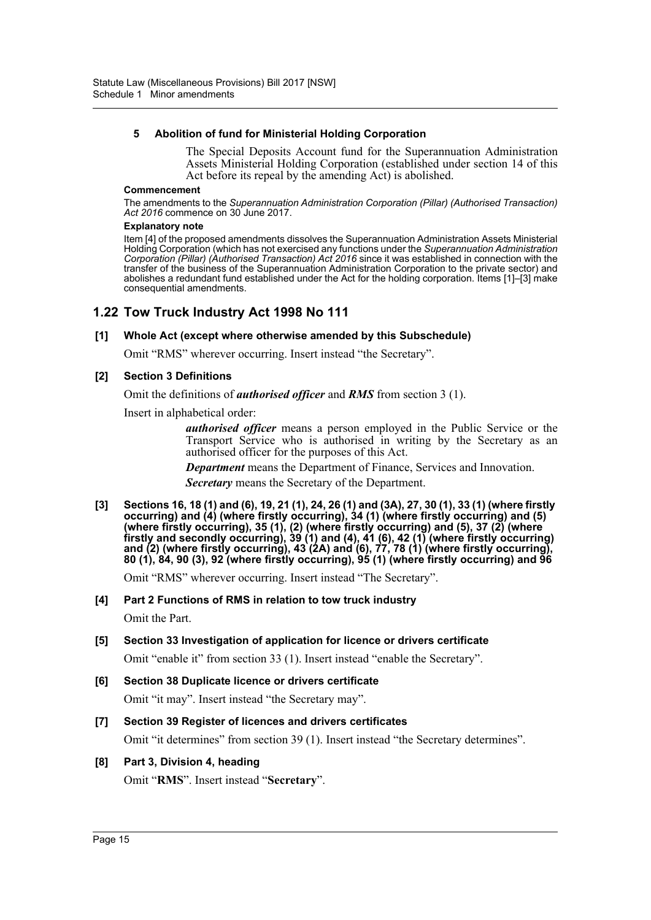#### **5 Abolition of fund for Ministerial Holding Corporation**

The Special Deposits Account fund for the Superannuation Administration Assets Ministerial Holding Corporation (established under section 14 of this Act before its repeal by the amending Act) is abolished.

#### **Commencement**

The amendments to the *Superannuation Administration Corporation (Pillar) (Authorised Transaction) Act 2016* commence on 30 June 2017.

#### **Explanatory note**

Item [4] of the proposed amendments dissolves the Superannuation Administration Assets Ministerial Holding Corporation (which has not exercised any functions under the *Superannuation Administration Corporation (Pillar) (Authorised Transaction) Act 2016* since it was established in connection with the transfer of the business of the Superannuation Administration Corporation to the private sector) and abolishes a redundant fund established under the Act for the holding corporation. Items [1]–[3] make consequential amendments.

## **1.22 Tow Truck Industry Act 1998 No 111**

#### **[1] Whole Act (except where otherwise amended by this Subschedule)**

Omit "RMS" wherever occurring. Insert instead "the Secretary".

#### **[2] Section 3 Definitions**

Omit the definitions of *authorised officer* and *RMS* from section 3 (1).

Insert in alphabetical order:

*authorised officer* means a person employed in the Public Service or the Transport Service who is authorised in writing by the Secretary as an authorised officer for the purposes of this Act.

*Department* means the Department of Finance, Services and Innovation.

*Secretary* means the Secretary of the Department.

**[3] Sections 16, 18 (1) and (6), 19, 21 (1), 24, 26 (1) and (3A), 27, 30 (1), 33 (1) (where firstly occurring) and (4) (where firstly occurring), 34 (1) (where firstly occurring) and (5) (where firstly occurring), 35 (1), (2) (where firstly occurring) and (5), 37 (2) (where firstly and secondly occurring), 39 (1) and (4), 41 (6), 42 (1) (where firstly occurring) and (2) (where firstly occurring), 43 (2A) and (6), 77, 78 (1) (where firstly occurring), 80 (1), 84, 90 (3), 92 (where firstly occurring), 95 (1) (where firstly occurring) and 96**

Omit "RMS" wherever occurring. Insert instead "The Secretary".

#### **[4] Part 2 Functions of RMS in relation to tow truck industry**

Omit the Part.

## **[5] Section 33 Investigation of application for licence or drivers certificate**

Omit "enable it" from section 33 (1). Insert instead "enable the Secretary".

## **[6] Section 38 Duplicate licence or drivers certificate**

Omit "it may". Insert instead "the Secretary may".

### **[7] Section 39 Register of licences and drivers certificates**

Omit "it determines" from section 39 (1). Insert instead "the Secretary determines".

### **[8] Part 3, Division 4, heading**

Omit "**RMS**". Insert instead "**Secretary**".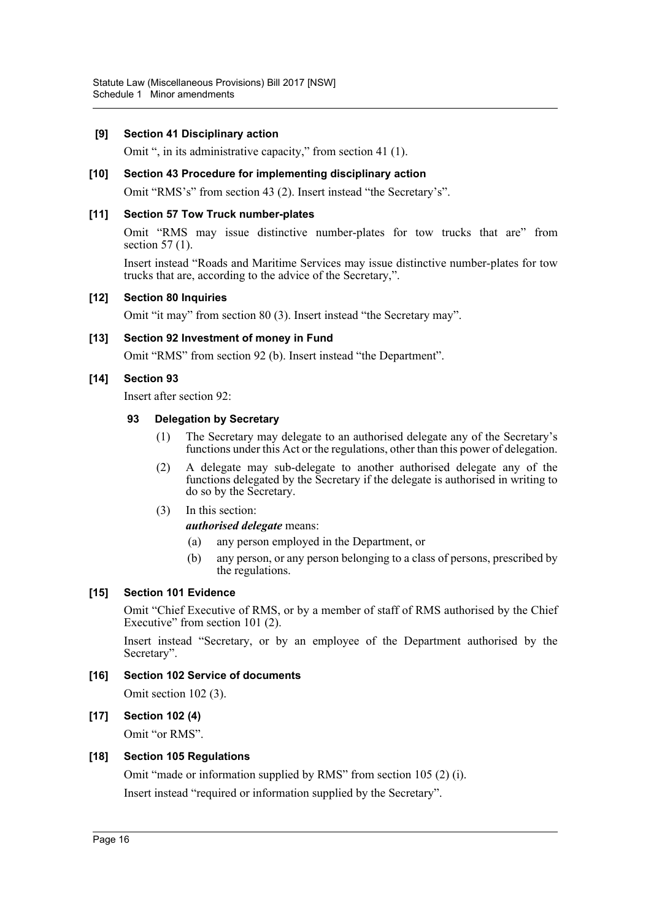#### **[9] Section 41 Disciplinary action**

Omit ", in its administrative capacity," from section 41 (1).

#### **[10] Section 43 Procedure for implementing disciplinary action**

Omit "RMS's" from section 43 (2). Insert instead "the Secretary's".

#### **[11] Section 57 Tow Truck number-plates**

Omit "RMS may issue distinctive number-plates for tow trucks that are" from section 57 (1).

Insert instead "Roads and Maritime Services may issue distinctive number-plates for tow trucks that are, according to the advice of the Secretary,".

#### **[12] Section 80 Inquiries**

Omit "it may" from section 80 (3). Insert instead "the Secretary may".

#### **[13] Section 92 Investment of money in Fund**

Omit "RMS" from section 92 (b). Insert instead "the Department".

#### **[14] Section 93**

Insert after section 92:

#### **93 Delegation by Secretary**

- (1) The Secretary may delegate to an authorised delegate any of the Secretary's functions under this Act or the regulations, other than this power of delegation.
- (2) A delegate may sub-delegate to another authorised delegate any of the functions delegated by the Secretary if the delegate is authorised in writing to do so by the Secretary.
- (3) In this section:

#### *authorised delegate* means:

- (a) any person employed in the Department, or
- (b) any person, or any person belonging to a class of persons, prescribed by the regulations.

#### **[15] Section 101 Evidence**

Omit "Chief Executive of RMS, or by a member of staff of RMS authorised by the Chief Executive" from section 101 (2).

Insert instead "Secretary, or by an employee of the Department authorised by the Secretary".

#### **[16] Section 102 Service of documents**

Omit section 102 (3).

#### **[17] Section 102 (4)**

Omit "or RMS".

#### **[18] Section 105 Regulations**

Omit "made or information supplied by RMS" from section 105 (2) (i). Insert instead "required or information supplied by the Secretary".

Page 16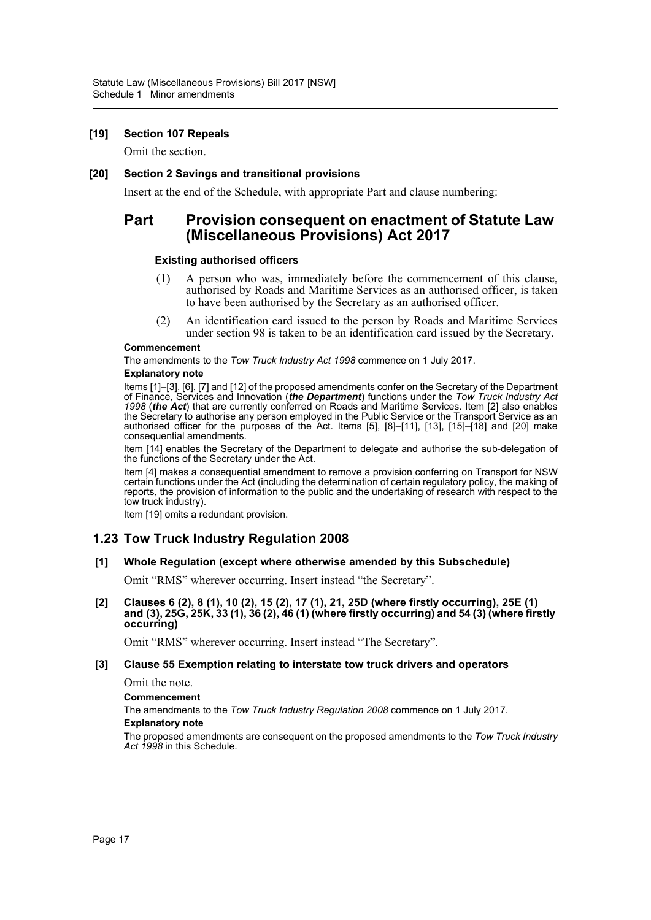#### **[19] Section 107 Repeals**

Omit the section.

#### **[20] Section 2 Savings and transitional provisions**

Insert at the end of the Schedule, with appropriate Part and clause numbering:

## **Part Provision consequent on enactment of Statute Law (Miscellaneous Provisions) Act 2017**

#### **Existing authorised officers**

- (1) A person who was, immediately before the commencement of this clause, authorised by Roads and Maritime Services as an authorised officer, is taken to have been authorised by the Secretary as an authorised officer.
- (2) An identification card issued to the person by Roads and Maritime Services under section 98 is taken to be an identification card issued by the Secretary.

#### **Commencement**

The amendments to the *Tow Truck Industry Act 1998* commence on 1 July 2017.

#### **Explanatory note**

Items [1]–[3], [6], [7] and [12] of the proposed amendments confer on the Secretary of the Department of Finance, Services and Innovation (*the Department*) functions under the *Tow Truck Industry Act 1998* (*the Act*) that are currently conferred on Roads and Maritime Services. Item [2] also enables the Secretary to authorise any person employed in the Public Service or the Transport Service as an authorised officer for the purposes of the Act. Items [5], [8]–[11], [13], [15]–[18] and [20] make consequential amendments.

Item [14] enables the Secretary of the Department to delegate and authorise the sub-delegation of the functions of the Secretary under the Act.

Item [4] makes a consequential amendment to remove a provision conferring on Transport for NSW certain functions under the Act (including the determination of certain regulatory policy, the making of reports, the provision of information to the public and the undertaking of research with respect to the tow truck industry).

Item [19] omits a redundant provision.

### **1.23 Tow Truck Industry Regulation 2008**

#### **[1] Whole Regulation (except where otherwise amended by this Subschedule)**

Omit "RMS" wherever occurring. Insert instead "the Secretary".

**[2] Clauses 6 (2), 8 (1), 10 (2), 15 (2), 17 (1), 21, 25D (where firstly occurring), 25E (1) and (3), 25G, 25K, 33 (1), 36 (2), 46 (1) (where firstly occurring) and 54 (3) (where firstly occurring)**

Omit "RMS" wherever occurring. Insert instead "The Secretary".

#### **[3] Clause 55 Exemption relating to interstate tow truck drivers and operators**

Omit the note.

#### **Commencement**

The amendments to the *Tow Truck Industry Regulation 2008* commence on 1 July 2017. **Explanatory note**

The proposed amendments are consequent on the proposed amendments to the *Tow Truck Industry Act 1998* in this Schedule.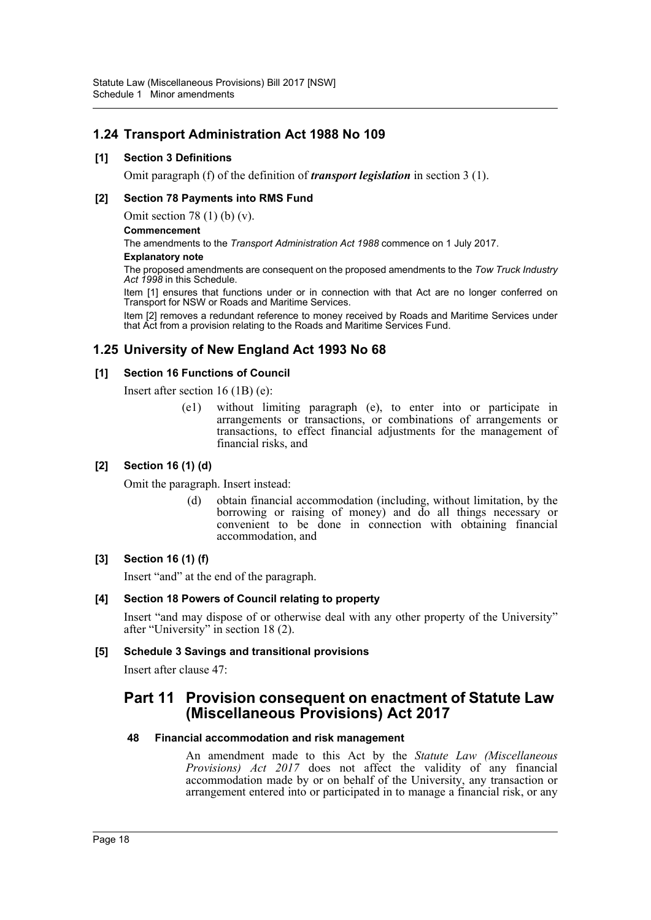## **1.24 Transport Administration Act 1988 No 109**

#### **[1] Section 3 Definitions**

Omit paragraph (f) of the definition of *transport legislation* in section 3 (1).

#### **[2] Section 78 Payments into RMS Fund**

Omit section 78 (1) (b) (v).

#### **Commencement**

The amendments to the *Transport Administration Act 1988* commence on 1 July 2017.

#### **Explanatory note**

The proposed amendments are consequent on the proposed amendments to the *Tow Truck Industry Act 1998* in this Schedule.

Item [1] ensures that functions under or in connection with that Act are no longer conferred on Transport for NSW or Roads and Maritime Services.

Item [2] removes a redundant reference to money received by Roads and Maritime Services under that Act from a provision relating to the Roads and Maritime Services Fund.

## **1.25 University of New England Act 1993 No 68**

#### **[1] Section 16 Functions of Council**

Insert after section 16 (1B) (e):

(e1) without limiting paragraph (e), to enter into or participate in arrangements or transactions, or combinations of arrangements or transactions, to effect financial adjustments for the management of financial risks, and

#### **[2] Section 16 (1) (d)**

Omit the paragraph. Insert instead:

(d) obtain financial accommodation (including, without limitation, by the borrowing or raising of money) and do all things necessary or convenient to be done in connection with obtaining financial accommodation, and

### **[3] Section 16 (1) (f)**

Insert "and" at the end of the paragraph.

#### **[4] Section 18 Powers of Council relating to property**

Insert "and may dispose of or otherwise deal with any other property of the University" after "University" in section 18 (2).

#### **[5] Schedule 3 Savings and transitional provisions**

Insert after clause 47:

## **Part 11 Provision consequent on enactment of Statute Law (Miscellaneous Provisions) Act 2017**

#### **48 Financial accommodation and risk management**

An amendment made to this Act by the *Statute Law (Miscellaneous Provisions) Act 2017* does not affect the validity of any financial accommodation made by or on behalf of the University, any transaction or arrangement entered into or participated in to manage a financial risk, or any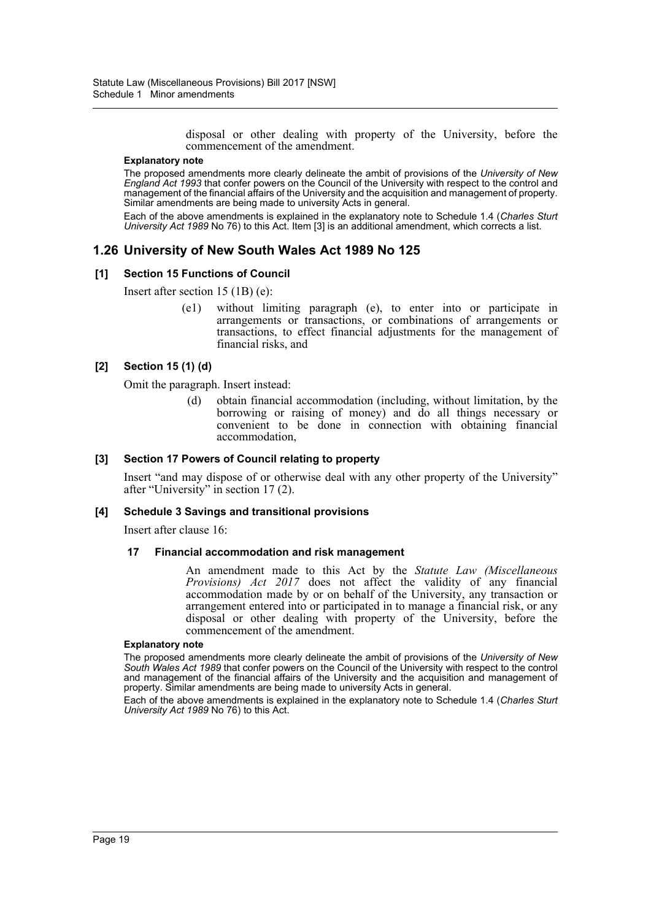disposal or other dealing with property of the University, before the commencement of the amendment.

#### **Explanatory note**

The proposed amendments more clearly delineate the ambit of provisions of the *University of New England Act 1993* that confer powers on the Council of the University with respect to the control and management of the financial affairs of the University and the acquisition and management of property. Similar amendments are being made to university Acts in general.

Each of the above amendments is explained in the explanatory note to Schedule 1.4 (*Charles Sturt University Act 1989* No 76) to this Act. Item [3] is an additional amendment, which corrects a list.

### **1.26 University of New South Wales Act 1989 No 125**

#### **[1] Section 15 Functions of Council**

Insert after section 15 (1B) (e):

(e1) without limiting paragraph (e), to enter into or participate in arrangements or transactions, or combinations of arrangements or transactions, to effect financial adjustments for the management of financial risks, and

#### **[2] Section 15 (1) (d)**

Omit the paragraph. Insert instead:

(d) obtain financial accommodation (including, without limitation, by the borrowing or raising of money) and do all things necessary or convenient to be done in connection with obtaining financial accommodation,

#### **[3] Section 17 Powers of Council relating to property**

Insert "and may dispose of or otherwise deal with any other property of the University" after "University" in section 17 (2).

#### **[4] Schedule 3 Savings and transitional provisions**

Insert after clause 16:

#### **17 Financial accommodation and risk management**

An amendment made to this Act by the *Statute Law (Miscellaneous Provisions) Act 2017* does not affect the validity of any financial accommodation made by or on behalf of the University, any transaction or arrangement entered into or participated in to manage a financial risk, or any disposal or other dealing with property of the University, before the commencement of the amendment.

#### **Explanatory note**

The proposed amendments more clearly delineate the ambit of provisions of the *University of New South Wales Act 1989* that confer powers on the Council of the University with respect to the control and management of the financial affairs of the University and the acquisition and management of property. Similar amendments are being made to university Acts in general.

Each of the above amendments is explained in the explanatory note to Schedule 1.4 (*Charles Sturt University Act 1989* No 76) to this Act.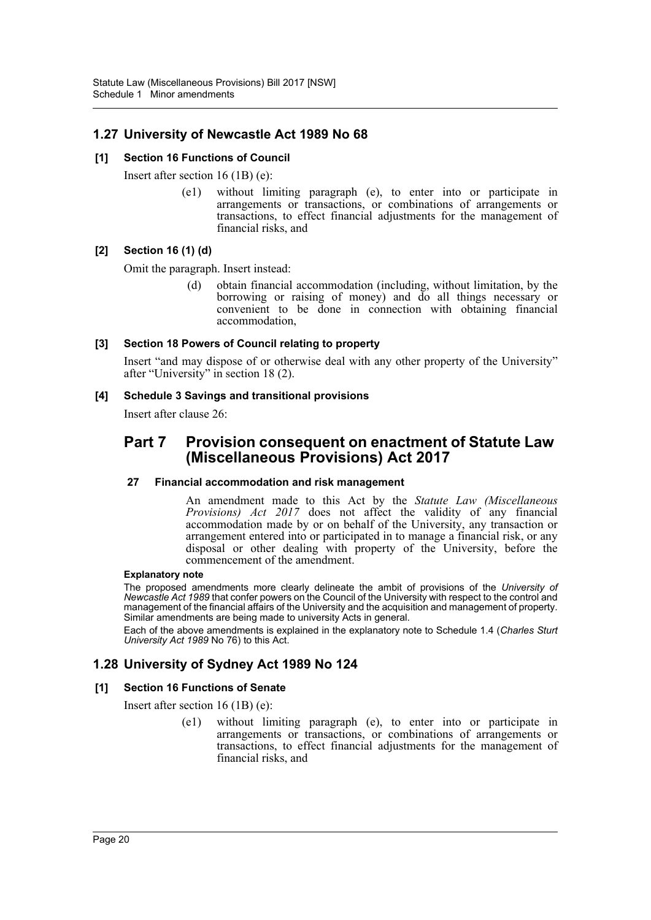## **1.27 University of Newcastle Act 1989 No 68**

#### **[1] Section 16 Functions of Council**

Insert after section 16 (1B) (e):

(e1) without limiting paragraph (e), to enter into or participate in arrangements or transactions, or combinations of arrangements or transactions, to effect financial adjustments for the management of financial risks, and

### **[2] Section 16 (1) (d)**

Omit the paragraph. Insert instead:

(d) obtain financial accommodation (including, without limitation, by the borrowing or raising of money) and do all things necessary or convenient to be done in connection with obtaining financial accommodation,

#### **[3] Section 18 Powers of Council relating to property**

Insert "and may dispose of or otherwise deal with any other property of the University" after "University" in section 18 (2).

#### **[4] Schedule 3 Savings and transitional provisions**

Insert after clause 26:

## **Part 7 Provision consequent on enactment of Statute Law (Miscellaneous Provisions) Act 2017**

#### **27 Financial accommodation and risk management**

An amendment made to this Act by the *Statute Law (Miscellaneous Provisions) Act 2017* does not affect the validity of any financial accommodation made by or on behalf of the University, any transaction or arrangement entered into or participated in to manage a financial risk, or any disposal or other dealing with property of the University, before the commencement of the amendment.

#### **Explanatory note**

The proposed amendments more clearly delineate the ambit of provisions of the *University of Newcastle Act 1989* that confer powers on the Council of the University with respect to the control and management of the financial affairs of the University and the acquisition and management of property. Similar amendments are being made to university Acts in general.

Each of the above amendments is explained in the explanatory note to Schedule 1.4 (*Charles Sturt University Act 1989* No 76) to this Act.

## **1.28 University of Sydney Act 1989 No 124**

### **[1] Section 16 Functions of Senate**

Insert after section 16 (1B) (e):

(e1) without limiting paragraph (e), to enter into or participate in arrangements or transactions, or combinations of arrangements or transactions, to effect financial adjustments for the management of financial risks, and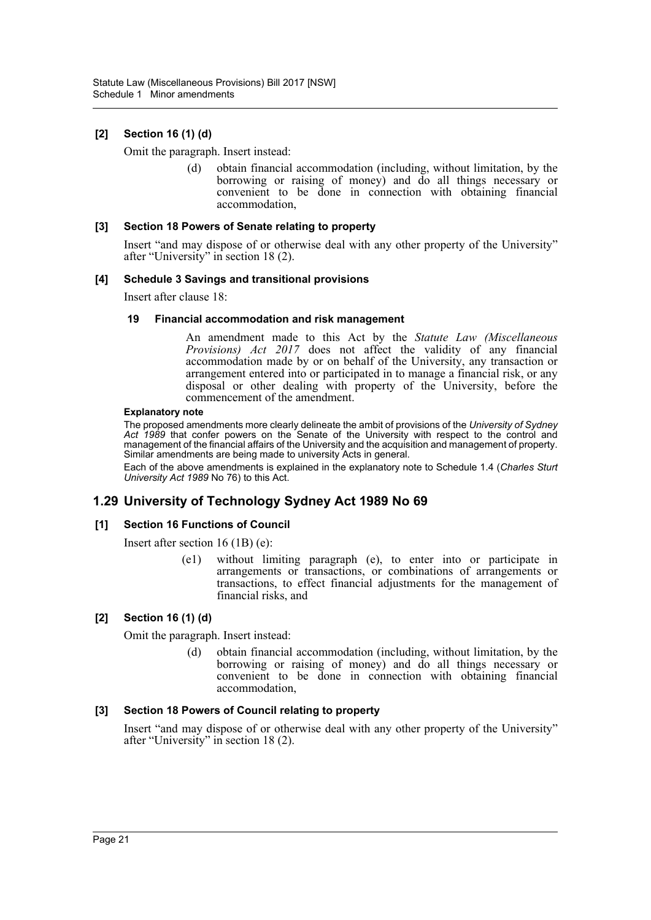## **[2] Section 16 (1) (d)**

Omit the paragraph. Insert instead:

(d) obtain financial accommodation (including, without limitation, by the borrowing or raising of money) and do all things necessary or convenient to be done in connection with obtaining financial accommodation,

#### **[3] Section 18 Powers of Senate relating to property**

Insert "and may dispose of or otherwise deal with any other property of the University" after "University" in section 18 (2).

#### **[4] Schedule 3 Savings and transitional provisions**

Insert after clause 18:

#### **19 Financial accommodation and risk management**

An amendment made to this Act by the *Statute Law (Miscellaneous Provisions) Act 2017* does not affect the validity of any financial accommodation made by or on behalf of the University, any transaction or arrangement entered into or participated in to manage a financial risk, or any disposal or other dealing with property of the University, before the commencement of the amendment.

#### **Explanatory note**

The proposed amendments more clearly delineate the ambit of provisions of the *University of Sydney Act 1989* that confer powers on the Senate of the University with respect to the control and management of the financial affairs of the University and the acquisition and management of property. Similar amendments are being made to university Acts in general.

Each of the above amendments is explained in the explanatory note to Schedule 1.4 (*Charles Sturt University Act 1989* No 76) to this Act.

## **1.29 University of Technology Sydney Act 1989 No 69**

#### **[1] Section 16 Functions of Council**

Insert after section 16 (1B) (e):

(e1) without limiting paragraph (e), to enter into or participate in arrangements or transactions, or combinations of arrangements or transactions, to effect financial adjustments for the management of financial risks, and

### **[2] Section 16 (1) (d)**

Omit the paragraph. Insert instead:

(d) obtain financial accommodation (including, without limitation, by the borrowing or raising of money) and do all things necessary or convenient to be done in connection with obtaining financial accommodation,

#### **[3] Section 18 Powers of Council relating to property**

Insert "and may dispose of or otherwise deal with any other property of the University" after "University" in section 18 (2).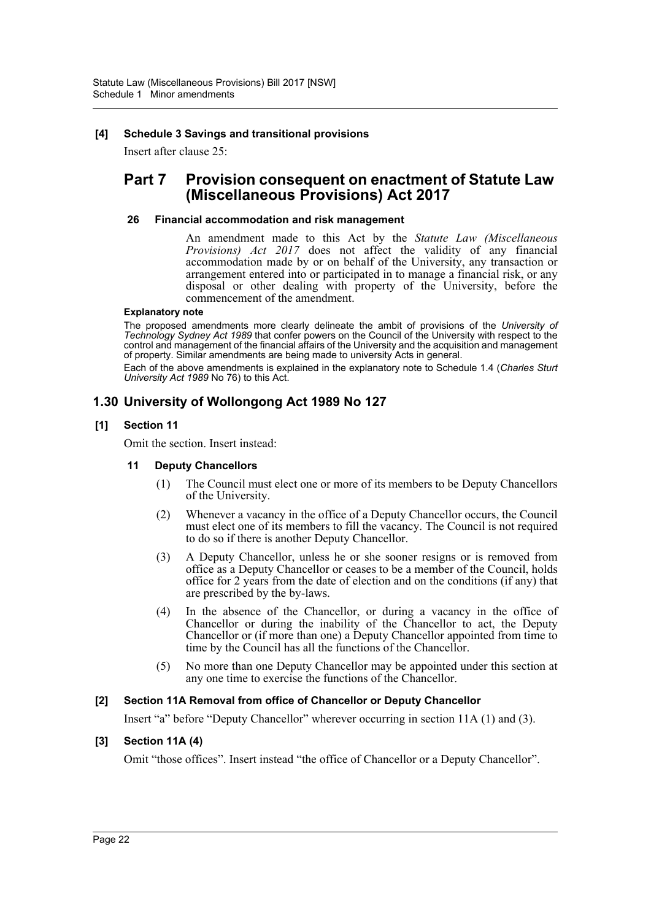#### **[4] Schedule 3 Savings and transitional provisions**

Insert after clause 25:

## **Part 7 Provision consequent on enactment of Statute Law (Miscellaneous Provisions) Act 2017**

#### **26 Financial accommodation and risk management**

An amendment made to this Act by the *Statute Law (Miscellaneous Provisions) Act 2017* does not affect the validity of any financial accommodation made by or on behalf of the University, any transaction or arrangement entered into or participated in to manage a financial risk, or any disposal or other dealing with property of the University, before the commencement of the amendment.

#### **Explanatory note**

The proposed amendments more clearly delineate the ambit of provisions of the *University of Technology Sydney Act 1989* that confer powers on the Council of the University with respect to the control and management of the financial affairs of the University and the acquisition and management of property. Similar amendments are being made to university Acts in general.

Each of the above amendments is explained in the explanatory note to Schedule 1.4 (*Charles Sturt University Act 1989* No 76) to this Act.

## **1.30 University of Wollongong Act 1989 No 127**

#### **[1] Section 11**

Omit the section. Insert instead:

#### **11 Deputy Chancellors**

- (1) The Council must elect one or more of its members to be Deputy Chancellors of the University.
- (2) Whenever a vacancy in the office of a Deputy Chancellor occurs, the Council must elect one of its members to fill the vacancy. The Council is not required to do so if there is another Deputy Chancellor.
- (3) A Deputy Chancellor, unless he or she sooner resigns or is removed from office as a Deputy Chancellor or ceases to be a member of the Council, holds office for 2 years from the date of election and on the conditions (if any) that are prescribed by the by-laws.
- (4) In the absence of the Chancellor, or during a vacancy in the office of Chancellor or during the inability of the Chancellor to act, the Deputy Chancellor or (if more than one) a Deputy Chancellor appointed from time to time by the Council has all the functions of the Chancellor.
- (5) No more than one Deputy Chancellor may be appointed under this section at any one time to exercise the functions of the Chancellor.

#### **[2] Section 11A Removal from office of Chancellor or Deputy Chancellor**

Insert "a" before "Deputy Chancellor" wherever occurring in section 11A (1) and (3).

### **[3] Section 11A (4)**

Omit "those offices". Insert instead "the office of Chancellor or a Deputy Chancellor".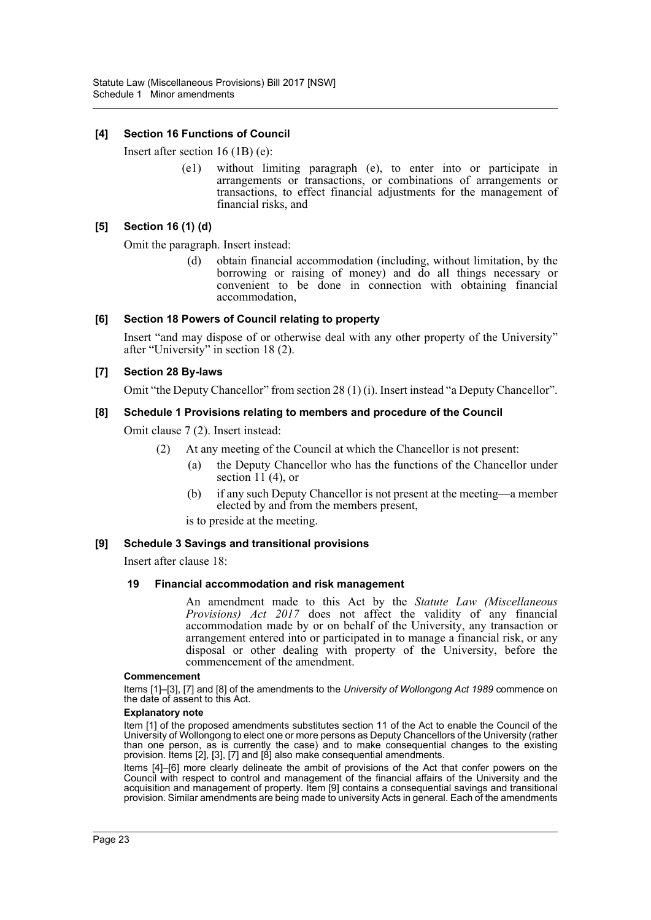#### **[4] Section 16 Functions of Council**

Insert after section 16 (1B) (e):

(e1) without limiting paragraph (e), to enter into or participate in arrangements or transactions, or combinations of arrangements or transactions, to effect financial adjustments for the management of financial risks, and

#### **[5] Section 16 (1) (d)**

Omit the paragraph. Insert instead:

(d) obtain financial accommodation (including, without limitation, by the borrowing or raising of money) and do all things necessary or convenient to be done in connection with obtaining financial accommodation,

#### **[6] Section 18 Powers of Council relating to property**

Insert "and may dispose of or otherwise deal with any other property of the University" after "University" in section 18 (2).

#### **[7] Section 28 By-laws**

Omit "the Deputy Chancellor" from section 28 (1) (i). Insert instead "a Deputy Chancellor".

#### **[8] Schedule 1 Provisions relating to members and procedure of the Council**

Omit clause 7 (2). Insert instead:

- (2) At any meeting of the Council at which the Chancellor is not present:
	- (a) the Deputy Chancellor who has the functions of the Chancellor under section  $11(4)$ , or
	- (b) if any such Deputy Chancellor is not present at the meeting—a member elected by and from the members present,

is to preside at the meeting.

#### **[9] Schedule 3 Savings and transitional provisions**

Insert after clause 18:

#### **19 Financial accommodation and risk management**

An amendment made to this Act by the *Statute Law (Miscellaneous Provisions) Act 2017* does not affect the validity of any financial accommodation made by or on behalf of the University, any transaction or arrangement entered into or participated in to manage a financial risk, or any disposal or other dealing with property of the University, before the commencement of the amendment.

#### **Commencement**

Items [1]–[3], [7] and [8] of the amendments to the *University of Wollongong Act 1989* commence on the date of assent to this Act.

#### **Explanatory note**

Item [1] of the proposed amendments substitutes section 11 of the Act to enable the Council of the University of Wollongong to elect one or more persons as Deputy Chancellors of the University (rather than one person, as is currently the case) and to make consequential changes to the existing provision. Items [2], [3], [7] and [8] also make consequential amendments.

Items [4]–[6] more clearly delineate the ambit of provisions of the Act that confer powers on the Council with respect to control and management of the financial affairs of the University and the acquisition and management of property. Item [9] contains a consequential savings and transitional provision. Similar amendments are being made to university Acts in general. Each of the amendments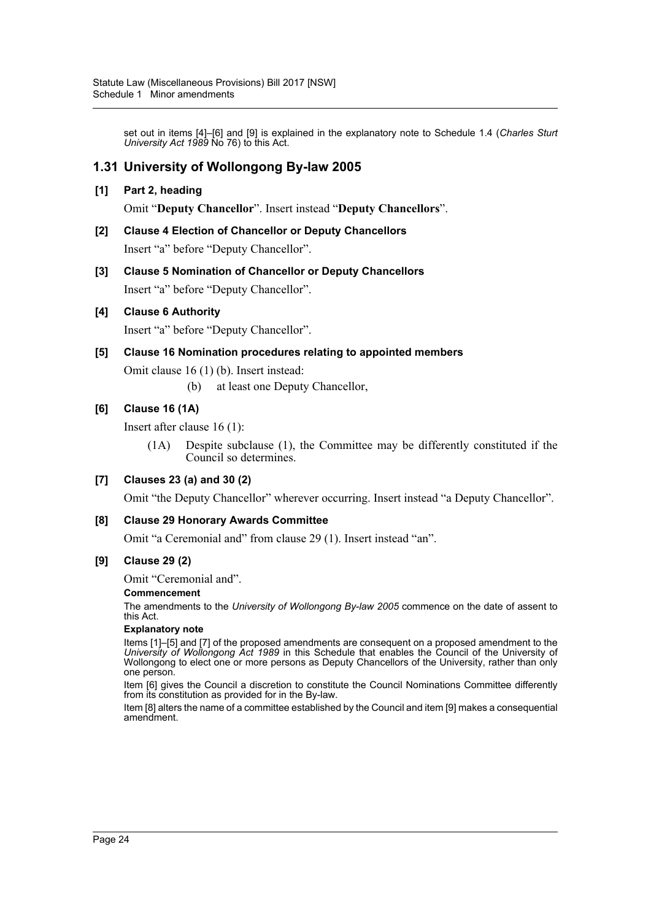set out in items [4]–[6] and [9] is explained in the explanatory note to Schedule 1.4 (*Charles Sturt University Act 1989* No 76) to this Act.

## **1.31 University of Wollongong By-law 2005**

#### **[1] Part 2, heading**

Omit "**Deputy Chancellor**". Insert instead "**Deputy Chancellors**".

- **[2] Clause 4 Election of Chancellor or Deputy Chancellors** Insert "a" before "Deputy Chancellor".
- **[3] Clause 5 Nomination of Chancellor or Deputy Chancellors** Insert "a" before "Deputy Chancellor".

#### **[4] Clause 6 Authority**

Insert "a" before "Deputy Chancellor".

#### **[5] Clause 16 Nomination procedures relating to appointed members**

Omit clause 16 (1) (b). Insert instead:

(b) at least one Deputy Chancellor,

#### **[6] Clause 16 (1A)**

Insert after clause 16 (1):

(1A) Despite subclause (1), the Committee may be differently constituted if the Council so determines.

#### **[7] Clauses 23 (a) and 30 (2)**

Omit "the Deputy Chancellor" wherever occurring. Insert instead "a Deputy Chancellor".

#### **[8] Clause 29 Honorary Awards Committee**

Omit "a Ceremonial and" from clause 29 (1). Insert instead "an".

#### **[9] Clause 29 (2)**

Omit "Ceremonial and".

#### **Commencement**

The amendments to the *University of Wollongong By-law 2005* commence on the date of assent to this Act.

#### **Explanatory note**

Items [1]–[5] and [7] of the proposed amendments are consequent on a proposed amendment to the *University of Wollongong Act 1989* in this Schedule that enables the Council of the University of Wollongong to elect one or more persons as Deputy Chancellors of the University, rather than only one person.

Item [6] gives the Council a discretion to constitute the Council Nominations Committee differently from its constitution as provided for in the By-law.

Item [8] alters the name of a committee established by the Council and item [9] makes a consequential amendment.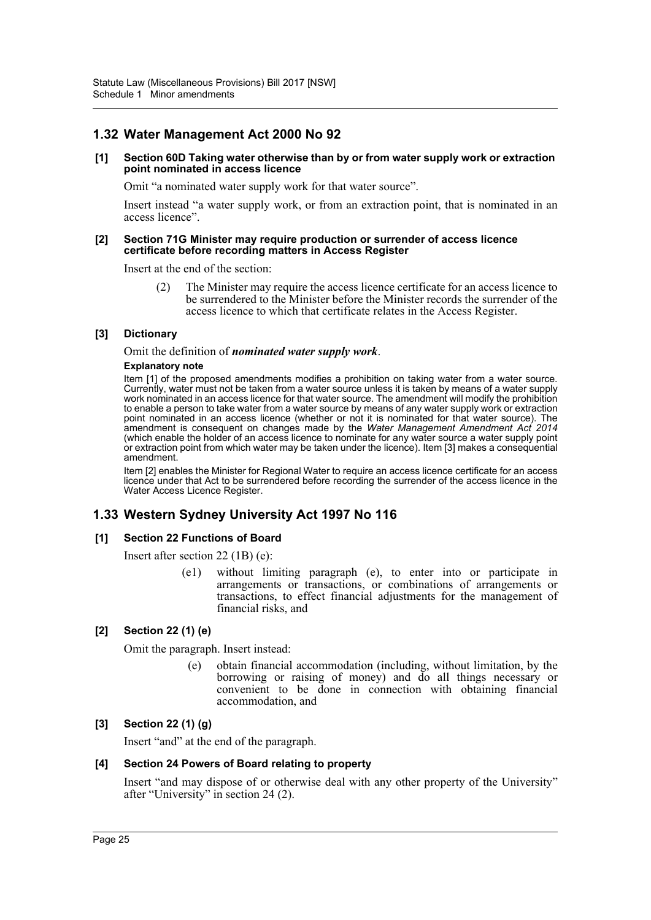## **1.32 Water Management Act 2000 No 92**

#### **[1] Section 60D Taking water otherwise than by or from water supply work or extraction point nominated in access licence**

Omit "a nominated water supply work for that water source".

Insert instead "a water supply work, or from an extraction point, that is nominated in an access licence".

#### **[2] Section 71G Minister may require production or surrender of access licence certificate before recording matters in Access Register**

Insert at the end of the section:

(2) The Minister may require the access licence certificate for an access licence to be surrendered to the Minister before the Minister records the surrender of the access licence to which that certificate relates in the Access Register.

#### **[3] Dictionary**

Omit the definition of *nominated water supply work*.

#### **Explanatory note**

Item [1] of the proposed amendments modifies a prohibition on taking water from a water source. Currently, water must not be taken from a water source unless it is taken by means of a water supply work nominated in an access licence for that water source. The amendment will modify the prohibition to enable a person to take water from a water source by means of any water supply work or extraction point nominated in an access licence (whether or not it is nominated for that water source). The amendment is consequent on changes made by the *Water Management Amendment Act 2014* (which enable the holder of an access licence to nominate for any water source a water supply point or extraction point from which water may be taken under the licence). Item [3] makes a consequential amendment.

Item [2] enables the Minister for Regional Water to require an access licence certificate for an access licence under that Act to be surrendered before recording the surrender of the access licence in the Water Access Licence Register.

## **1.33 Western Sydney University Act 1997 No 116**

#### **[1] Section 22 Functions of Board**

Insert after section 22 (1B) (e):

(e1) without limiting paragraph (e), to enter into or participate in arrangements or transactions, or combinations of arrangements or transactions, to effect financial adjustments for the management of financial risks, and

### **[2] Section 22 (1) (e)**

Omit the paragraph. Insert instead:

(e) obtain financial accommodation (including, without limitation, by the borrowing or raising of money) and do all things necessary or convenient to be done in connection with obtaining financial accommodation, and

#### **[3] Section 22 (1) (g)**

Insert "and" at the end of the paragraph.

#### **[4] Section 24 Powers of Board relating to property**

Insert "and may dispose of or otherwise deal with any other property of the University" after "University" in section 24 (2).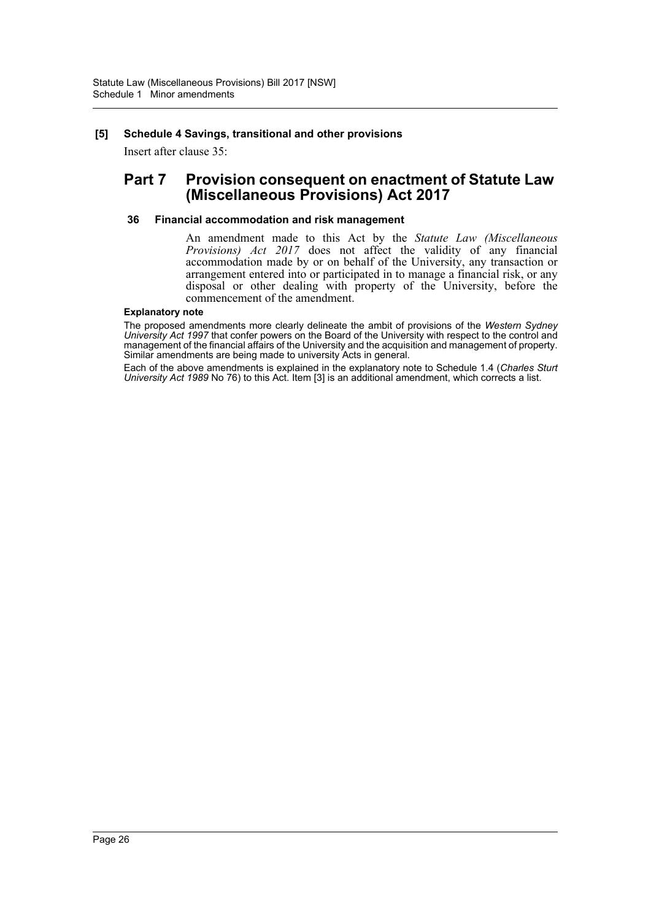#### **[5] Schedule 4 Savings, transitional and other provisions**

Insert after clause 35:

## **Part 7 Provision consequent on enactment of Statute Law (Miscellaneous Provisions) Act 2017**

#### **36 Financial accommodation and risk management**

An amendment made to this Act by the *Statute Law (Miscellaneous Provisions) Act 2017* does not affect the validity of any financial accommodation made by or on behalf of the University, any transaction or arrangement entered into or participated in to manage a financial risk, or any disposal or other dealing with property of the University, before the commencement of the amendment.

#### **Explanatory note**

The proposed amendments more clearly delineate the ambit of provisions of the *Western Sydney University Act 1997* that confer powers on the Board of the University with respect to the control and management of the financial affairs of the University and the acquisition and management of property. Similar amendments are being made to university Acts in general.

Each of the above amendments is explained in the explanatory note to Schedule 1.4 (*Charles Sturt University Act 1989* No 76) to this Act. Item [3] is an additional amendment, which corrects a list.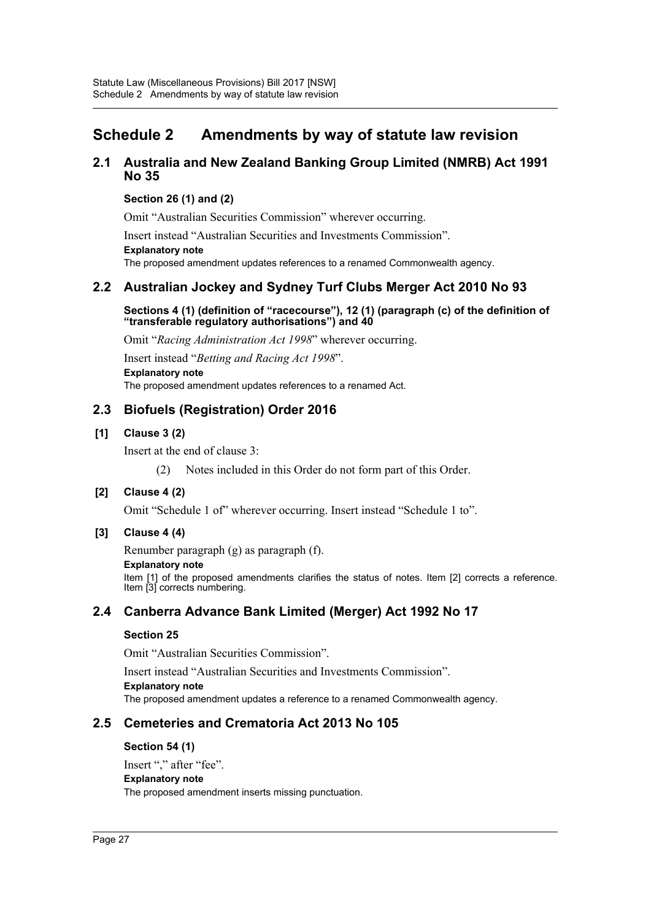## <span id="page-27-0"></span>**Schedule 2 Amendments by way of statute law revision**

## **2.1 Australia and New Zealand Banking Group Limited (NMRB) Act 1991 No 35**

### **Section 26 (1) and (2)**

Omit "Australian Securities Commission" wherever occurring.

Insert instead "Australian Securities and Investments Commission". **Explanatory note**

The proposed amendment updates references to a renamed Commonwealth agency.

## **2.2 Australian Jockey and Sydney Turf Clubs Merger Act 2010 No 93**

**Sections 4 (1) (definition of "racecourse"), 12 (1) (paragraph (c) of the definition of "transferable regulatory authorisations") and 40**

Omit "*Racing Administration Act 1998*" wherever occurring.

Insert instead "*Betting and Racing Act 1998*". **Explanatory note** The proposed amendment updates references to a renamed Act.

## **2.3 Biofuels (Registration) Order 2016**

#### **[1] Clause 3 (2)**

Insert at the end of clause 3:

(2) Notes included in this Order do not form part of this Order.

### **[2] Clause 4 (2)**

Omit "Schedule 1 of" wherever occurring. Insert instead "Schedule 1 to".

### **[3] Clause 4 (4)**

Renumber paragraph (g) as paragraph (f).

**Explanatory note**

Item [1] of the proposed amendments clarifies the status of notes. Item [2] corrects a reference. Item [3] corrects numbering.

## **2.4 Canberra Advance Bank Limited (Merger) Act 1992 No 17**

#### **Section 25**

Omit "Australian Securities Commission".

Insert instead "Australian Securities and Investments Commission".

**Explanatory note** The proposed amendment updates a reference to a renamed Commonwealth agency.

## **2.5 Cemeteries and Crematoria Act 2013 No 105**

#### **Section 54 (1)**

Insert "," after "fee". **Explanatory note** The proposed amendment inserts missing punctuation.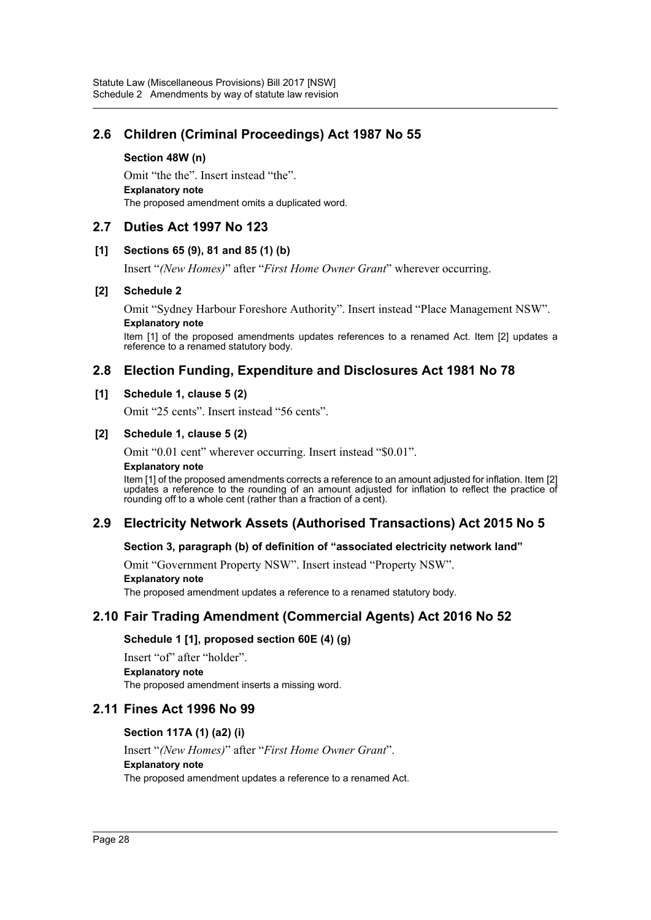## **2.6 Children (Criminal Proceedings) Act 1987 No 55**

#### **Section 48W (n)**

Omit "the the". Insert instead "the". **Explanatory note** The proposed amendment omits a duplicated word.

## **2.7 Duties Act 1997 No 123**

#### **[1] Sections 65 (9), 81 and 85 (1) (b)**

Insert "*(New Homes)*" after "*First Home Owner Grant*" wherever occurring.

#### **[2] Schedule 2**

Omit "Sydney Harbour Foreshore Authority". Insert instead "Place Management NSW". **Explanatory note**

Item [1] of the proposed amendments updates references to a renamed Act. Item [2] updates a reference to a renamed statutory body.

## **2.8 Election Funding, Expenditure and Disclosures Act 1981 No 78**

#### **[1] Schedule 1, clause 5 (2)**

Omit "25 cents". Insert instead "56 cents".

#### **[2] Schedule 1, clause 5 (2)**

Omit "0.01 cent" wherever occurring. Insert instead "\$0.01".

#### **Explanatory note**

Item [1] of the proposed amendments corrects a reference to an amount adjusted for inflation. Item [2] updates a reference to the rounding of an amount adjusted for inflation to reflect the practice of rounding off to a whole cent (rather than a fraction of a cent).

## **2.9 Electricity Network Assets (Authorised Transactions) Act 2015 No 5**

#### **Section 3, paragraph (b) of definition of "associated electricity network land"**

Omit "Government Property NSW". Insert instead "Property NSW".

#### **Explanatory note**

The proposed amendment updates a reference to a renamed statutory body.

## **2.10 Fair Trading Amendment (Commercial Agents) Act 2016 No 52**

### **Schedule 1 [1], proposed section 60E (4) (g)**

Insert "of" after "holder". **Explanatory note** The proposed amendment inserts a missing word.

## **2.11 Fines Act 1996 No 99**

#### **Section 117A (1) (a2) (i)**

Insert "*(New Homes)*" after "*First Home Owner Grant*". **Explanatory note** The proposed amendment updates a reference to a renamed Act.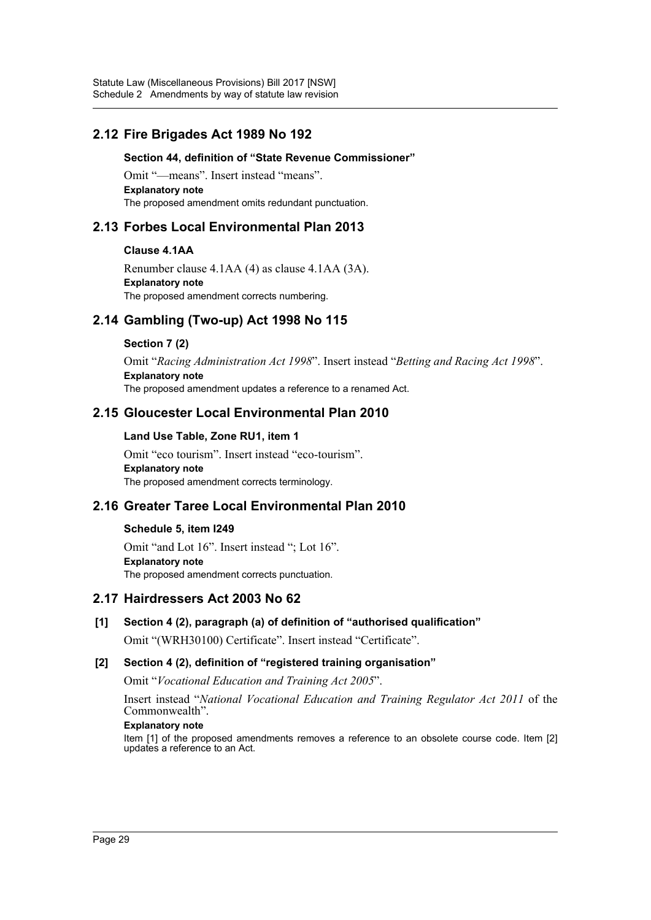## **2.12 Fire Brigades Act 1989 No 192**

#### **Section 44, definition of "State Revenue Commissioner"**

Omit "—means". Insert instead "means". **Explanatory note** The proposed amendment omits redundant punctuation.

## **2.13 Forbes Local Environmental Plan 2013**

#### **Clause 4.1AA**

Renumber clause 4.1AA (4) as clause 4.1AA (3A). **Explanatory note** The proposed amendment corrects numbering.

## **2.14 Gambling (Two-up) Act 1998 No 115**

#### **Section 7 (2)**

Omit "*Racing Administration Act 1998*". Insert instead "*Betting and Racing Act 1998*". **Explanatory note** The proposed amendment updates a reference to a renamed Act.

## **2.15 Gloucester Local Environmental Plan 2010**

#### **Land Use Table, Zone RU1, item 1**

Omit "eco tourism". Insert instead "eco-tourism". **Explanatory note** The proposed amendment corrects terminology.

## **2.16 Greater Taree Local Environmental Plan 2010**

#### **Schedule 5, item I249**

Omit "and Lot 16". Insert instead "; Lot 16". **Explanatory note** The proposed amendment corrects punctuation.

## **2.17 Hairdressers Act 2003 No 62**

**[1] Section 4 (2), paragraph (a) of definition of "authorised qualification"**

Omit "(WRH30100) Certificate". Insert instead "Certificate".

### **[2] Section 4 (2), definition of "registered training organisation"**

Omit "*Vocational Education and Training Act 2005*".

Insert instead "*National Vocational Education and Training Regulator Act 2011* of the Commonwealth".

#### **Explanatory note**

Item [1] of the proposed amendments removes a reference to an obsolete course code. Item [2] updates a reference to an Act.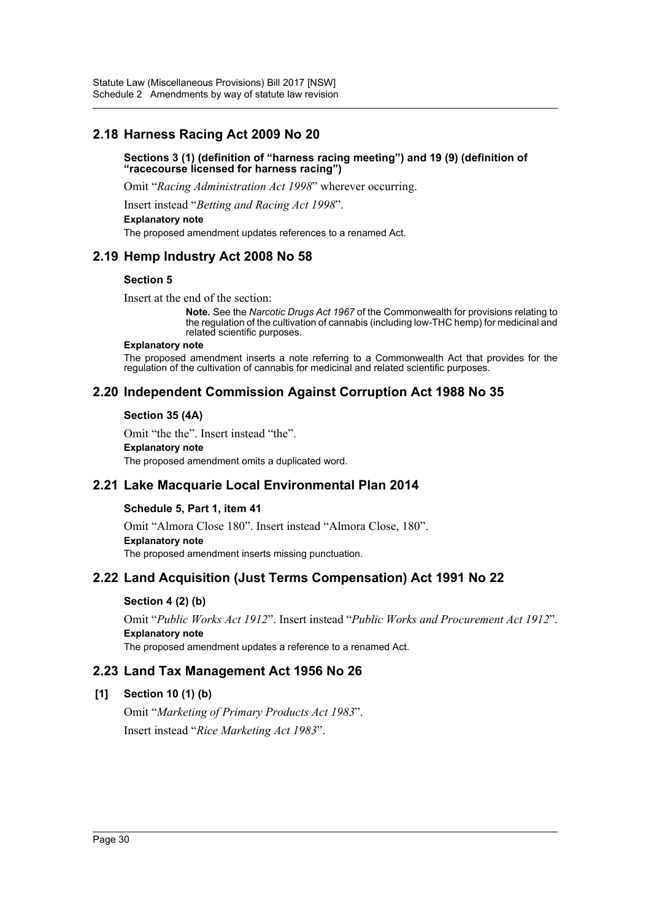## **2.18 Harness Racing Act 2009 No 20**

#### **Sections 3 (1) (definition of "harness racing meeting") and 19 (9) (definition of "racecourse licensed for harness racing")**

Omit "*Racing Administration Act 1998*" wherever occurring.

Insert instead "*Betting and Racing Act 1998*".

#### **Explanatory note**

The proposed amendment updates references to a renamed Act.

## **2.19 Hemp Industry Act 2008 No 58**

#### **Section 5**

Insert at the end of the section:

**Note.** See the *Narcotic Drugs Act 1967* of the Commonwealth for provisions relating to the regulation of the cultivation of cannabis (including low-THC hemp) for medicinal and related scientific purposes.

#### **Explanatory note**

The proposed amendment inserts a note referring to a Commonwealth Act that provides for the regulation of the cultivation of cannabis for medicinal and related scientific purposes.

## **2.20 Independent Commission Against Corruption Act 1988 No 35**

#### **Section 35 (4A)**

Omit "the the". Insert instead "the".

#### **Explanatory note**

The proposed amendment omits a duplicated word.

## **2.21 Lake Macquarie Local Environmental Plan 2014**

#### **Schedule 5, Part 1, item 41**

Omit "Almora Close 180". Insert instead "Almora Close, 180". **Explanatory note** The proposed amendment inserts missing punctuation.

## **2.22 Land Acquisition (Just Terms Compensation) Act 1991 No 22**

### **Section 4 (2) (b)**

Omit "*Public Works Act 1912*". Insert instead "*Public Works and Procurement Act 1912*". **Explanatory note** The proposed amendment updates a reference to a renamed Act.

### **2.23 Land Tax Management Act 1956 No 26**

### **[1] Section 10 (1) (b)**

Omit "*Marketing of Primary Products Act 1983*". Insert instead "*Rice Marketing Act 1983*".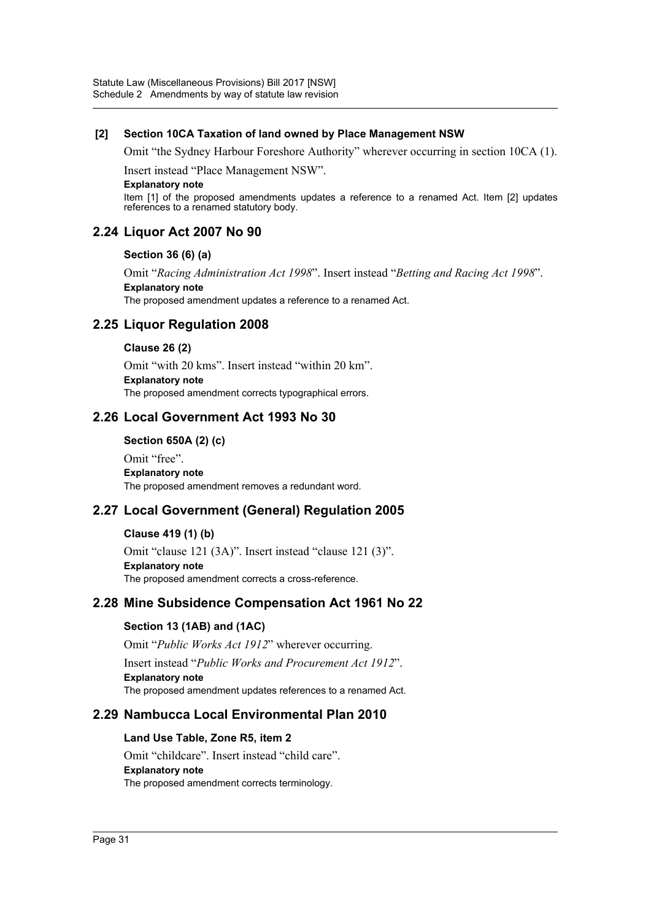#### **[2] Section 10CA Taxation of land owned by Place Management NSW**

Omit "the Sydney Harbour Foreshore Authority" wherever occurring in section 10CA (1).

Insert instead "Place Management NSW".

#### **Explanatory note**

Item [1] of the proposed amendments updates a reference to a renamed Act. Item [2] updates references to a renamed statutory body.

## **2.24 Liquor Act 2007 No 90**

#### **Section 36 (6) (a)**

Omit "*Racing Administration Act 1998*". Insert instead "*Betting and Racing Act 1998*". **Explanatory note**

The proposed amendment updates a reference to a renamed Act.

## **2.25 Liquor Regulation 2008**

#### **Clause 26 (2)**

Omit "with 20 kms". Insert instead "within 20 km". **Explanatory note** The proposed amendment corrects typographical errors.

### **2.26 Local Government Act 1993 No 30**

**Section 650A (2) (c)**

Omit "free". **Explanatory note** The proposed amendment removes a redundant word.

## **2.27 Local Government (General) Regulation 2005**

#### **Clause 419 (1) (b)**

Omit "clause 121 (3A)". Insert instead "clause 121 (3)". **Explanatory note** The proposed amendment corrects a cross-reference.

## **2.28 Mine Subsidence Compensation Act 1961 No 22**

### **Section 13 (1AB) and (1AC)**

Omit "*Public Works Act 1912*" wherever occurring. Insert instead "*Public Works and Procurement Act 1912*". **Explanatory note** The proposed amendment updates references to a renamed Act.

## **2.29 Nambucca Local Environmental Plan 2010**

#### **Land Use Table, Zone R5, item 2**

Omit "childcare". Insert instead "child care". **Explanatory note** The proposed amendment corrects terminology.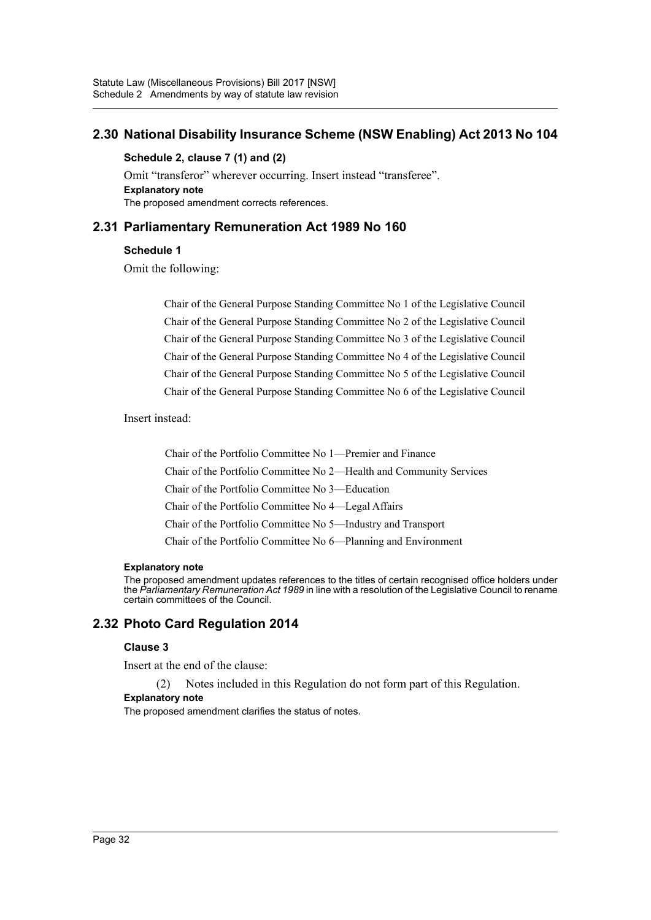## **2.30 National Disability Insurance Scheme (NSW Enabling) Act 2013 No 104**

#### **Schedule 2, clause 7 (1) and (2)**

Omit "transferor" wherever occurring. Insert instead "transferee". **Explanatory note** The proposed amendment corrects references.

## **2.31 Parliamentary Remuneration Act 1989 No 160**

### **Schedule 1**

Omit the following:

Chair of the General Purpose Standing Committee No 1 of the Legislative Council Chair of the General Purpose Standing Committee No 2 of the Legislative Council Chair of the General Purpose Standing Committee No 3 of the Legislative Council Chair of the General Purpose Standing Committee No 4 of the Legislative Council Chair of the General Purpose Standing Committee No 5 of the Legislative Council Chair of the General Purpose Standing Committee No 6 of the Legislative Council

Insert instead:

Chair of the Portfolio Committee No 1—Premier and Finance Chair of the Portfolio Committee No 2—Health and Community Services Chair of the Portfolio Committee No 3—Education Chair of the Portfolio Committee No 4—Legal Affairs Chair of the Portfolio Committee No 5—Industry and Transport Chair of the Portfolio Committee No 6—Planning and Environment

#### **Explanatory note**

The proposed amendment updates references to the titles of certain recognised office holders under the *Parliamentary Remuneration Act 1989* in line with a resolution of the Legislative Council to rename certain committees of the Council.

## **2.32 Photo Card Regulation 2014**

#### **Clause 3**

Insert at the end of the clause:

(2) Notes included in this Regulation do not form part of this Regulation.

### **Explanatory note**

The proposed amendment clarifies the status of notes.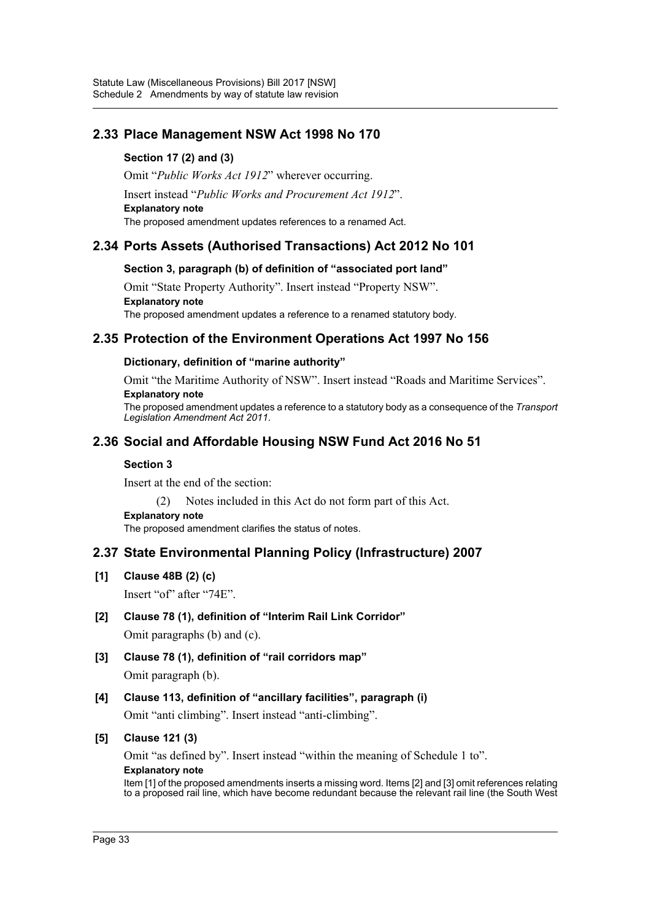## **2.33 Place Management NSW Act 1998 No 170**

## **Section 17 (2) and (3)**

Omit "*Public Works Act 1912*" wherever occurring.

Insert instead "*Public Works and Procurement Act 1912*".

**Explanatory note**

The proposed amendment updates references to a renamed Act.

## **2.34 Ports Assets (Authorised Transactions) Act 2012 No 101**

## **Section 3, paragraph (b) of definition of "associated port land"**

Omit "State Property Authority". Insert instead "Property NSW". **Explanatory note** The proposed amendment updates a reference to a renamed statutory body.

## **2.35 Protection of the Environment Operations Act 1997 No 156**

### **Dictionary, definition of "marine authority"**

Omit "the Maritime Authority of NSW". Insert instead "Roads and Maritime Services". **Explanatory note**

The proposed amendment updates a reference to a statutory body as a consequence of the *Transport Legislation Amendment Act 2011*.

## **2.36 Social and Affordable Housing NSW Fund Act 2016 No 51**

#### **Section 3**

Insert at the end of the section:

(2) Notes included in this Act do not form part of this Act.

**Explanatory note**

The proposed amendment clarifies the status of notes.

## **2.37 State Environmental Planning Policy (Infrastructure) 2007**

**[1] Clause 48B (2) (c)**

Insert "of" after "74E".

### **[2] Clause 78 (1), definition of "Interim Rail Link Corridor"**

Omit paragraphs (b) and (c).

- **[3] Clause 78 (1), definition of "rail corridors map"** Omit paragraph (b).
- **[4] Clause 113, definition of "ancillary facilities", paragraph (i)** Omit "anti climbing". Insert instead "anti-climbing".

### **[5] Clause 121 (3)**

Omit "as defined by". Insert instead "within the meaning of Schedule 1 to". **Explanatory note**

Item [1] of the proposed amendments inserts a missing word. Items [2] and [3] omit references relating to a proposed rail line, which have become redundant because the relevant rail line (the South West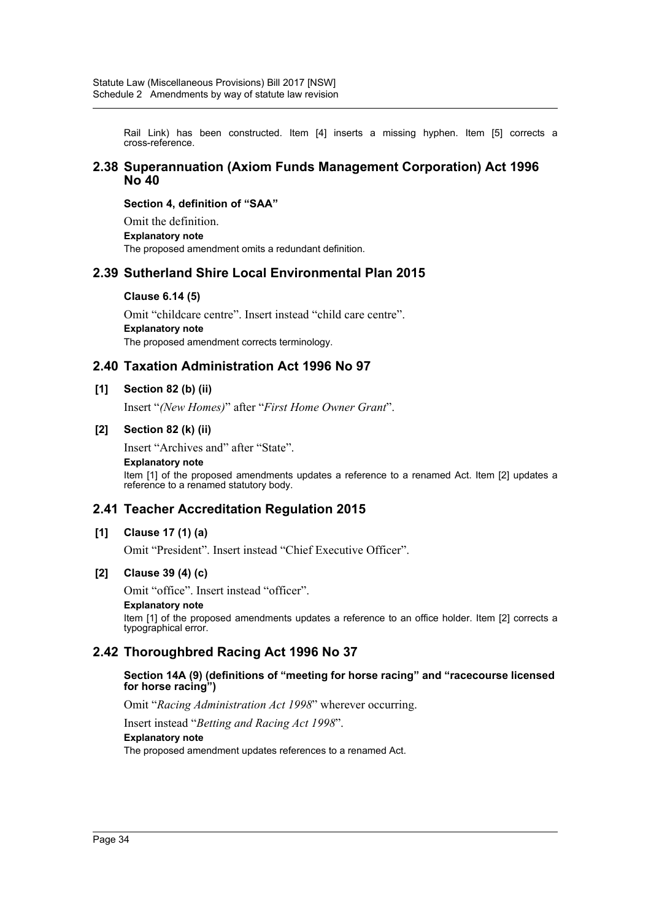Rail Link) has been constructed. Item [4] inserts a missing hyphen. Item [5] corrects a cross-reference.

#### **2.38 Superannuation (Axiom Funds Management Corporation) Act 1996 No 40**

#### **Section 4, definition of "SAA"**

Omit the definition. **Explanatory note** The proposed amendment omits a redundant definition.

### **2.39 Sutherland Shire Local Environmental Plan 2015**

#### **Clause 6.14 (5)**

Omit "childcare centre". Insert instead "child care centre". **Explanatory note** The proposed amendment corrects terminology.

### **2.40 Taxation Administration Act 1996 No 97**

#### **[1] Section 82 (b) (ii)**

Insert "*(New Homes)*" after "*First Home Owner Grant*".

#### **[2] Section 82 (k) (ii)**

Insert "Archives and" after "State".

#### **Explanatory note**

Item [1] of the proposed amendments updates a reference to a renamed Act. Item [2] updates a reference to a renamed statutory body.

### **2.41 Teacher Accreditation Regulation 2015**

#### **[1] Clause 17 (1) (a)**

Omit "President". Insert instead "Chief Executive Officer".

#### **[2] Clause 39 (4) (c)**

Omit "office". Insert instead "officer".

#### **Explanatory note**

Item [1] of the proposed amendments updates a reference to an office holder. Item [2] corrects a typographical error.

### **2.42 Thoroughbred Racing Act 1996 No 37**

#### **Section 14A (9) (definitions of "meeting for horse racing" and "racecourse licensed for horse racing")**

Omit "*Racing Administration Act 1998*" wherever occurring.

Insert instead "*Betting and Racing Act 1998*".

#### **Explanatory note**

The proposed amendment updates references to a renamed Act.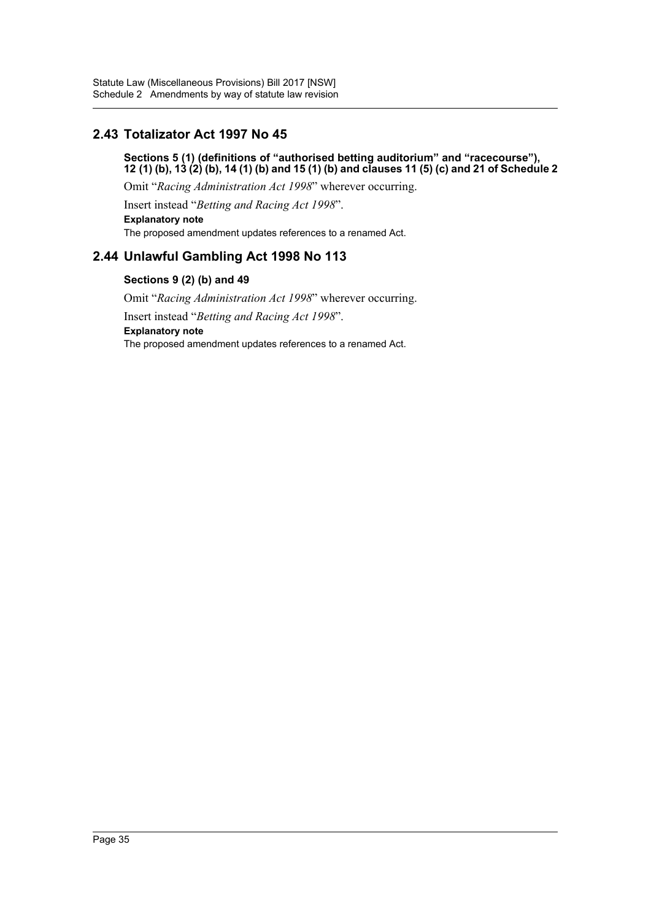## **2.43 Totalizator Act 1997 No 45**

**Sections 5 (1) (definitions of "authorised betting auditorium" and "racecourse"), 12 (1) (b), 13 (2) (b), 14 (1) (b) and 15 (1) (b) and clauses 11 (5) (c) and 21 of Schedule 2**

Omit "*Racing Administration Act 1998*" wherever occurring.

Insert instead "*Betting and Racing Act 1998*".

**Explanatory note** The proposed amendment updates references to a renamed Act.

## **2.44 Unlawful Gambling Act 1998 No 113**

### **Sections 9 (2) (b) and 49**

Omit "*Racing Administration Act 1998*" wherever occurring. Insert instead "*Betting and Racing Act 1998*". **Explanatory note** The proposed amendment updates references to a renamed Act.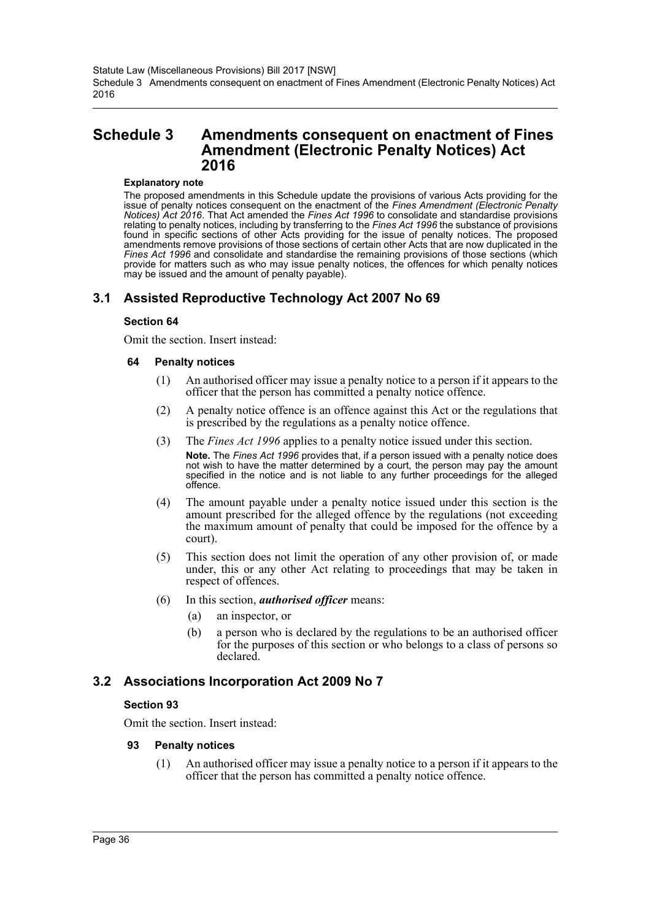# **Schedule 3 Amendments consequent on enactment of Fines Amendment (Electronic Penalty Notices) Act 2016**

#### **Explanatory note**

The proposed amendments in this Schedule update the provisions of various Acts providing for the issue of penalty notices consequent on the enactment of the *Fines Amendment (Electronic Penalty Notices) Act 2016*. That Act amended the *Fines Act 1996* to consolidate and standardise provisions relating to penalty notices, including by transferring to the *Fines Act 1996* the substance of provisions found in specific sections of other Acts providing for the issue of penalty notices. The proposed amendments remove provisions of those sections of certain other Acts that are now duplicated in the *Fines Act 1996* and consolidate and standardise the remaining provisions of those sections (which provide for matters such as who may issue penalty notices, the offences for which penalty notices may be issued and the amount of penalty payable).

# **3.1 Assisted Reproductive Technology Act 2007 No 69**

#### **Section 64**

Omit the section. Insert instead:

#### **64 Penalty notices**

- (1) An authorised officer may issue a penalty notice to a person if it appears to the officer that the person has committed a penalty notice offence.
- (2) A penalty notice offence is an offence against this Act or the regulations that is prescribed by the regulations as a penalty notice offence.
- (3) The *Fines Act 1996* applies to a penalty notice issued under this section. **Note.** The *Fines Act 1996* provides that, if a person issued with a penalty notice does not wish to have the matter determined by a court, the person may pay the amount specified in the notice and is not liable to any further proceedings for the alleged offence.
- (4) The amount payable under a penalty notice issued under this section is the amount prescribed for the alleged offence by the regulations (not exceeding the maximum amount of penalty that could be imposed for the offence by a court).
- (5) This section does not limit the operation of any other provision of, or made under, this or any other Act relating to proceedings that may be taken in respect of offences.
- (6) In this section, *authorised officer* means:
	- (a) an inspector, or
	- (b) a person who is declared by the regulations to be an authorised officer for the purposes of this section or who belongs to a class of persons so declared.

## **3.2 Associations Incorporation Act 2009 No 7**

### **Section 93**

Omit the section. Insert instead:

### **93 Penalty notices**

(1) An authorised officer may issue a penalty notice to a person if it appears to the officer that the person has committed a penalty notice offence.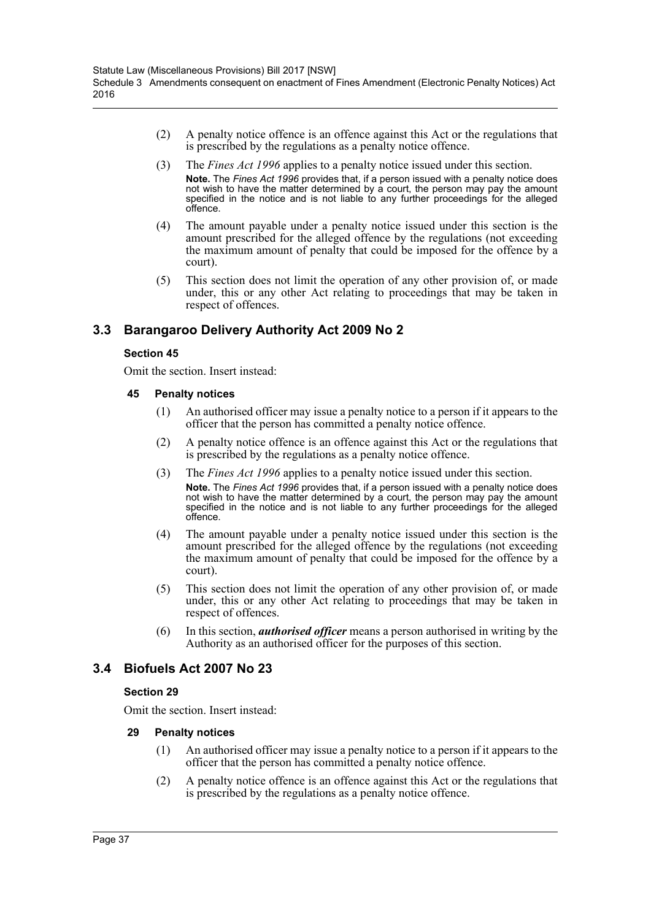- (2) A penalty notice offence is an offence against this Act or the regulations that is prescribed by the regulations as a penalty notice offence.
- (3) The *Fines Act 1996* applies to a penalty notice issued under this section. **Note.** The *Fines Act 1996* provides that, if a person issued with a penalty notice does not wish to have the matter determined by a court, the person may pay the amount specified in the notice and is not liable to any further proceedings for the alleged offence.
- (4) The amount payable under a penalty notice issued under this section is the amount prescribed for the alleged offence by the regulations (not exceeding the maximum amount of penalty that could be imposed for the offence by a court).
- (5) This section does not limit the operation of any other provision of, or made under, this or any other Act relating to proceedings that may be taken in respect of offences.

# **3.3 Barangaroo Delivery Authority Act 2009 No 2**

### **Section 45**

Omit the section. Insert instead:

### **45 Penalty notices**

- (1) An authorised officer may issue a penalty notice to a person if it appears to the officer that the person has committed a penalty notice offence.
- (2) A penalty notice offence is an offence against this Act or the regulations that is prescribed by the regulations as a penalty notice offence.
- (3) The *Fines Act 1996* applies to a penalty notice issued under this section. **Note.** The *Fines Act 1996* provides that, if a person issued with a penalty notice does not wish to have the matter determined by a court, the person may pay the amount specified in the notice and is not liable to any further proceedings for the alleged offence.
- (4) The amount payable under a penalty notice issued under this section is the amount prescribed for the alleged offence by the regulations (not exceeding the maximum amount of penalty that could be imposed for the offence by a court).
- (5) This section does not limit the operation of any other provision of, or made under, this or any other Act relating to proceedings that may be taken in respect of offences.
- (6) In this section, *authorised officer* means a person authorised in writing by the Authority as an authorised officer for the purposes of this section.

# **3.4 Biofuels Act 2007 No 23**

## **Section 29**

Omit the section. Insert instead:

- (1) An authorised officer may issue a penalty notice to a person if it appears to the officer that the person has committed a penalty notice offence.
- (2) A penalty notice offence is an offence against this Act or the regulations that is prescribed by the regulations as a penalty notice offence.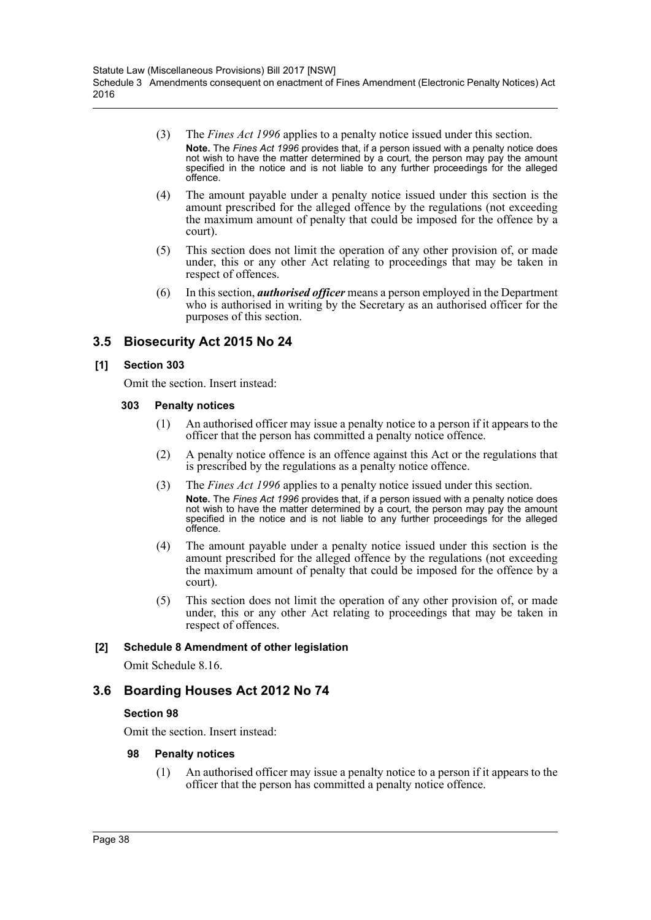- (3) The *Fines Act 1996* applies to a penalty notice issued under this section. **Note.** The *Fines Act 1996* provides that, if a person issued with a penalty notice does not wish to have the matter determined by a court, the person may pay the amount specified in the notice and is not liable to any further proceedings for the alleged offence.
- (4) The amount payable under a penalty notice issued under this section is the amount prescribed for the alleged offence by the regulations (not exceeding the maximum amount of penalty that could be imposed for the offence by a court).
- (5) This section does not limit the operation of any other provision of, or made under, this or any other Act relating to proceedings that may be taken in respect of offences.
- (6) In this section, *authorised officer* means a person employed in the Department who is authorised in writing by the Secretary as an authorised officer for the purposes of this section.

# **3.5 Biosecurity Act 2015 No 24**

### **[1] Section 303**

Omit the section. Insert instead:

### **303 Penalty notices**

- (1) An authorised officer may issue a penalty notice to a person if it appears to the officer that the person has committed a penalty notice offence.
- (2) A penalty notice offence is an offence against this Act or the regulations that is prescribed by the regulations as a penalty notice offence.
- (3) The *Fines Act 1996* applies to a penalty notice issued under this section. **Note.** The *Fines Act 1996* provides that, if a person issued with a penalty notice does not wish to have the matter determined by a court, the person may pay the amount specified in the notice and is not liable to any further proceedings for the alleged offence.
- (4) The amount payable under a penalty notice issued under this section is the amount prescribed for the alleged offence by the regulations (not exceeding the maximum amount of penalty that could be imposed for the offence by a court).
- (5) This section does not limit the operation of any other provision of, or made under, this or any other Act relating to proceedings that may be taken in respect of offences.

## **[2] Schedule 8 Amendment of other legislation**

Omit Schedule 8.16.

# **3.6 Boarding Houses Act 2012 No 74**

## **Section 98**

Omit the section. Insert instead:

### **98 Penalty notices**

(1) An authorised officer may issue a penalty notice to a person if it appears to the officer that the person has committed a penalty notice offence.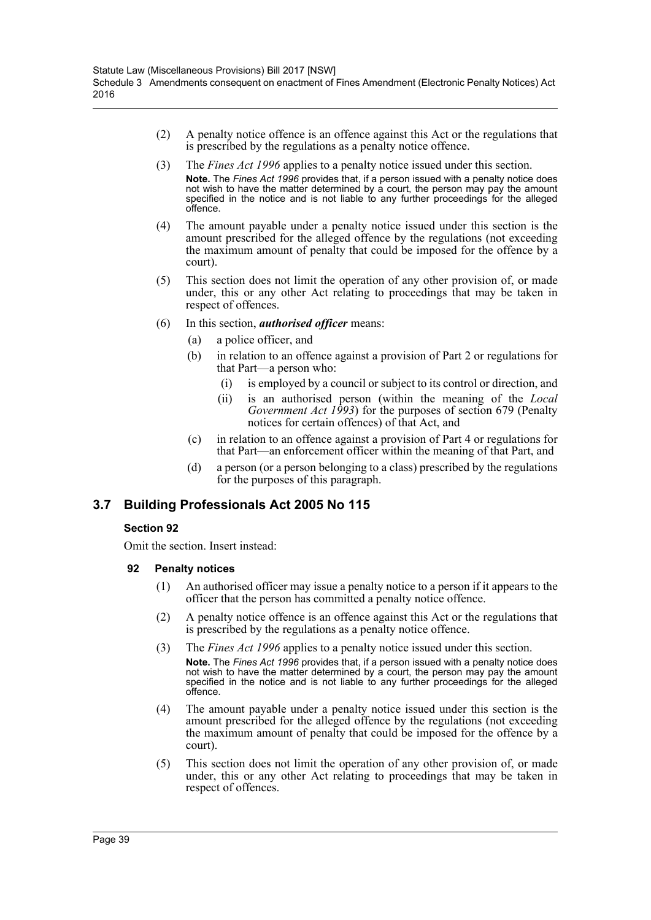- (2) A penalty notice offence is an offence against this Act or the regulations that is prescribed by the regulations as a penalty notice offence.
- (3) The *Fines Act 1996* applies to a penalty notice issued under this section. **Note.** The *Fines Act 1996* provides that, if a person issued with a penalty notice does not wish to have the matter determined by a court, the person may pay the amount specified in the notice and is not liable to any further proceedings for the alleged offence.
- (4) The amount payable under a penalty notice issued under this section is the amount prescribed for the alleged offence by the regulations (not exceeding the maximum amount of penalty that could be imposed for the offence by a court).
- (5) This section does not limit the operation of any other provision of, or made under, this or any other Act relating to proceedings that may be taken in respect of offences.
- (6) In this section, *authorised officer* means:
	- (a) a police officer, and
	- (b) in relation to an offence against a provision of Part 2 or regulations for that Part—a person who:
		- (i) is employed by a council or subject to its control or direction, and
		- (ii) is an authorised person (within the meaning of the *Local Government Act 1993*) for the purposes of section 679 (Penalty notices for certain offences) of that Act, and
	- (c) in relation to an offence against a provision of Part 4 or regulations for that Part—an enforcement officer within the meaning of that Part, and
	- (d) a person (or a person belonging to a class) prescribed by the regulations for the purposes of this paragraph.

# **3.7 Building Professionals Act 2005 No 115**

### **Section 92**

Omit the section. Insert instead:

- (1) An authorised officer may issue a penalty notice to a person if it appears to the officer that the person has committed a penalty notice offence.
- (2) A penalty notice offence is an offence against this Act or the regulations that is prescribed by the regulations as a penalty notice offence.
- (3) The *Fines Act 1996* applies to a penalty notice issued under this section. **Note.** The *Fines Act 1996* provides that, if a person issued with a penalty notice does not wish to have the matter determined by a court, the person may pay the amount specified in the notice and is not liable to any further proceedings for the alleged offence.
- (4) The amount payable under a penalty notice issued under this section is the amount prescribed for the alleged offence by the regulations (not exceeding the maximum amount of penalty that could be imposed for the offence by a court).
- (5) This section does not limit the operation of any other provision of, or made under, this or any other Act relating to proceedings that may be taken in respect of offences.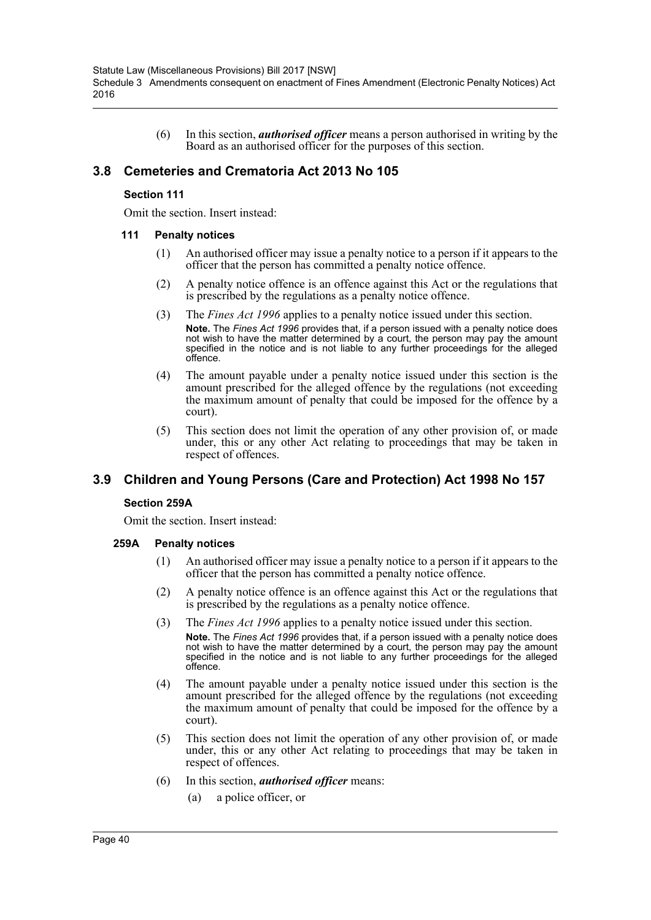(6) In this section, *authorised officer* means a person authorised in writing by the Board as an authorised officer for the purposes of this section.

## **3.8 Cemeteries and Crematoria Act 2013 No 105**

### **Section 111**

Omit the section. Insert instead:

#### **111 Penalty notices**

- (1) An authorised officer may issue a penalty notice to a person if it appears to the officer that the person has committed a penalty notice offence.
- (2) A penalty notice offence is an offence against this Act or the regulations that is prescribed by the regulations as a penalty notice offence.
- (3) The *Fines Act 1996* applies to a penalty notice issued under this section. **Note.** The *Fines Act 1996* provides that, if a person issued with a penalty notice does not wish to have the matter determined by a court, the person may pay the amount specified in the notice and is not liable to any further proceedings for the alleged offence.
- (4) The amount payable under a penalty notice issued under this section is the amount prescribed for the alleged offence by the regulations (not exceeding the maximum amount of penalty that could be imposed for the offence by a court).
- (5) This section does not limit the operation of any other provision of, or made under, this or any other Act relating to proceedings that may be taken in respect of offences.

## **3.9 Children and Young Persons (Care and Protection) Act 1998 No 157**

### **Section 259A**

Omit the section. Insert instead:

- (1) An authorised officer may issue a penalty notice to a person if it appears to the officer that the person has committed a penalty notice offence.
- (2) A penalty notice offence is an offence against this Act or the regulations that is prescribed by the regulations as a penalty notice offence.
- (3) The *Fines Act 1996* applies to a penalty notice issued under this section.
	- **Note.** The *Fines Act 1996* provides that, if a person issued with a penalty notice does not wish to have the matter determined by a court, the person may pay the amount specified in the notice and is not liable to any further proceedings for the alleged offence.
- (4) The amount payable under a penalty notice issued under this section is the amount prescribed for the alleged offence by the regulations (not exceeding the maximum amount of penalty that could be imposed for the offence by a court).
- (5) This section does not limit the operation of any other provision of, or made under, this or any other Act relating to proceedings that may be taken in respect of offences.
- (6) In this section, *authorised officer* means:
	- (a) a police officer, or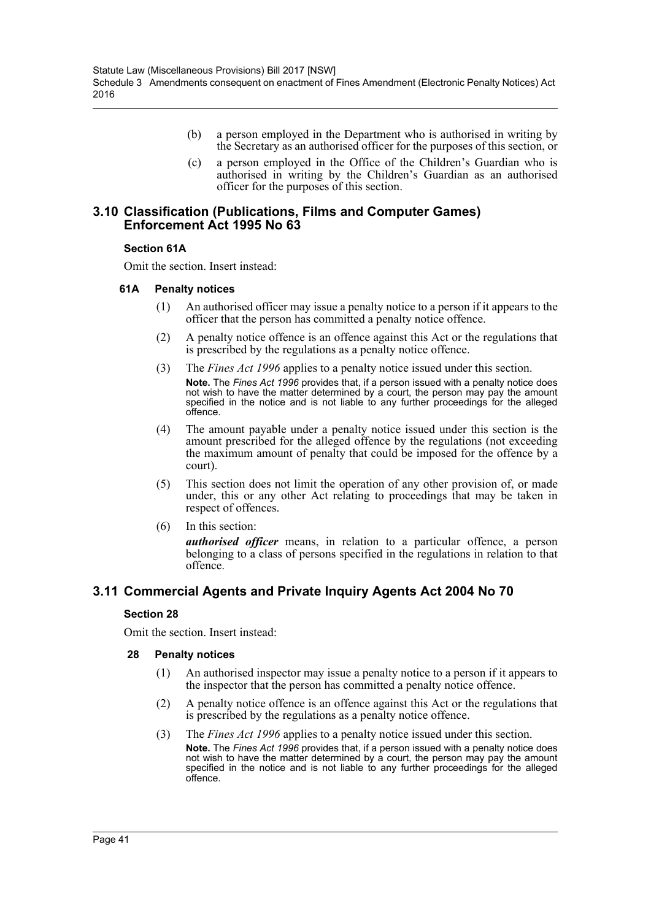- (b) a person employed in the Department who is authorised in writing by the Secretary as an authorised officer for the purposes of this section, or
- (c) a person employed in the Office of the Children's Guardian who is authorised in writing by the Children's Guardian as an authorised officer for the purposes of this section.

### **3.10 Classification (Publications, Films and Computer Games) Enforcement Act 1995 No 63**

### **Section 61A**

Omit the section. Insert instead:

### **61A Penalty notices**

- (1) An authorised officer may issue a penalty notice to a person if it appears to the officer that the person has committed a penalty notice offence.
- (2) A penalty notice offence is an offence against this Act or the regulations that is prescribed by the regulations as a penalty notice offence.
- (3) The *Fines Act 1996* applies to a penalty notice issued under this section. **Note.** The *Fines Act 1996* provides that, if a person issued with a penalty notice does not wish to have the matter determined by a court, the person may pay the amount specified in the notice and is not liable to any further proceedings for the alleged offence.
- (4) The amount payable under a penalty notice issued under this section is the amount prescribed for the alleged offence by the regulations (not exceeding the maximum amount of penalty that could be imposed for the offence by a court).
- (5) This section does not limit the operation of any other provision of, or made under, this or any other Act relating to proceedings that may be taken in respect of offences.
- (6) In this section:

*authorised officer* means, in relation to a particular offence, a person belonging to a class of persons specified in the regulations in relation to that offence.

# **3.11 Commercial Agents and Private Inquiry Agents Act 2004 No 70**

### **Section 28**

Omit the section. Insert instead:

- (1) An authorised inspector may issue a penalty notice to a person if it appears to the inspector that the person has committed a penalty notice offence.
- (2) A penalty notice offence is an offence against this Act or the regulations that is prescribed by the regulations as a penalty notice offence.
- (3) The *Fines Act 1996* applies to a penalty notice issued under this section. **Note.** The *Fines Act 1996* provides that, if a person issued with a penalty notice does not wish to have the matter determined by a court, the person may pay the amount specified in the notice and is not liable to any further proceedings for the alleged offence.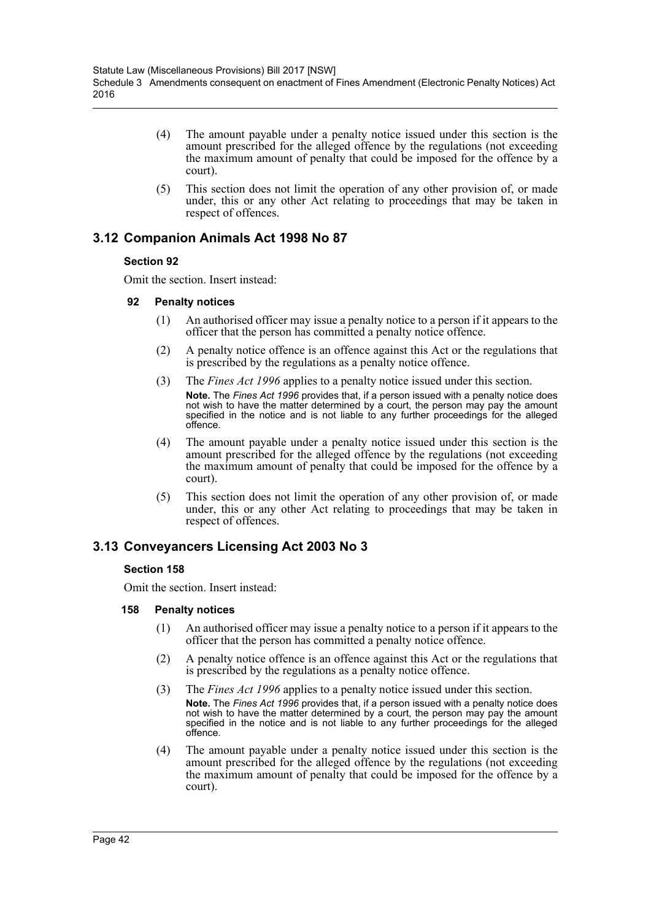- (4) The amount payable under a penalty notice issued under this section is the amount prescribed for the alleged offence by the regulations (not exceeding the maximum amount of penalty that could be imposed for the offence by a court).
- (5) This section does not limit the operation of any other provision of, or made under, this or any other Act relating to proceedings that may be taken in respect of offences.

# **3.12 Companion Animals Act 1998 No 87**

## **Section 92**

Omit the section. Insert instead:

### **92 Penalty notices**

- (1) An authorised officer may issue a penalty notice to a person if it appears to the officer that the person has committed a penalty notice offence.
- (2) A penalty notice offence is an offence against this Act or the regulations that is prescribed by the regulations as a penalty notice offence.
- (3) The *Fines Act 1996* applies to a penalty notice issued under this section. **Note.** The *Fines Act 1996* provides that, if a person issued with a penalty notice does not wish to have the matter determined by a court, the person may pay the amount specified in the notice and is not liable to any further proceedings for the alleged offence.
- (4) The amount payable under a penalty notice issued under this section is the amount prescribed for the alleged offence by the regulations (not exceeding the maximum amount of penalty that could be imposed for the offence by a court).
- (5) This section does not limit the operation of any other provision of, or made under, this or any other Act relating to proceedings that may be taken in respect of offences.

# **3.13 Conveyancers Licensing Act 2003 No 3**

### **Section 158**

Omit the section. Insert instead:

- (1) An authorised officer may issue a penalty notice to a person if it appears to the officer that the person has committed a penalty notice offence.
- (2) A penalty notice offence is an offence against this Act or the regulations that is prescribed by the regulations as a penalty notice offence.
- (3) The *Fines Act 1996* applies to a penalty notice issued under this section. **Note.** The *Fines Act 1996* provides that, if a person issued with a penalty notice does not wish to have the matter determined by a court, the person may pay the amount specified in the notice and is not liable to any further proceedings for the alleged offence.
- (4) The amount payable under a penalty notice issued under this section is the amount prescribed for the alleged offence by the regulations (not exceeding the maximum amount of penalty that could be imposed for the offence by a court).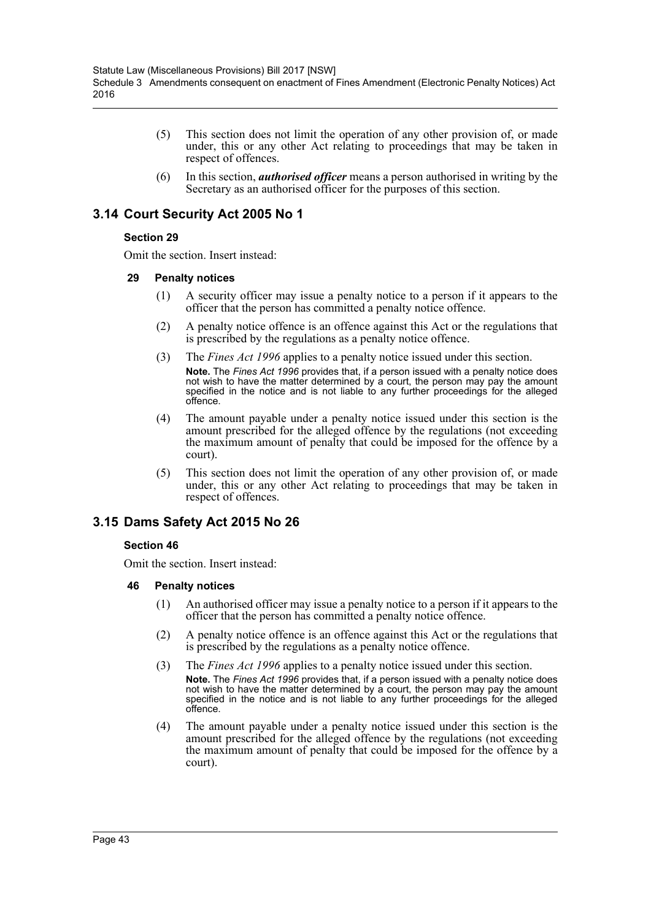- (5) This section does not limit the operation of any other provision of, or made under, this or any other Act relating to proceedings that may be taken in respect of offences.
- (6) In this section, *authorised officer* means a person authorised in writing by the Secretary as an authorised officer for the purposes of this section.

# **3.14 Court Security Act 2005 No 1**

### **Section 29**

Omit the section. Insert instead:

### **29 Penalty notices**

- (1) A security officer may issue a penalty notice to a person if it appears to the officer that the person has committed a penalty notice offence.
- (2) A penalty notice offence is an offence against this Act or the regulations that is prescribed by the regulations as a penalty notice offence.
- (3) The *Fines Act 1996* applies to a penalty notice issued under this section. **Note.** The *Fines Act 1996* provides that, if a person issued with a penalty notice does not wish to have the matter determined by a court, the person may pay the amount specified in the notice and is not liable to any further proceedings for the alleged offence.
- (4) The amount payable under a penalty notice issued under this section is the amount prescribed for the alleged offence by the regulations (not exceeding the maximum amount of penalty that could be imposed for the offence by a court).
- (5) This section does not limit the operation of any other provision of, or made under, this or any other Act relating to proceedings that may be taken in respect of offences.

# **3.15 Dams Safety Act 2015 No 26**

### **Section 46**

Omit the section. Insert instead:

- (1) An authorised officer may issue a penalty notice to a person if it appears to the officer that the person has committed a penalty notice offence.
- (2) A penalty notice offence is an offence against this Act or the regulations that is prescribed by the regulations as a penalty notice offence.
- (3) The *Fines Act 1996* applies to a penalty notice issued under this section. **Note.** The *Fines Act 1996* provides that, if a person issued with a penalty notice does not wish to have the matter determined by a court, the person may pay the amount specified in the notice and is not liable to any further proceedings for the alleged offence.
- (4) The amount payable under a penalty notice issued under this section is the amount prescribed for the alleged offence by the regulations (not exceeding the maximum amount of penalty that could be imposed for the offence by a court).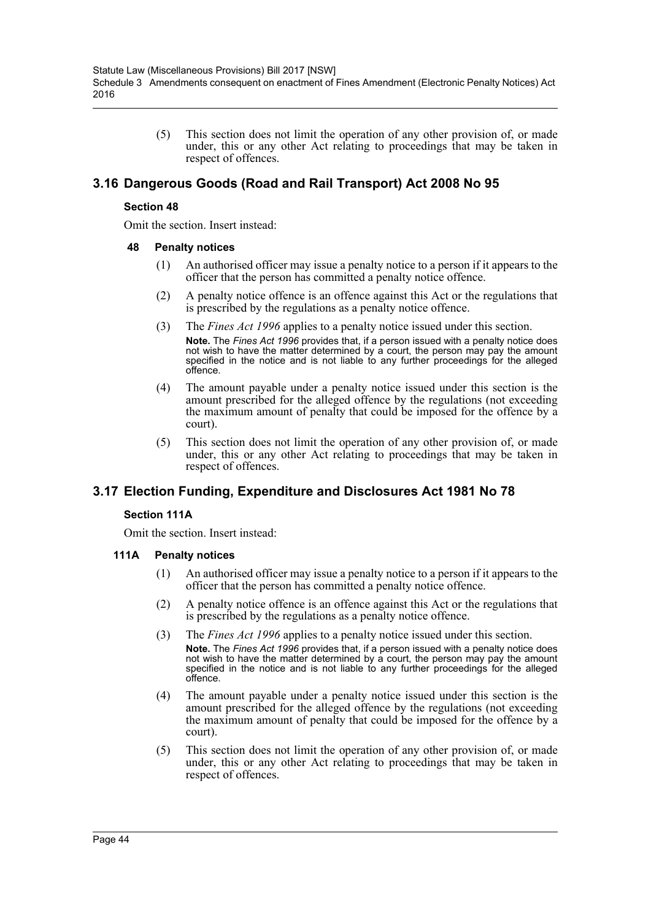(5) This section does not limit the operation of any other provision of, or made under, this or any other Act relating to proceedings that may be taken in respect of offences.

# **3.16 Dangerous Goods (Road and Rail Transport) Act 2008 No 95**

#### **Section 48**

Omit the section. Insert instead:

#### **48 Penalty notices**

- (1) An authorised officer may issue a penalty notice to a person if it appears to the officer that the person has committed a penalty notice offence.
- (2) A penalty notice offence is an offence against this Act or the regulations that is prescribed by the regulations as a penalty notice offence.
- (3) The *Fines Act 1996* applies to a penalty notice issued under this section. **Note.** The *Fines Act 1996* provides that, if a person issued with a penalty notice does not wish to have the matter determined by a court, the person may pay the amount specified in the notice and is not liable to any further proceedings for the alleged offence.
- (4) The amount payable under a penalty notice issued under this section is the amount prescribed for the alleged offence by the regulations (not exceeding the maximum amount of penalty that could be imposed for the offence by a court).
- (5) This section does not limit the operation of any other provision of, or made under, this or any other Act relating to proceedings that may be taken in respect of offences.

# **3.17 Election Funding, Expenditure and Disclosures Act 1981 No 78**

### **Section 111A**

Omit the section. Insert instead:

- (1) An authorised officer may issue a penalty notice to a person if it appears to the officer that the person has committed a penalty notice offence.
- (2) A penalty notice offence is an offence against this Act or the regulations that is prescribed by the regulations as a penalty notice offence.
- (3) The *Fines Act 1996* applies to a penalty notice issued under this section. **Note.** The *Fines Act 1996* provides that, if a person issued with a penalty notice does not wish to have the matter determined by a court, the person may pay the amount specified in the notice and is not liable to any further proceedings for the alleged offence.
- (4) The amount payable under a penalty notice issued under this section is the amount prescribed for the alleged offence by the regulations (not exceeding the maximum amount of penalty that could be imposed for the offence by a court).
- (5) This section does not limit the operation of any other provision of, or made under, this or any other Act relating to proceedings that may be taken in respect of offences.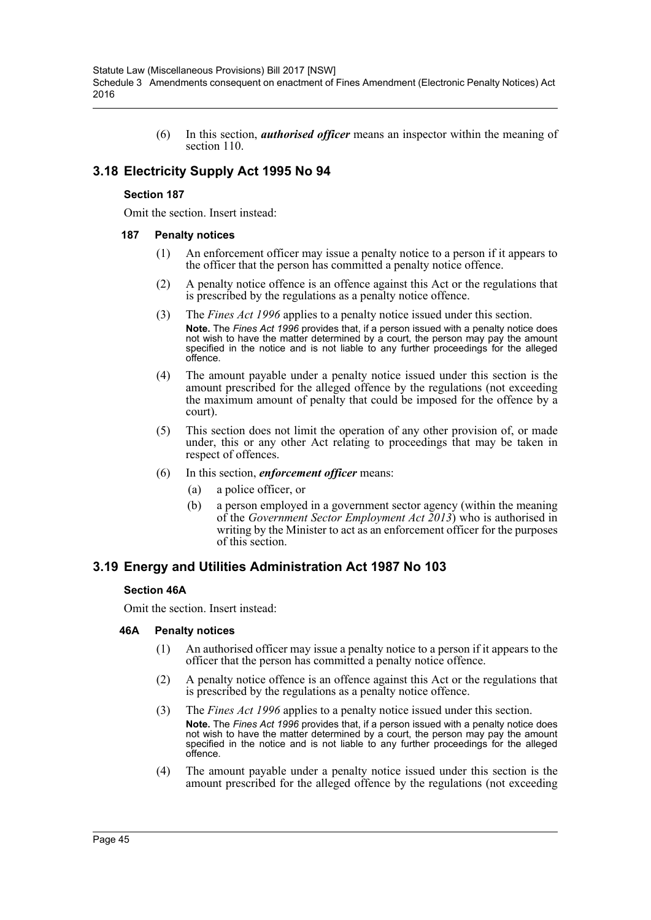(6) In this section, *authorised officer* means an inspector within the meaning of section 110.

# **3.18 Electricity Supply Act 1995 No 94**

### **Section 187**

Omit the section. Insert instead:

### **187 Penalty notices**

- (1) An enforcement officer may issue a penalty notice to a person if it appears to the officer that the person has committed a penalty notice offence.
- (2) A penalty notice offence is an offence against this Act or the regulations that is prescribed by the regulations as a penalty notice offence.
- (3) The *Fines Act 1996* applies to a penalty notice issued under this section. **Note.** The *Fines Act 1996* provides that, if a person issued with a penalty notice does not wish to have the matter determined by a court, the person may pay the amount specified in the notice and is not liable to any further proceedings for the alleged offence.
- (4) The amount payable under a penalty notice issued under this section is the amount prescribed for the alleged offence by the regulations (not exceeding the maximum amount of penalty that could be imposed for the offence by a court).
- (5) This section does not limit the operation of any other provision of, or made under, this or any other Act relating to proceedings that may be taken in respect of offences.
- (6) In this section, *enforcement officer* means:
	- (a) a police officer, or
	- (b) a person employed in a government sector agency (within the meaning of the *Government Sector Employment Act 2013*) who is authorised in writing by the Minister to act as an enforcement officer for the purposes of this section.

## **3.19 Energy and Utilities Administration Act 1987 No 103**

### **Section 46A**

Omit the section. Insert instead:

- (1) An authorised officer may issue a penalty notice to a person if it appears to the officer that the person has committed a penalty notice offence.
- (2) A penalty notice offence is an offence against this Act or the regulations that is prescribed by the regulations as a penalty notice offence.
- (3) The *Fines Act 1996* applies to a penalty notice issued under this section. **Note.** The *Fines Act 1996* provides that, if a person issued with a penalty notice does note. The Fires Act 1999 provided that, it is person these them may pay the amount not wish to have the matter determined by a court, the person may pay the alleged specified in the notice and is not liable to any further proceedings for the alleged offence.
- (4) The amount payable under a penalty notice issued under this section is the amount prescribed for the alleged offence by the regulations (not exceeding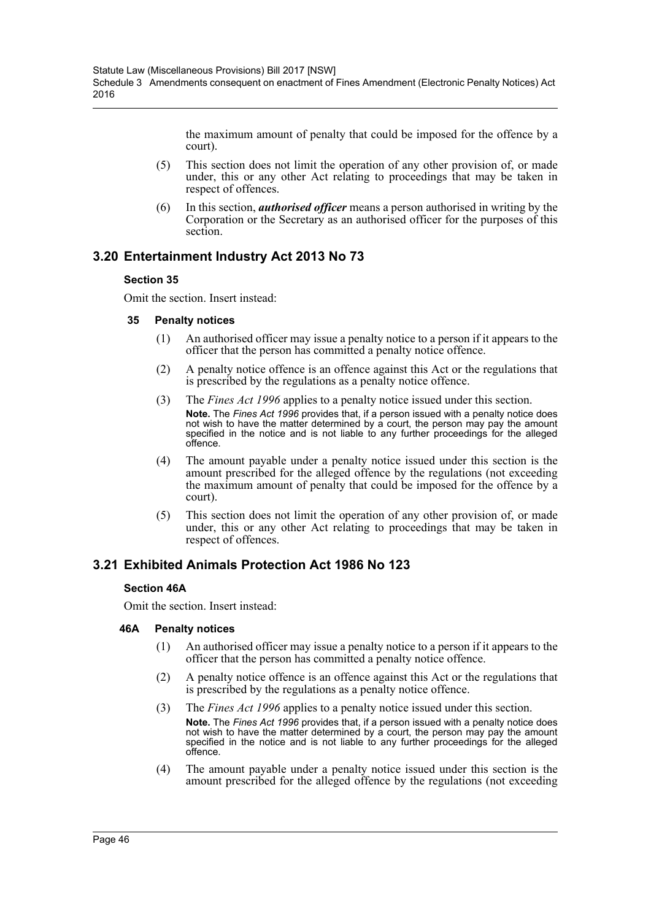the maximum amount of penalty that could be imposed for the offence by a court).

- (5) This section does not limit the operation of any other provision of, or made under, this or any other Act relating to proceedings that may be taken in respect of offences.
- (6) In this section, *authorised officer* means a person authorised in writing by the Corporation or the Secretary as an authorised officer for the purposes of this section.

# **3.20 Entertainment Industry Act 2013 No 73**

### **Section 35**

Omit the section. Insert instead:

### **35 Penalty notices**

- (1) An authorised officer may issue a penalty notice to a person if it appears to the officer that the person has committed a penalty notice offence.
- (2) A penalty notice offence is an offence against this Act or the regulations that is prescribed by the regulations as a penalty notice offence.
- (3) The *Fines Act 1996* applies to a penalty notice issued under this section. **Note.** The *Fines Act 1996* provides that, if a person issued with a penalty notice does not wish to have the matter determined by a court, the person may pay the amount specified in the notice and is not liable to any further proceedings for the alleged offence.
- (4) The amount payable under a penalty notice issued under this section is the amount prescribed for the alleged offence by the regulations (not exceeding the maximum amount of penalty that could be imposed for the offence by a court).
- (5) This section does not limit the operation of any other provision of, or made under, this or any other Act relating to proceedings that may be taken in respect of offences.

# **3.21 Exhibited Animals Protection Act 1986 No 123**

### **Section 46A**

Omit the section. Insert instead:

- (1) An authorised officer may issue a penalty notice to a person if it appears to the officer that the person has committed a penalty notice offence.
- (2) A penalty notice offence is an offence against this Act or the regulations that is prescribed by the regulations as a penalty notice offence.
- (3) The *Fines Act 1996* applies to a penalty notice issued under this section. **Note.** The *Fines Act 1996* provides that, if a person issued with a penalty notice does not wish to have the matter determined by a court, the person may pay the amount specified in the notice and is not liable to any further proceedings for the alleged offence.
- (4) The amount payable under a penalty notice issued under this section is the amount prescribed for the alleged offence by the regulations (not exceeding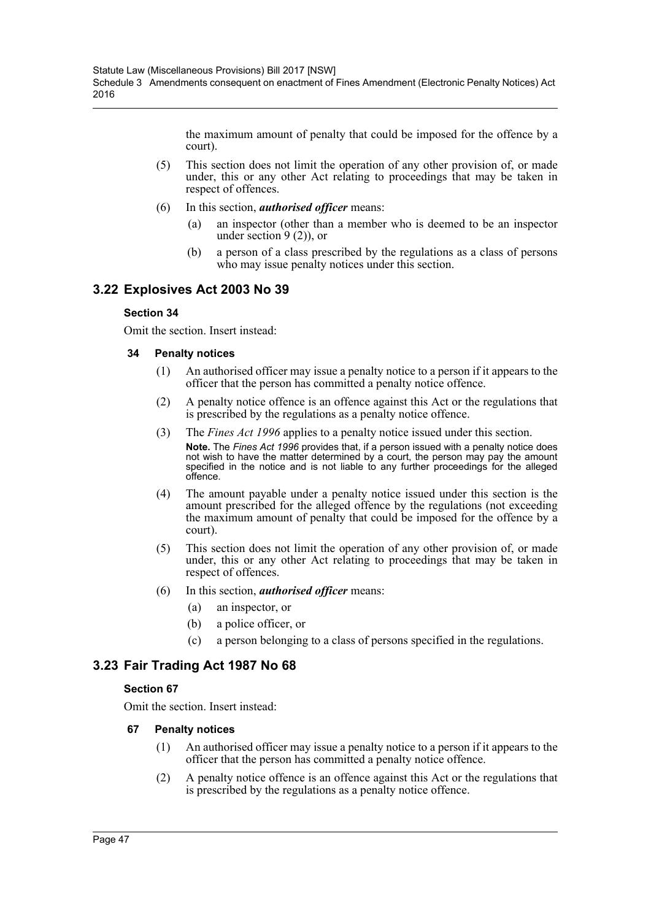the maximum amount of penalty that could be imposed for the offence by a court).

- (5) This section does not limit the operation of any other provision of, or made under, this or any other Act relating to proceedings that may be taken in respect of offences.
- (6) In this section, *authorised officer* means:
	- (a) an inspector (other than a member who is deemed to be an inspector under section  $9(2)$ , or
	- (b) a person of a class prescribed by the regulations as a class of persons who may issue penalty notices under this section.

# **3.22 Explosives Act 2003 No 39**

### **Section 34**

Omit the section. Insert instead:

### **34 Penalty notices**

- (1) An authorised officer may issue a penalty notice to a person if it appears to the officer that the person has committed a penalty notice offence.
- (2) A penalty notice offence is an offence against this Act or the regulations that is prescribed by the regulations as a penalty notice offence.
- (3) The *Fines Act 1996* applies to a penalty notice issued under this section. **Note.** The *Fines Act 1996* provides that, if a person issued with a penalty notice does not wish to have the matter determined by a court, the person may pay the amount specified in the notice and is not liable to any further proceedings for the alleged offence.
- (4) The amount payable under a penalty notice issued under this section is the amount prescribed for the alleged offence by the regulations (not exceeding the maximum amount of penalty that could be imposed for the offence by a court).
- (5) This section does not limit the operation of any other provision of, or made under, this or any other Act relating to proceedings that may be taken in respect of offences.
- (6) In this section, *authorised officer* means:
	- (a) an inspector, or
	- (b) a police officer, or
	- (c) a person belonging to a class of persons specified in the regulations.

# **3.23 Fair Trading Act 1987 No 68**

## **Section 67**

Omit the section. Insert instead:

- (1) An authorised officer may issue a penalty notice to a person if it appears to the officer that the person has committed a penalty notice offence.
- (2) A penalty notice offence is an offence against this Act or the regulations that is prescribed by the regulations as a penalty notice offence.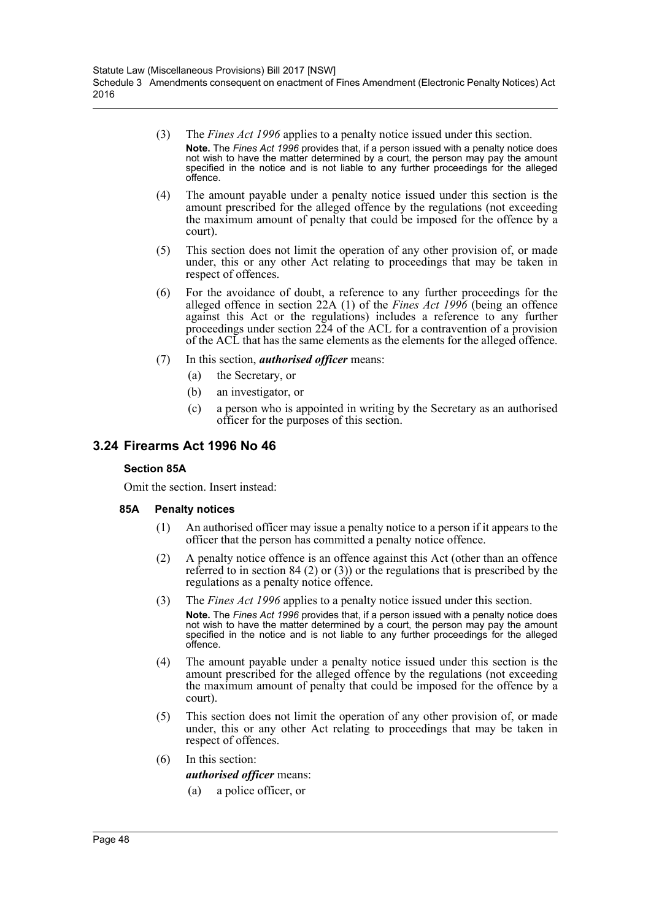- (3) The *Fines Act 1996* applies to a penalty notice issued under this section. **Note.** The *Fines Act 1996* provides that, if a person issued with a penalty notice does not wish to have the matter determined by a court, the person may pay the amount specified in the notice and is not liable to any further proceedings for the alleged offence.
- (4) The amount payable under a penalty notice issued under this section is the amount prescribed for the alleged offence by the regulations (not exceeding the maximum amount of penalty that could be imposed for the offence by a court).
- (5) This section does not limit the operation of any other provision of, or made under, this or any other Act relating to proceedings that may be taken in respect of offences.
- (6) For the avoidance of doubt, a reference to any further proceedings for the alleged offence in section 22A (1) of the *Fines Act 1996* (being an offence against this Act or the regulations) includes a reference to any further proceedings under section 224 of the ACL for a contravention of a provision of the ACL that has the same elements as the elements for the alleged offence.
- (7) In this section, *authorised officer* means:
	- (a) the Secretary, or
	- (b) an investigator, or
	- (c) a person who is appointed in writing by the Secretary as an authorised officer for the purposes of this section.

## **3.24 Firearms Act 1996 No 46**

#### **Section 85A**

Omit the section. Insert instead:

### **85A Penalty notices**

- (1) An authorised officer may issue a penalty notice to a person if it appears to the officer that the person has committed a penalty notice offence.
- (2) A penalty notice offence is an offence against this Act (other than an offence referred to in section 84 (2) or (3)) or the regulations that is prescribed by the regulations as a penalty notice offence.
- (3) The *Fines Act 1996* applies to a penalty notice issued under this section. **Note.** The *Fines Act 1996* provides that, if a person issued with a penalty notice does not wish to have the matter determined by a court, the person may pay the amount specified in the notice and is not liable to any further proceedings for the alleged offence.
- (4) The amount payable under a penalty notice issued under this section is the amount prescribed for the alleged offence by the regulations (not exceeding the maximum amount of penalty that could be imposed for the offence by a court).
- (5) This section does not limit the operation of any other provision of, or made under, this or any other Act relating to proceedings that may be taken in respect of offences.
- (6) In this section:

### *authorised officer* means:

(a) a police officer, or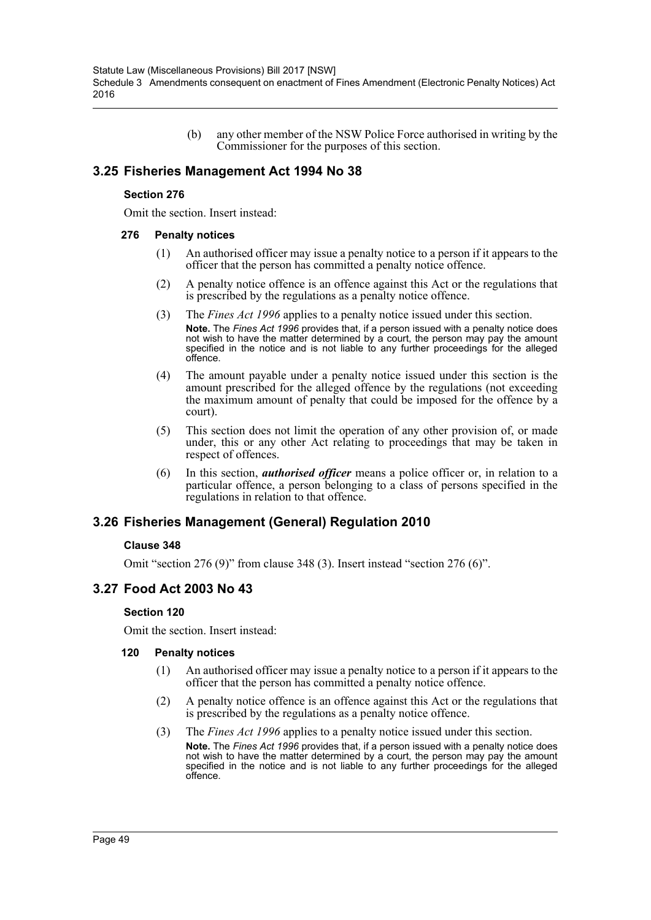(b) any other member of the NSW Police Force authorised in writing by the Commissioner for the purposes of this section.

# **3.25 Fisheries Management Act 1994 No 38**

### **Section 276**

Omit the section. Insert instead:

### **276 Penalty notices**

- (1) An authorised officer may issue a penalty notice to a person if it appears to the officer that the person has committed a penalty notice offence.
- (2) A penalty notice offence is an offence against this Act or the regulations that is prescribed by the regulations as a penalty notice offence.
- (3) The *Fines Act 1996* applies to a penalty notice issued under this section. **Note.** The *Fines Act 1996* provides that, if a person issued with a penalty notice does not wish to have the matter determined by a court, the person may pay the amount specified in the notice and is not liable to any further proceedings for the alleged offence.
- (4) The amount payable under a penalty notice issued under this section is the amount prescribed for the alleged offence by the regulations (not exceeding the maximum amount of penalty that could be imposed for the offence by a court).
- (5) This section does not limit the operation of any other provision of, or made under, this or any other Act relating to proceedings that may be taken in respect of offences.
- (6) In this section, *authorised officer* means a police officer or, in relation to a particular offence, a person belonging to a class of persons specified in the regulations in relation to that offence.

# **3.26 Fisheries Management (General) Regulation 2010**

### **Clause 348**

Omit "section 276 (9)" from clause 348 (3). Insert instead "section 276 (6)".

# **3.27 Food Act 2003 No 43**

### **Section 120**

Omit the section. Insert instead:

- (1) An authorised officer may issue a penalty notice to a person if it appears to the officer that the person has committed a penalty notice offence.
- (2) A penalty notice offence is an offence against this Act or the regulations that is prescribed by the regulations as a penalty notice offence.
- (3) The *Fines Act 1996* applies to a penalty notice issued under this section. **Note.** The *Fines Act 1996* provides that, if a person issued with a penalty notice does not wish to have the matter determined by a court, the person may pay the amount specified in the notice and is not liable to any further proceedings for the alleged offence.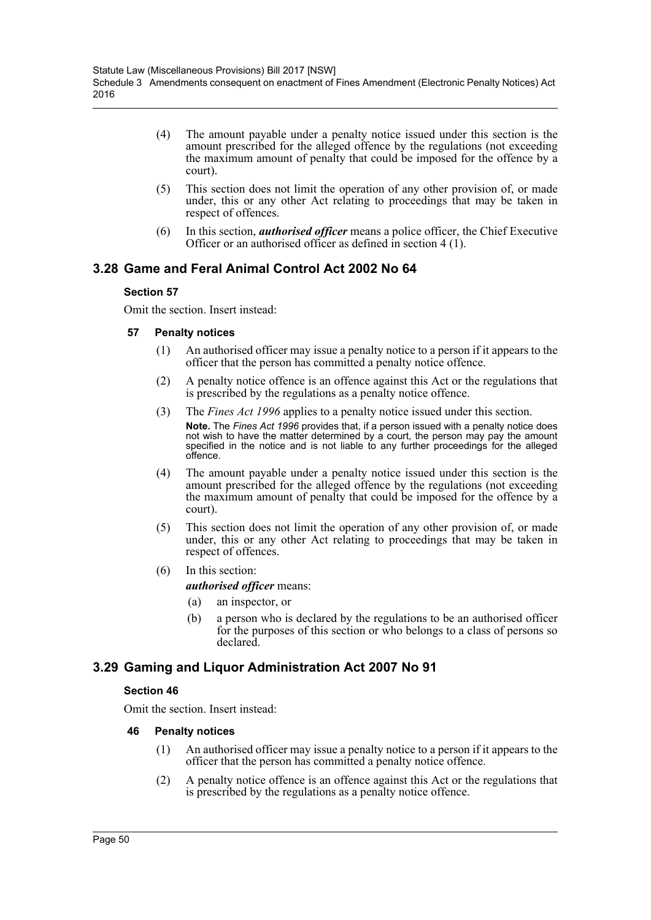- (4) The amount payable under a penalty notice issued under this section is the amount prescribed for the alleged offence by the regulations (not exceeding the maximum amount of penalty that could be imposed for the offence by a court).
- (5) This section does not limit the operation of any other provision of, or made under, this or any other Act relating to proceedings that may be taken in respect of offences.
- (6) In this section, *authorised officer* means a police officer, the Chief Executive Officer or an authorised officer as defined in section 4 (1).

# **3.28 Game and Feral Animal Control Act 2002 No 64**

### **Section 57**

Omit the section. Insert instead:

### **57 Penalty notices**

- (1) An authorised officer may issue a penalty notice to a person if it appears to the officer that the person has committed a penalty notice offence.
- (2) A penalty notice offence is an offence against this Act or the regulations that is prescribed by the regulations as a penalty notice offence.
- (3) The *Fines Act 1996* applies to a penalty notice issued under this section. **Note.** The *Fines Act 1996* provides that, if a person issued with a penalty notice does not wish to have the matter determined by a court, the person may pay the amount specified in the notice and is not liable to any further proceedings for the alleged offence.
- (4) The amount payable under a penalty notice issued under this section is the amount prescribed for the alleged offence by the regulations (not exceeding the maximum amount of penalty that could be imposed for the offence by a court).
- (5) This section does not limit the operation of any other provision of, or made under, this or any other Act relating to proceedings that may be taken in respect of offences.
- (6) In this section: *authorised officer* means:
	- (a) an inspector, or
	- (b) a person who is declared by the regulations to be an authorised officer for the purposes of this section or who belongs to a class of persons so declared.

# **3.29 Gaming and Liquor Administration Act 2007 No 91**

## **Section 46**

Omit the section. Insert instead:

- (1) An authorised officer may issue a penalty notice to a person if it appears to the officer that the person has committed a penalty notice offence.
- (2) A penalty notice offence is an offence against this Act or the regulations that is prescribed by the regulations as a penalty notice offence.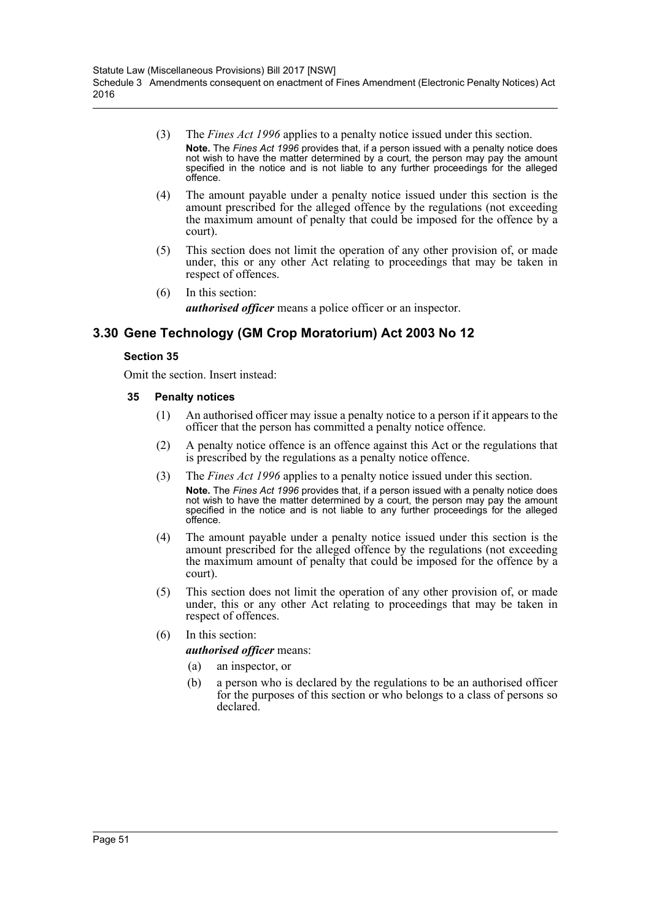- (3) The *Fines Act 1996* applies to a penalty notice issued under this section. **Note.** The *Fines Act 1996* provides that, if a person issued with a penalty notice does not wish to have the matter determined by a court, the person may pay the amount specified in the notice and is not liable to any further proceedings for the alleged offence.
- (4) The amount payable under a penalty notice issued under this section is the amount prescribed for the alleged offence by the regulations (not exceeding the maximum amount of penalty that could be imposed for the offence by a court).
- (5) This section does not limit the operation of any other provision of, or made under, this or any other Act relating to proceedings that may be taken in respect of offences.
- (6) In this section: *authorised officer* means a police officer or an inspector.

# **3.30 Gene Technology (GM Crop Moratorium) Act 2003 No 12**

### **Section 35**

Omit the section. Insert instead:

- (1) An authorised officer may issue a penalty notice to a person if it appears to the officer that the person has committed a penalty notice offence.
- (2) A penalty notice offence is an offence against this Act or the regulations that is prescribed by the regulations as a penalty notice offence.
- (3) The *Fines Act 1996* applies to a penalty notice issued under this section. **Note.** The *Fines Act 1996* provides that, if a person issued with a penalty notice does not wish to have the matter determined by a court, the person may pay the amount specified in the notice and is not liable to any further proceedings for the alleged offence.
- (4) The amount payable under a penalty notice issued under this section is the amount prescribed for the alleged offence by the regulations (not exceeding the maximum amount of penalty that could be imposed for the offence by a court).
- (5) This section does not limit the operation of any other provision of, or made under, this or any other Act relating to proceedings that may be taken in respect of offences.
- (6) In this section:
	- *authorised officer* means:
	- (a) an inspector, or
	- (b) a person who is declared by the regulations to be an authorised officer for the purposes of this section or who belongs to a class of persons so declared.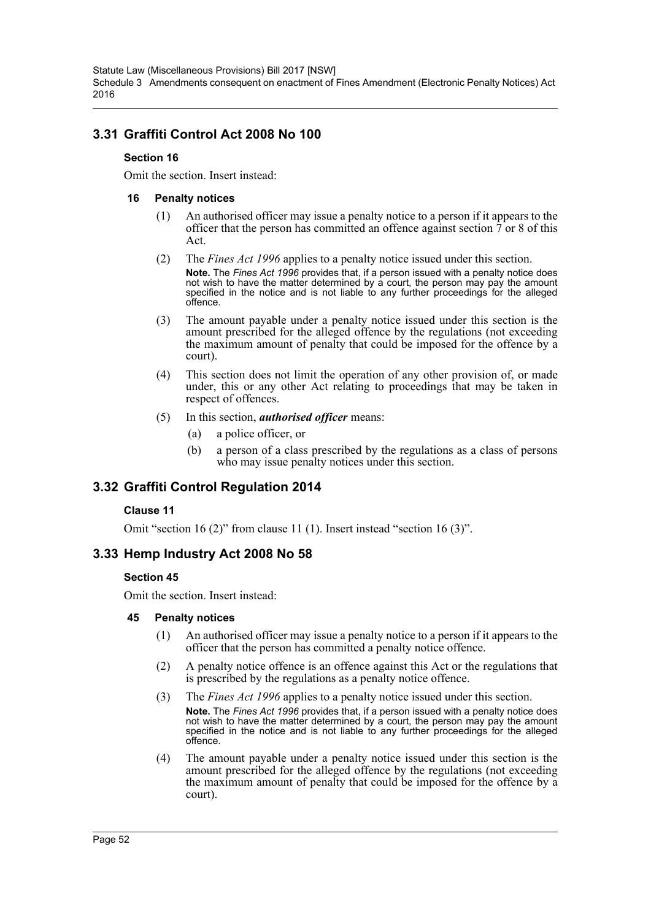Statute Law (Miscellaneous Provisions) Bill 2017 [NSW] Schedule 3 Amendments consequent on enactment of Fines Amendment (Electronic Penalty Notices) Act 2016

# **3.31 Graffiti Control Act 2008 No 100**

### **Section 16**

Omit the section. Insert instead:

### **16 Penalty notices**

- (1) An authorised officer may issue a penalty notice to a person if it appears to the officer that the person has committed an offence against section  $\tilde{7}$  or 8 of this Act.
- (2) The *Fines Act 1996* applies to a penalty notice issued under this section. **Note.** The *Fines Act 1996* provides that, if a person issued with a penalty notice does not wish to have the matter determined by a court, the person may pay the amount specified in the notice and is not liable to any further proceedings for the alleged offence.
- (3) The amount payable under a penalty notice issued under this section is the amount prescribed for the alleged offence by the regulations (not exceeding the maximum amount of penalty that could be imposed for the offence by a court).
- (4) This section does not limit the operation of any other provision of, or made under, this or any other Act relating to proceedings that may be taken in respect of offences.
- (5) In this section, *authorised officer* means:
	- (a) a police officer, or
	- (b) a person of a class prescribed by the regulations as a class of persons who may issue penalty notices under this section.

# **3.32 Graffiti Control Regulation 2014**

### **Clause 11**

Omit "section 16 (2)" from clause 11 (1). Insert instead "section 16 (3)".

## **3.33 Hemp Industry Act 2008 No 58**

### **Section 45**

Omit the section. Insert instead:

- (1) An authorised officer may issue a penalty notice to a person if it appears to the officer that the person has committed a penalty notice offence.
- (2) A penalty notice offence is an offence against this Act or the regulations that is prescribed by the regulations as a penalty notice offence.
- (3) The *Fines Act 1996* applies to a penalty notice issued under this section. **Note.** The *Fines Act 1996* provides that, if a person issued with a penalty notice does not wish to have the matter determined by a court, the person may pay the amount specified in the notice and is not liable to any further proceedings for the alleged offence.
- (4) The amount payable under a penalty notice issued under this section is the amount prescribed for the alleged offence by the regulations (not exceeding the maximum amount of penalty that could be imposed for the offence by a court).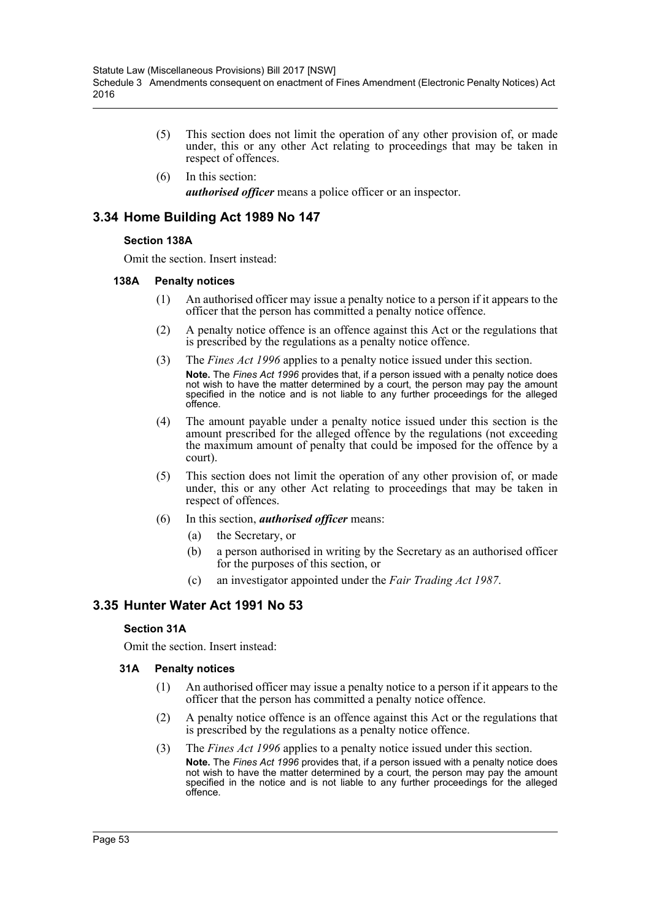- (5) This section does not limit the operation of any other provision of, or made under, this or any other Act relating to proceedings that may be taken in respect of offences.
- (6) In this section: *authorised officer* means a police officer or an inspector.

# **3.34 Home Building Act 1989 No 147**

### **Section 138A**

Omit the section. Insert instead:

### **138A Penalty notices**

- (1) An authorised officer may issue a penalty notice to a person if it appears to the officer that the person has committed a penalty notice offence.
- (2) A penalty notice offence is an offence against this Act or the regulations that is prescribed by the regulations as a penalty notice offence.
- (3) The *Fines Act 1996* applies to a penalty notice issued under this section. **Note.** The *Fines Act 1996* provides that, if a person issued with a penalty notice does not wish to have the matter determined by a court, the person may pay the amount specified in the notice and is not liable to any further proceedings for the alleged offence.
- (4) The amount payable under a penalty notice issued under this section is the amount prescribed for the alleged offence by the regulations (not exceeding the maximum amount of penalty that could be imposed for the offence by a court).
- (5) This section does not limit the operation of any other provision of, or made under, this or any other Act relating to proceedings that may be taken in respect of offences.
- (6) In this section, *authorised officer* means:
	- (a) the Secretary, or
	- (b) a person authorised in writing by the Secretary as an authorised officer for the purposes of this section, or
	- (c) an investigator appointed under the *Fair Trading Act 1987*.

# **3.35 Hunter Water Act 1991 No 53**

## **Section 31A**

Omit the section. Insert instead:

- (1) An authorised officer may issue a penalty notice to a person if it appears to the officer that the person has committed a penalty notice offence.
- (2) A penalty notice offence is an offence against this Act or the regulations that is prescribed by the regulations as a penalty notice offence.
- (3) The *Fines Act 1996* applies to a penalty notice issued under this section. **Note.** The *Fines Act 1996* provides that, if a person issued with a penalty notice does not wish to have the matter determined by a court, the person may pay the amount specified in the notice and is not liable to any further proceedings for the alleged offence.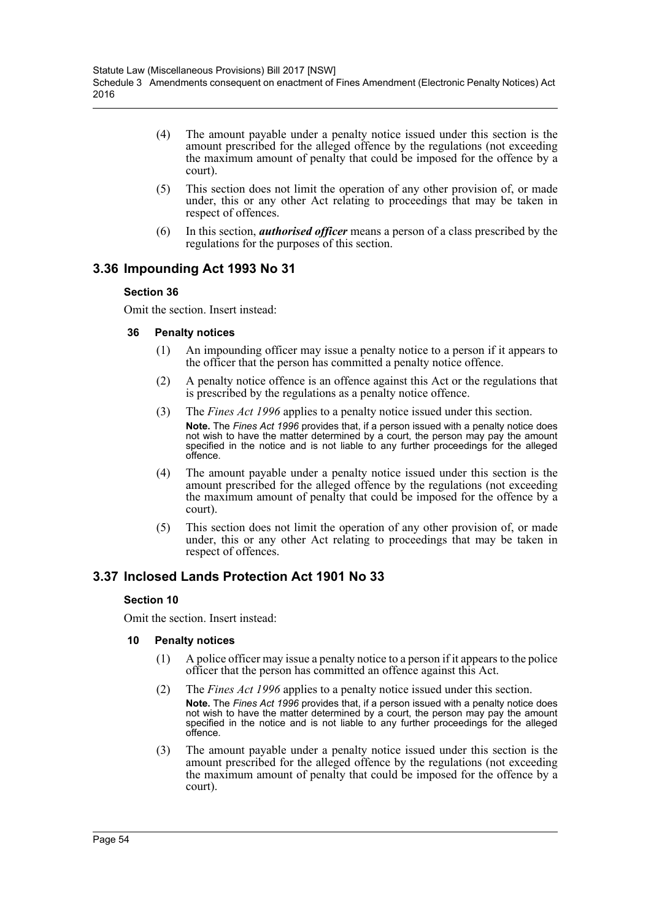- (4) The amount payable under a penalty notice issued under this section is the amount prescribed for the alleged offence by the regulations (not exceeding the maximum amount of penalty that could be imposed for the offence by a court).
- (5) This section does not limit the operation of any other provision of, or made under, this or any other Act relating to proceedings that may be taken in respect of offences.
- (6) In this section, *authorised officer* means a person of a class prescribed by the regulations for the purposes of this section.

## **3.36 Impounding Act 1993 No 31**

### **Section 36**

Omit the section. Insert instead:

### **36 Penalty notices**

- (1) An impounding officer may issue a penalty notice to a person if it appears to the officer that the person has committed a penalty notice offence.
- (2) A penalty notice offence is an offence against this Act or the regulations that is prescribed by the regulations as a penalty notice offence.
- (3) The *Fines Act 1996* applies to a penalty notice issued under this section. **Note.** The *Fines Act 1996* provides that, if a person issued with a penalty notice does not wish to have the matter determined by a court, the person may pay the amount specified in the notice and is not liable to any further proceedings for the alleged offence.
- (4) The amount payable under a penalty notice issued under this section is the amount prescribed for the alleged offence by the regulations (not exceeding the maximum amount of penalty that could be imposed for the offence by a court).
- (5) This section does not limit the operation of any other provision of, or made under, this or any other Act relating to proceedings that may be taken in respect of offences.

# **3.37 Inclosed Lands Protection Act 1901 No 33**

### **Section 10**

Omit the section. Insert instead:

- (1) A police officer may issue a penalty notice to a person if it appears to the police officer that the person has committed an offence against this Act.
- (2) The *Fines Act 1996* applies to a penalty notice issued under this section. **Note.** The *Fines Act 1996* provides that, if a person issued with a penalty notice does not wish to have the matter determined by a court, the person may pay the amount specified in the notice and is not liable to any further proceedings for the alleged offence.
- (3) The amount payable under a penalty notice issued under this section is the amount prescribed for the alleged offence by the regulations (not exceeding the maximum amount of penalty that could be imposed for the offence by a court).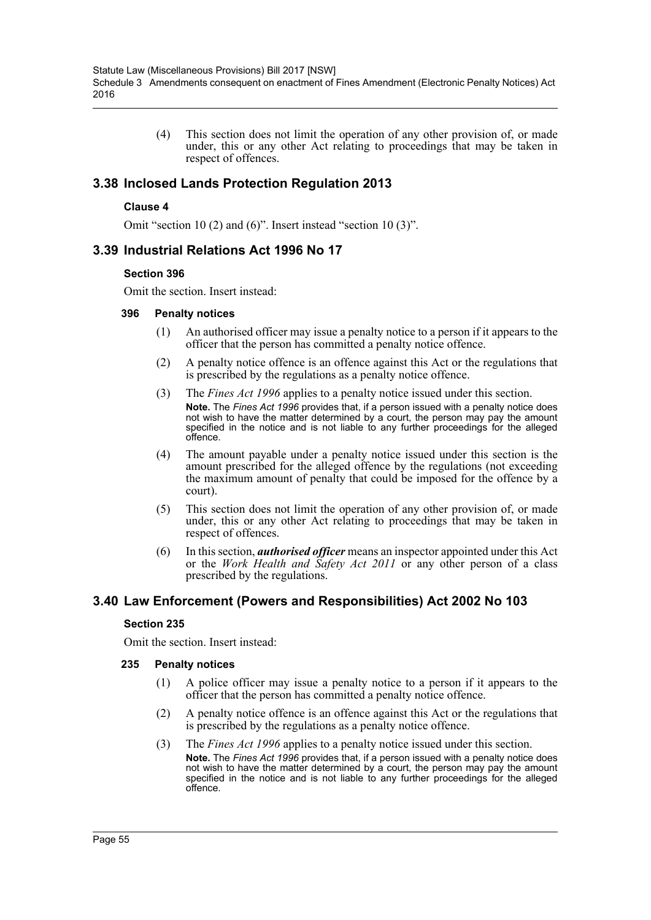(4) This section does not limit the operation of any other provision of, or made under, this or any other Act relating to proceedings that may be taken in respect of offences.

## **3.38 Inclosed Lands Protection Regulation 2013**

### **Clause 4**

Omit "section 10 (2) and (6)". Insert instead "section 10 (3)".

## **3.39 Industrial Relations Act 1996 No 17**

#### **Section 396**

Omit the section. Insert instead:

#### **396 Penalty notices**

- (1) An authorised officer may issue a penalty notice to a person if it appears to the officer that the person has committed a penalty notice offence.
- (2) A penalty notice offence is an offence against this Act or the regulations that is prescribed by the regulations as a penalty notice offence.
- (3) The *Fines Act 1996* applies to a penalty notice issued under this section. **Note.** The *Fines Act 1996* provides that, if a person issued with a penalty notice does not wish to have the matter determined by a court, the person may pay the amount specified in the notice and is not liable to any further proceedings for the alleged offence.
- (4) The amount payable under a penalty notice issued under this section is the amount prescribed for the alleged offence by the regulations (not exceeding the maximum amount of penalty that could be imposed for the offence by a court).
- (5) This section does not limit the operation of any other provision of, or made under, this or any other Act relating to proceedings that may be taken in respect of offences.
- (6) In this section, *authorised officer* means an inspector appointed under this Act or the *Work Health and Safety Act 2011* or any other person of a class prescribed by the regulations.

## **3.40 Law Enforcement (Powers and Responsibilities) Act 2002 No 103**

### **Section 235**

Omit the section. Insert instead:

- (1) A police officer may issue a penalty notice to a person if it appears to the officer that the person has committed a penalty notice offence.
- (2) A penalty notice offence is an offence against this Act or the regulations that is prescribed by the regulations as a penalty notice offence.
- (3) The *Fines Act 1996* applies to a penalty notice issued under this section. **Note.** The *Fines Act 1996* provides that, if a person issued with a penalty notice does not wish to have the matter determined by a court, the person may pay the amount specified in the notice and is not liable to any further proceedings for the alleged offence.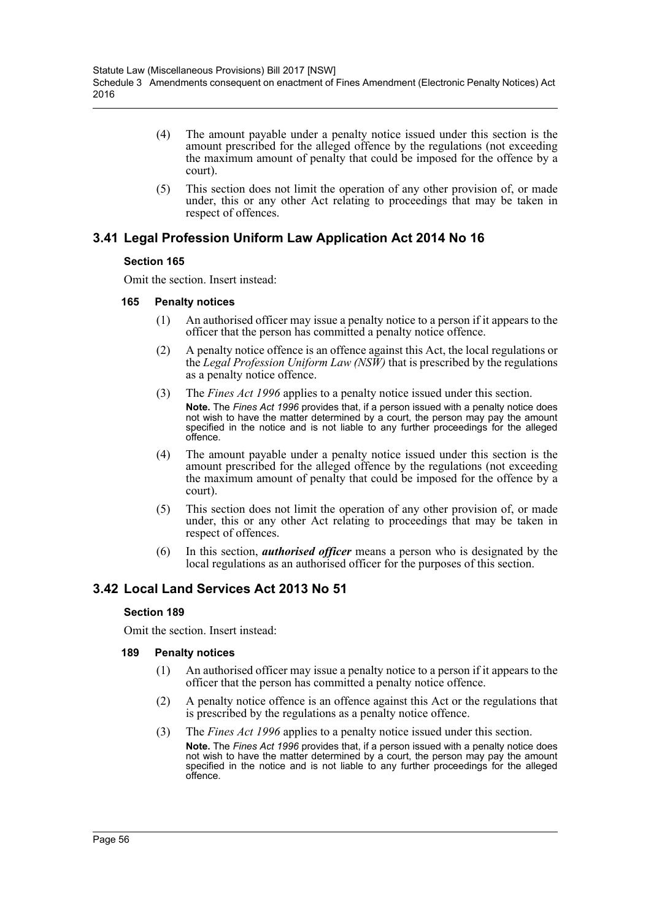- (4) The amount payable under a penalty notice issued under this section is the amount prescribed for the alleged offence by the regulations (not exceeding the maximum amount of penalty that could be imposed for the offence by a court).
- (5) This section does not limit the operation of any other provision of, or made under, this or any other Act relating to proceedings that may be taken in respect of offences.

# **3.41 Legal Profession Uniform Law Application Act 2014 No 16**

### **Section 165**

Omit the section. Insert instead:

### **165 Penalty notices**

- (1) An authorised officer may issue a penalty notice to a person if it appears to the officer that the person has committed a penalty notice offence.
- (2) A penalty notice offence is an offence against this Act, the local regulations or the *Legal Profession Uniform Law (NSW)* that is prescribed by the regulations as a penalty notice offence.
- (3) The *Fines Act 1996* applies to a penalty notice issued under this section. **Note.** The *Fines Act 1996* provides that, if a person issued with a penalty notice does not wish to have the matter determined by a court, the person may pay the amount specified in the notice and is not liable to any further proceedings for the alleged offence.
- (4) The amount payable under a penalty notice issued under this section is the amount prescribed for the alleged offence by the regulations (not exceeding the maximum amount of penalty that could be imposed for the offence by a court).
- (5) This section does not limit the operation of any other provision of, or made under, this or any other Act relating to proceedings that may be taken in respect of offences.
- (6) In this section, *authorised officer* means a person who is designated by the local regulations as an authorised officer for the purposes of this section.

# **3.42 Local Land Services Act 2013 No 51**

### **Section 189**

Omit the section. Insert instead:

- (1) An authorised officer may issue a penalty notice to a person if it appears to the officer that the person has committed a penalty notice offence.
- (2) A penalty notice offence is an offence against this Act or the regulations that is prescribed by the regulations as a penalty notice offence.
- (3) The *Fines Act 1996* applies to a penalty notice issued under this section. **Note.** The *Fines Act 1996* provides that, if a person issued with a penalty notice does not wish to have the matter determined by a court, the person may pay the amount specified in the notice and is not liable to any further proceedings for the alleged offence.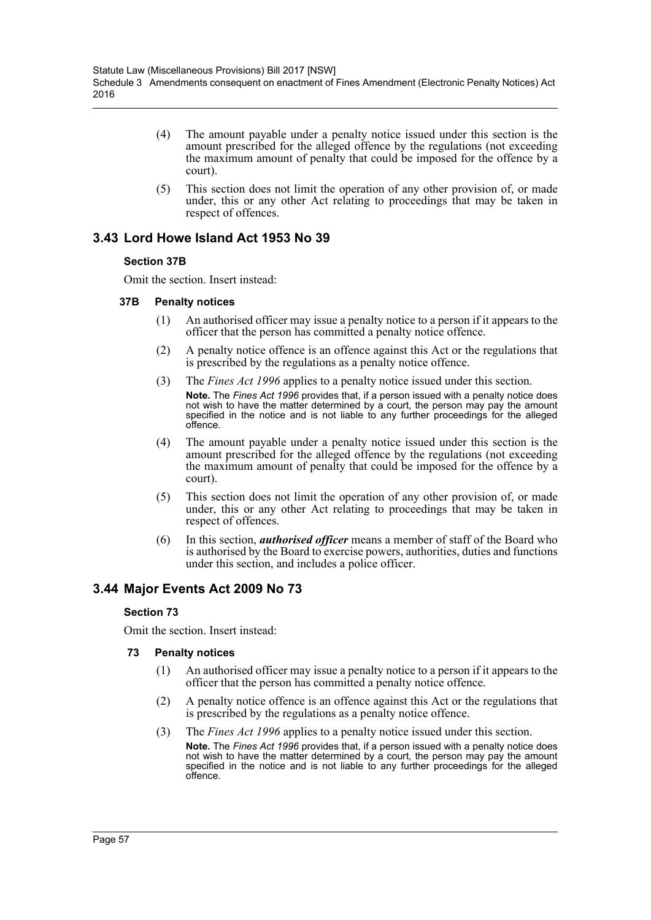- (4) The amount payable under a penalty notice issued under this section is the amount prescribed for the alleged offence by the regulations (not exceeding the maximum amount of penalty that could be imposed for the offence by a court).
- (5) This section does not limit the operation of any other provision of, or made under, this or any other Act relating to proceedings that may be taken in respect of offences.

# **3.43 Lord Howe Island Act 1953 No 39**

### **Section 37B**

Omit the section. Insert instead:

### **37B Penalty notices**

- (1) An authorised officer may issue a penalty notice to a person if it appears to the officer that the person has committed a penalty notice offence.
- (2) A penalty notice offence is an offence against this Act or the regulations that is prescribed by the regulations as a penalty notice offence.
- (3) The *Fines Act 1996* applies to a penalty notice issued under this section. **Note.** The *Fines Act 1996* provides that, if a person issued with a penalty notice does not wish to have the matter determined by a court, the person may pay the amount specified in the notice and is not liable to any further proceedings for the alleged offence.
- (4) The amount payable under a penalty notice issued under this section is the amount prescribed for the alleged offence by the regulations (not exceeding the maximum amount of penalty that could be imposed for the offence by a court).
- (5) This section does not limit the operation of any other provision of, or made under, this or any other Act relating to proceedings that may be taken in respect of offences.
- (6) In this section, *authorised officer* means a member of staff of the Board who is authorised by the Board to exercise powers, authorities, duties and functions under this section, and includes a police officer.

# **3.44 Major Events Act 2009 No 73**

## **Section 73**

Omit the section. Insert instead:

- (1) An authorised officer may issue a penalty notice to a person if it appears to the officer that the person has committed a penalty notice offence.
- (2) A penalty notice offence is an offence against this Act or the regulations that is prescribed by the regulations as a penalty notice offence.
- (3) The *Fines Act 1996* applies to a penalty notice issued under this section. **Note.** The *Fines Act 1996* provides that, if a person issued with a penalty notice does not wish to have the matter determined by a court, the person may pay the amount specified in the notice and is not liable to any further proceedings for the alleged offence.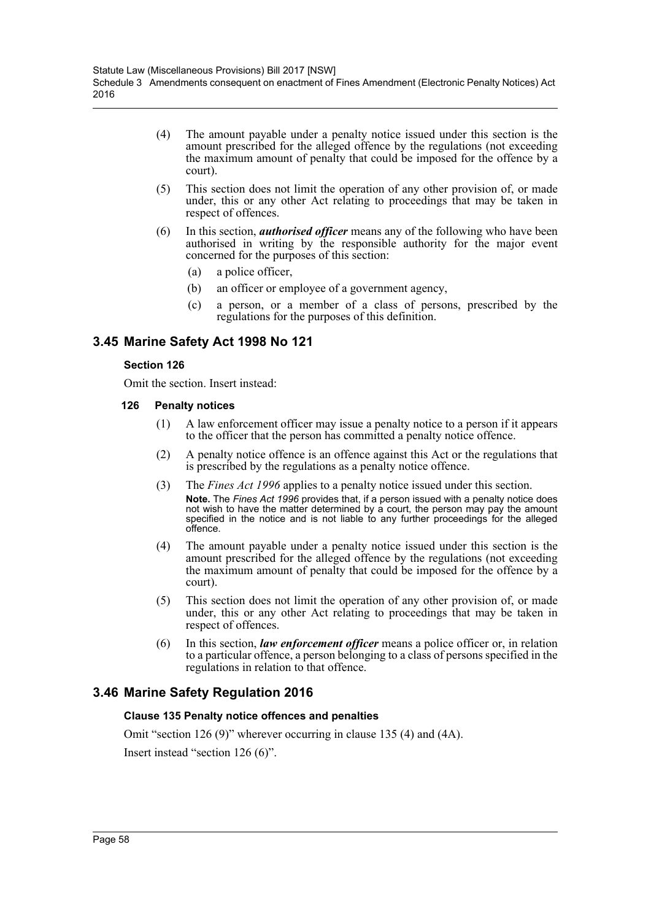- (4) The amount payable under a penalty notice issued under this section is the amount prescribed for the alleged offence by the regulations (not exceeding the maximum amount of penalty that could be imposed for the offence by a court).
- (5) This section does not limit the operation of any other provision of, or made under, this or any other Act relating to proceedings that may be taken in respect of offences.
- (6) In this section, *authorised officer* means any of the following who have been authorised in writing by the responsible authority for the major event concerned for the purposes of this section:
	- (a) a police officer,
	- (b) an officer or employee of a government agency,
	- (c) a person, or a member of a class of persons, prescribed by the regulations for the purposes of this definition.

# **3.45 Marine Safety Act 1998 No 121**

### **Section 126**

Omit the section. Insert instead:

- **126 Penalty notices**
	- (1) A law enforcement officer may issue a penalty notice to a person if it appears to the officer that the person has committed a penalty notice offence.
	- (2) A penalty notice offence is an offence against this Act or the regulations that is prescribed by the regulations as a penalty notice offence.
	- (3) The *Fines Act 1996* applies to a penalty notice issued under this section. **Note.** The *Fines Act 1996* provides that, if a person issued with a penalty notice does not wish to have the matter determined by a court, the person may pay the amount specified in the notice and is not liable to any further proceedings for the alleged offence.
	- (4) The amount payable under a penalty notice issued under this section is the amount prescribed for the alleged offence by the regulations (not exceeding the maximum amount of penalty that could be imposed for the offence by a court).
	- (5) This section does not limit the operation of any other provision of, or made under, this or any other Act relating to proceedings that may be taken in respect of offences.
	- (6) In this section, *law enforcement officer* means a police officer or, in relation to a particular offence, a person belonging to a class of persons specified in the regulations in relation to that offence.

# **3.46 Marine Safety Regulation 2016**

## **Clause 135 Penalty notice offences and penalties**

Omit "section 126 (9)" wherever occurring in clause 135 (4) and (4A). Insert instead "section 126 (6)".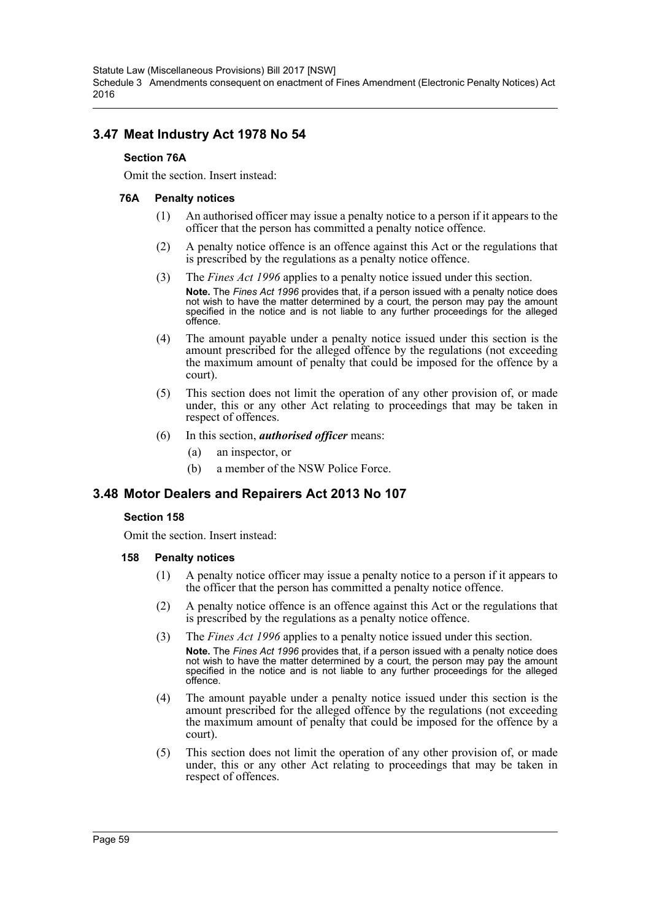Statute Law (Miscellaneous Provisions) Bill 2017 [NSW] Schedule 3 Amendments consequent on enactment of Fines Amendment (Electronic Penalty Notices) Act 2016

## **3.47 Meat Industry Act 1978 No 54**

#### **Section 76A**

Omit the section. Insert instead:

#### **76A Penalty notices**

- (1) An authorised officer may issue a penalty notice to a person if it appears to the officer that the person has committed a penalty notice offence.
- (2) A penalty notice offence is an offence against this Act or the regulations that is prescribed by the regulations as a penalty notice offence.
- (3) The *Fines Act 1996* applies to a penalty notice issued under this section. **Note.** The *Fines Act 1996* provides that, if a person issued with a penalty notice does not wish to have the matter determined by a court, the person may pay the amount specified in the notice and is not liable to any further proceedings for the alleged offence.
- (4) The amount payable under a penalty notice issued under this section is the amount prescribed for the alleged offence by the regulations (not exceeding the maximum amount of penalty that could be imposed for the offence by a court).
- (5) This section does not limit the operation of any other provision of, or made under, this or any other Act relating to proceedings that may be taken in respect of offences.
- (6) In this section, *authorised officer* means:
	- (a) an inspector, or
	- (b) a member of the NSW Police Force.

## **3.48 Motor Dealers and Repairers Act 2013 No 107**

### **Section 158**

Omit the section. Insert instead:

- **158 Penalty notices**
	- (1) A penalty notice officer may issue a penalty notice to a person if it appears to the officer that the person has committed a penalty notice offence.
	- (2) A penalty notice offence is an offence against this Act or the regulations that is prescribed by the regulations as a penalty notice offence.
	- (3) The *Fines Act 1996* applies to a penalty notice issued under this section. **Note.** The *Fines Act 1996* provides that, if a person issued with a penalty notice does not wish to have the matter determined by a court, the person may pay the amount specified in the notice and is not liable to any further proceedings for the alleged offence.
	- (4) The amount payable under a penalty notice issued under this section is the amount prescribed for the alleged offence by the regulations (not exceeding the maximum amount of penalty that could be imposed for the offence by a court).
	- (5) This section does not limit the operation of any other provision of, or made under, this or any other Act relating to proceedings that may be taken in respect of offences.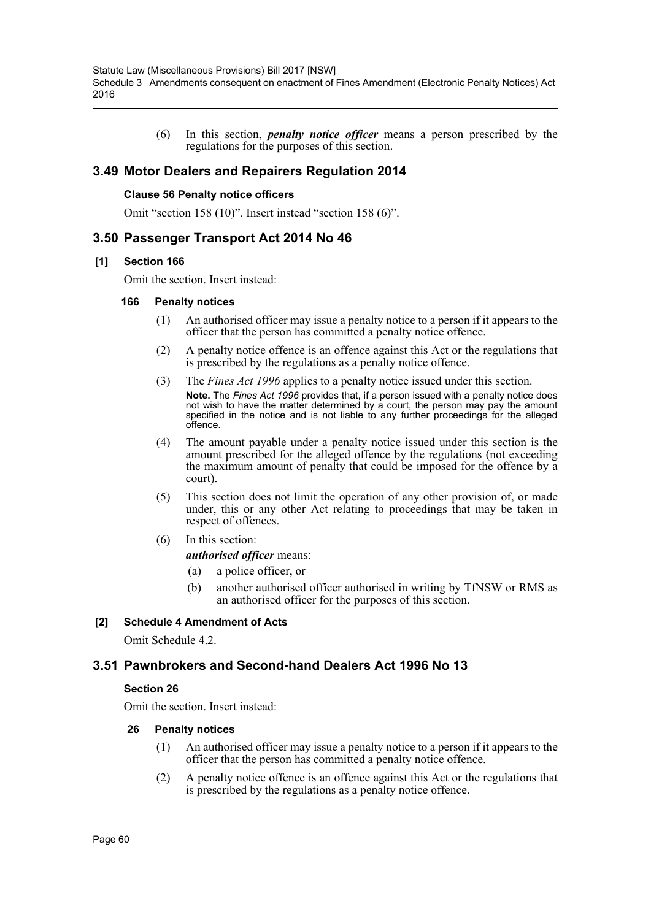(6) In this section, *penalty notice officer* means a person prescribed by the regulations for the purposes of this section.

## **3.49 Motor Dealers and Repairers Regulation 2014**

#### **Clause 56 Penalty notice officers**

Omit "section 158 (10)". Insert instead "section 158 (6)".

## **3.50 Passenger Transport Act 2014 No 46**

#### **[1] Section 166**

Omit the section. Insert instead:

#### **166 Penalty notices**

- (1) An authorised officer may issue a penalty notice to a person if it appears to the officer that the person has committed a penalty notice offence.
- (2) A penalty notice offence is an offence against this Act or the regulations that is prescribed by the regulations as a penalty notice offence.
- (3) The *Fines Act 1996* applies to a penalty notice issued under this section. **Note.** The *Fines Act 1996* provides that, if a person issued with a penalty notice does not wish to have the matter determined by a court, the person may pay the amount specified in the notice and is not liable to any further proceedings for the alleged offence.
- (4) The amount payable under a penalty notice issued under this section is the amount prescribed for the alleged offence by the regulations (not exceeding the maximum amount of penalty that could be imposed for the offence by a court).
- (5) This section does not limit the operation of any other provision of, or made under, this or any other Act relating to proceedings that may be taken in respect of offences.
- (6) In this section:

*authorised officer* means:

- (a) a police officer, or
- (b) another authorised officer authorised in writing by TfNSW or RMS as an authorised officer for the purposes of this section.

### **[2] Schedule 4 Amendment of Acts**

Omit Schedule 4.2.

## **3.51 Pawnbrokers and Second-hand Dealers Act 1996 No 13**

### **Section 26**

Omit the section. Insert instead:

- (1) An authorised officer may issue a penalty notice to a person if it appears to the officer that the person has committed a penalty notice offence.
- (2) A penalty notice offence is an offence against this Act or the regulations that is prescribed by the regulations as a penalty notice offence.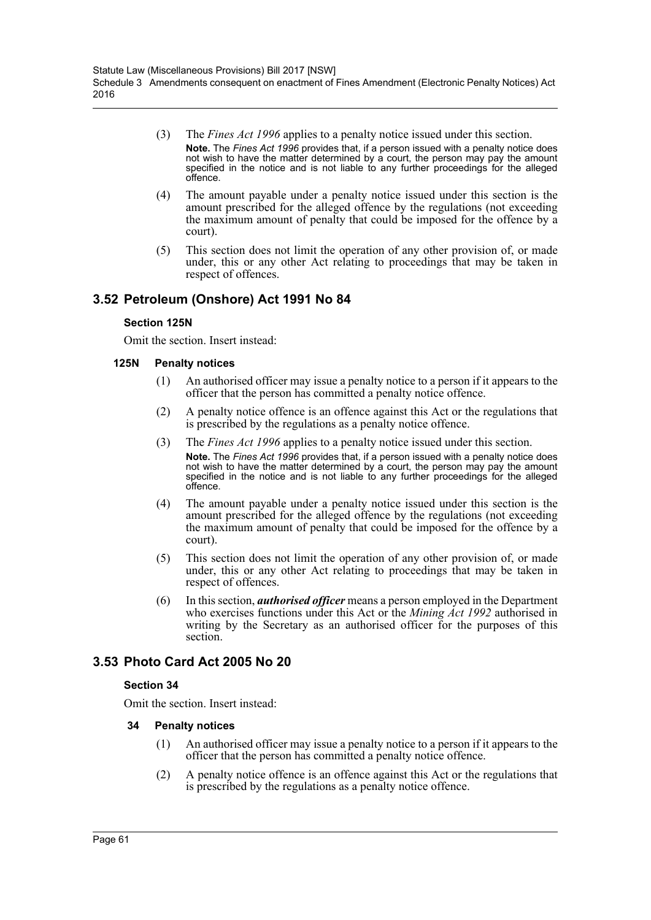- (3) The *Fines Act 1996* applies to a penalty notice issued under this section. **Note.** The *Fines Act 1996* provides that, if a person issued with a penalty notice does not wish to have the matter determined by a court, the person may pay the amount specified in the notice and is not liable to any further proceedings for the alleged offence.
- (4) The amount payable under a penalty notice issued under this section is the amount prescribed for the alleged offence by the regulations (not exceeding the maximum amount of penalty that could be imposed for the offence by a court).
- (5) This section does not limit the operation of any other provision of, or made under, this or any other Act relating to proceedings that may be taken in respect of offences.

# **3.52 Petroleum (Onshore) Act 1991 No 84**

### **Section 125N**

Omit the section. Insert instead:

### **125N Penalty notices**

- (1) An authorised officer may issue a penalty notice to a person if it appears to the officer that the person has committed a penalty notice offence.
- (2) A penalty notice offence is an offence against this Act or the regulations that is prescribed by the regulations as a penalty notice offence.
- (3) The *Fines Act 1996* applies to a penalty notice issued under this section. **Note.** The *Fines Act 1996* provides that, if a person issued with a penalty notice does not wish to have the matter determined by a court, the person may pay the amount specified in the notice and is not liable to any further proceedings for the alleged offence.
- (4) The amount payable under a penalty notice issued under this section is the amount prescribed for the alleged offence by the regulations (not exceeding the maximum amount of penalty that could be imposed for the offence by a court).
- (5) This section does not limit the operation of any other provision of, or made under, this or any other Act relating to proceedings that may be taken in respect of offences.
- (6) In this section, *authorised officer* means a person employed in the Department who exercises functions under this Act or the *Mining Act 1992* authorised in writing by the Secretary as an authorised officer for the purposes of this section.

# **3.53 Photo Card Act 2005 No 20**

### **Section 34**

Omit the section. Insert instead:

- (1) An authorised officer may issue a penalty notice to a person if it appears to the officer that the person has committed a penalty notice offence.
- (2) A penalty notice offence is an offence against this Act or the regulations that is prescribed by the regulations as a penalty notice offence.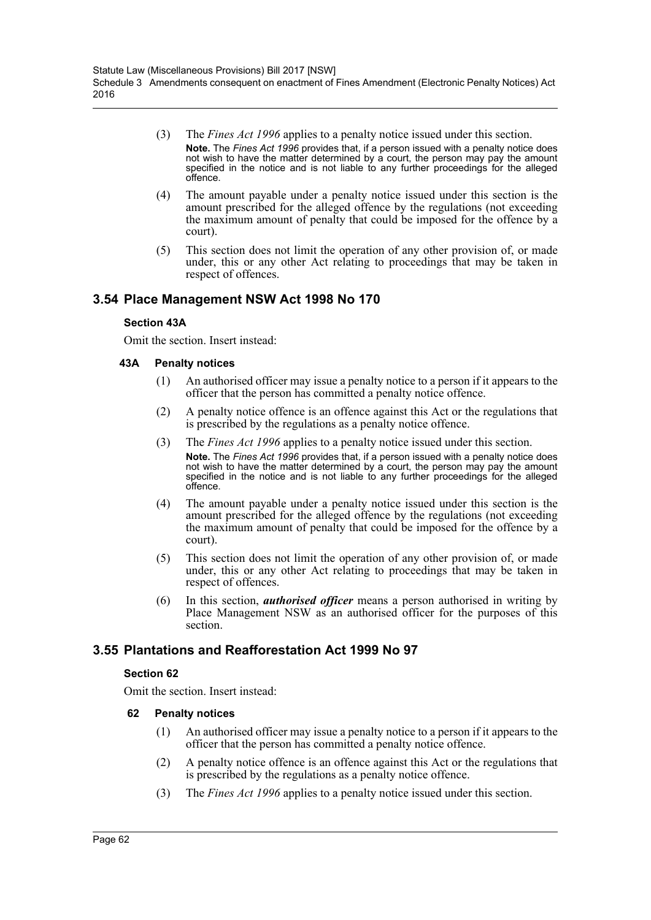- (3) The *Fines Act 1996* applies to a penalty notice issued under this section. **Note.** The *Fines Act 1996* provides that, if a person issued with a penalty notice does not wish to have the matter determined by a court, the person may pay the amount specified in the notice and is not liable to any further proceedings for the alleged offence.
- (4) The amount payable under a penalty notice issued under this section is the amount prescribed for the alleged offence by the regulations (not exceeding the maximum amount of penalty that could be imposed for the offence by a court).
- (5) This section does not limit the operation of any other provision of, or made under, this or any other Act relating to proceedings that may be taken in respect of offences.

# **3.54 Place Management NSW Act 1998 No 170**

### **Section 43A**

Omit the section. Insert instead:

### **43A Penalty notices**

- (1) An authorised officer may issue a penalty notice to a person if it appears to the officer that the person has committed a penalty notice offence.
- (2) A penalty notice offence is an offence against this Act or the regulations that is prescribed by the regulations as a penalty notice offence.
- (3) The *Fines Act 1996* applies to a penalty notice issued under this section. **Note.** The *Fines Act 1996* provides that, if a person issued with a penalty notice does not wish to have the matter determined by a court, the person may pay the amount specified in the notice and is not liable to any further proceedings for the alleged offence.
- (4) The amount payable under a penalty notice issued under this section is the amount prescribed for the alleged offence by the regulations (not exceeding the maximum amount of penalty that could be imposed for the offence by a court).
- (5) This section does not limit the operation of any other provision of, or made under, this or any other Act relating to proceedings that may be taken in respect of offences.
- (6) In this section, *authorised officer* means a person authorised in writing by Place Management NSW as an authorised officer for the purposes of this section.

## **3.55 Plantations and Reafforestation Act 1999 No 97**

### **Section 62**

Omit the section. Insert instead:

- (1) An authorised officer may issue a penalty notice to a person if it appears to the officer that the person has committed a penalty notice offence.
- (2) A penalty notice offence is an offence against this Act or the regulations that is prescribed by the regulations as a penalty notice offence.
- (3) The *Fines Act 1996* applies to a penalty notice issued under this section.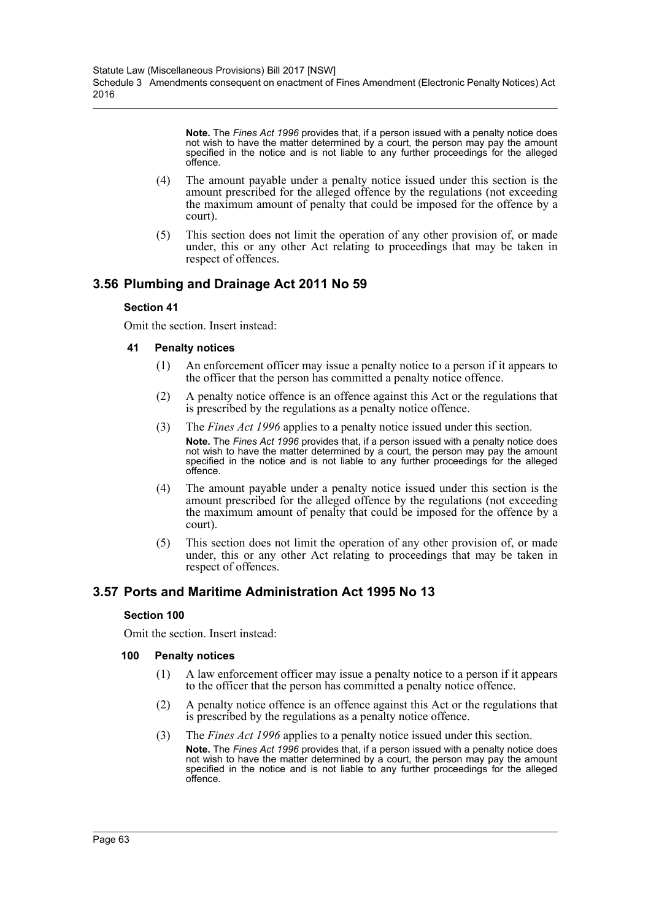**Note.** The *Fines Act 1996* provides that, if a person issued with a penalty notice does not wish to have the matter determined by a court, the person may pay the amount specified in the notice and is not liable to any further proceedings for the alleged offence.

- (4) The amount payable under a penalty notice issued under this section is the amount prescribed for the alleged offence by the regulations (not exceeding the maximum amount of penalty that could be imposed for the offence by a court).
- (5) This section does not limit the operation of any other provision of, or made under, this or any other Act relating to proceedings that may be taken in respect of offences.

# **3.56 Plumbing and Drainage Act 2011 No 59**

### **Section 41**

Omit the section. Insert instead:

### **41 Penalty notices**

- (1) An enforcement officer may issue a penalty notice to a person if it appears to the officer that the person has committed a penalty notice offence.
- (2) A penalty notice offence is an offence against this Act or the regulations that is prescribed by the regulations as a penalty notice offence.
- (3) The *Fines Act 1996* applies to a penalty notice issued under this section. **Note.** The *Fines Act 1996* provides that, if a person issued with a penalty notice does not wish to have the matter determined by a court, the person may pay the amount specified in the notice and is not liable to any further proceedings for the alleged offence.
- (4) The amount payable under a penalty notice issued under this section is the amount prescribed for the alleged offence by the regulations (not exceeding the maximum amount of penalty that could be imposed for the offence by a court).
- (5) This section does not limit the operation of any other provision of, or made under, this or any other Act relating to proceedings that may be taken in respect of offences.

# **3.57 Ports and Maritime Administration Act 1995 No 13**

### **Section 100**

Omit the section. Insert instead:

- (1) A law enforcement officer may issue a penalty notice to a person if it appears to the officer that the person has committed a penalty notice offence.
- (2) A penalty notice offence is an offence against this Act or the regulations that is prescribed by the regulations as a penalty notice offence.
- (3) The *Fines Act 1996* applies to a penalty notice issued under this section. **Note.** The *Fines Act 1996* provides that, if a person issued with a penalty notice does not wish to have the matter determined by a court, the person may pay the amount specified in the notice and is not liable to any further proceedings for the alleged offence.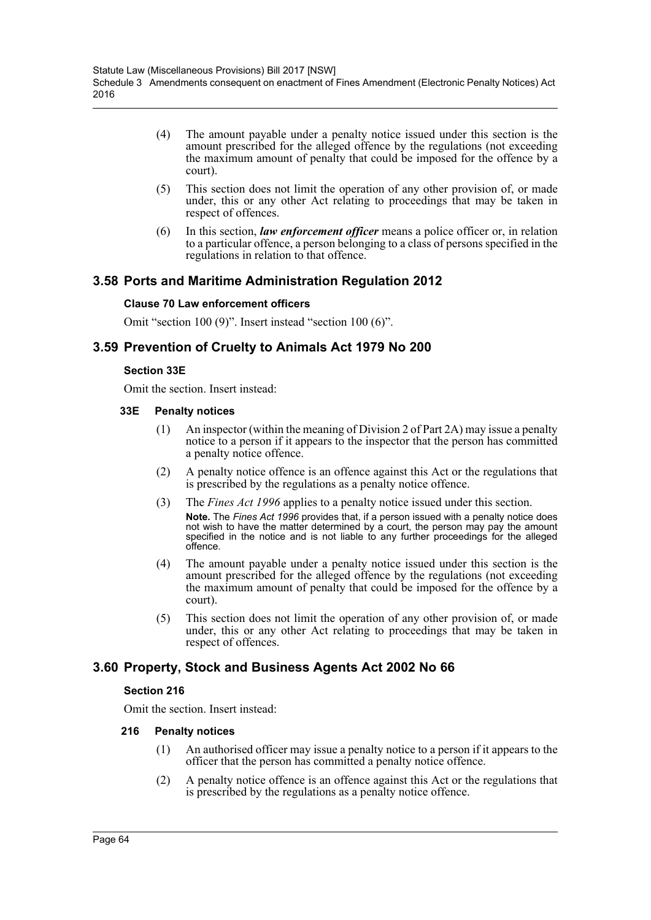- (4) The amount payable under a penalty notice issued under this section is the amount prescribed for the alleged offence by the regulations (not exceeding the maximum amount of penalty that could be imposed for the offence by a court).
- (5) This section does not limit the operation of any other provision of, or made under, this or any other Act relating to proceedings that may be taken in respect of offences.
- (6) In this section, *law enforcement officer* means a police officer or, in relation to a particular offence, a person belonging to a class of persons specified in the regulations in relation to that offence.

# **3.58 Ports and Maritime Administration Regulation 2012**

### **Clause 70 Law enforcement officers**

Omit "section 100 (9)". Insert instead "section 100 (6)".

## **3.59 Prevention of Cruelty to Animals Act 1979 No 200**

### **Section 33E**

Omit the section. Insert instead:

#### **33E Penalty notices**

- (1) An inspector (within the meaning of Division 2 of Part 2A) may issue a penalty notice to a person if it appears to the inspector that the person has committed a penalty notice offence.
- (2) A penalty notice offence is an offence against this Act or the regulations that is prescribed by the regulations as a penalty notice offence.
- (3) The *Fines Act 1996* applies to a penalty notice issued under this section. **Note.** The *Fines Act 1996* provides that, if a person issued with a penalty notice does not wish to have the matter determined by a court, the person may pay the amount specified in the notice and is not liable to any further proceedings for the alleged offence.
- (4) The amount payable under a penalty notice issued under this section is the amount prescribed for the alleged offence by the regulations (not exceeding the maximum amount of penalty that could be imposed for the offence by a court).
- (5) This section does not limit the operation of any other provision of, or made under, this or any other Act relating to proceedings that may be taken in respect of offences.

# **3.60 Property, Stock and Business Agents Act 2002 No 66**

### **Section 216**

Omit the section. Insert instead:

- (1) An authorised officer may issue a penalty notice to a person if it appears to the officer that the person has committed a penalty notice offence.
- (2) A penalty notice offence is an offence against this Act or the regulations that is prescribed by the regulations as a penalty notice offence.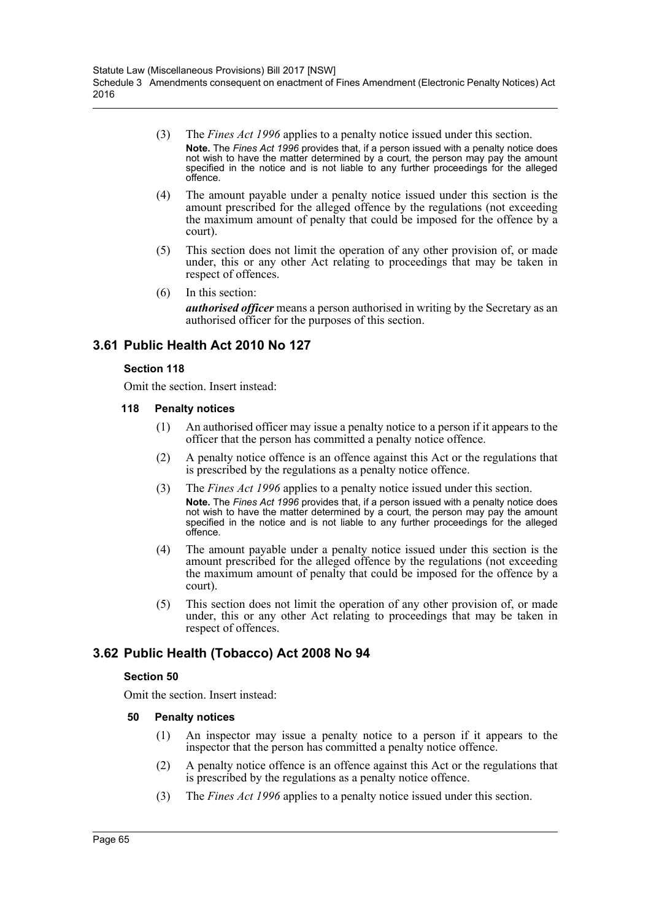- (3) The *Fines Act 1996* applies to a penalty notice issued under this section. **Note.** The *Fines Act 1996* provides that, if a person issued with a penalty notice does not wish to have the matter determined by a court, the person may pay the amount specified in the notice and is not liable to any further proceedings for the alleged offence.
- (4) The amount payable under a penalty notice issued under this section is the amount prescribed for the alleged offence by the regulations (not exceeding the maximum amount of penalty that could be imposed for the offence by a court).
- (5) This section does not limit the operation of any other provision of, or made under, this or any other Act relating to proceedings that may be taken in respect of offences.
- (6) In this section:

*authorised officer* means a person authorised in writing by the Secretary as an authorised officer for the purposes of this section.

## **3.61 Public Health Act 2010 No 127**

### **Section 118**

Omit the section. Insert instead:

- **118 Penalty notices**
	- (1) An authorised officer may issue a penalty notice to a person if it appears to the officer that the person has committed a penalty notice offence.
	- (2) A penalty notice offence is an offence against this Act or the regulations that is prescribed by the regulations as a penalty notice offence.
	- (3) The *Fines Act 1996* applies to a penalty notice issued under this section. **Note.** The *Fines Act 1996* provides that, if a person issued with a penalty notice does not wish to have the matter determined by a court, the person may pay the amount specified in the notice and is not liable to any further proceedings for the alleged offence.
	- (4) The amount payable under a penalty notice issued under this section is the amount prescribed for the alleged offence by the regulations (not exceeding the maximum amount of penalty that could be imposed for the offence by a court).
	- (5) This section does not limit the operation of any other provision of, or made under, this or any other Act relating to proceedings that may be taken in respect of offences.

## **3.62 Public Health (Tobacco) Act 2008 No 94**

### **Section 50**

Omit the section. Insert instead:

- (1) An inspector may issue a penalty notice to a person if it appears to the inspector that the person has committed a penalty notice offence.
- (2) A penalty notice offence is an offence against this Act or the regulations that is prescribed by the regulations as a penalty notice offence.
- (3) The *Fines Act 1996* applies to a penalty notice issued under this section.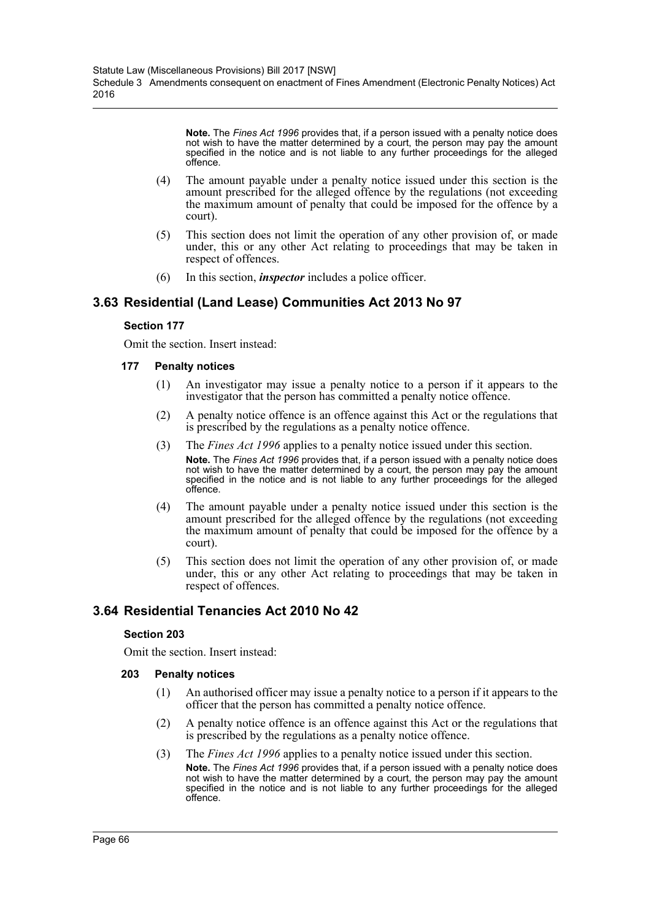**Note.** The *Fines Act 1996* provides that, if a person issued with a penalty notice does not wish to have the matter determined by a court, the person may pay the amount specified in the notice and is not liable to any further proceedings for the alleged offence.

- (4) The amount payable under a penalty notice issued under this section is the amount prescribed for the alleged offence by the regulations (not exceeding the maximum amount of penalty that could be imposed for the offence by a court).
- (5) This section does not limit the operation of any other provision of, or made under, this or any other Act relating to proceedings that may be taken in respect of offences.
- (6) In this section, *inspector* includes a police officer.

# **3.63 Residential (Land Lease) Communities Act 2013 No 97**

### **Section 177**

Omit the section. Insert instead:

### **177 Penalty notices**

- (1) An investigator may issue a penalty notice to a person if it appears to the investigator that the person has committed a penalty notice offence.
- (2) A penalty notice offence is an offence against this Act or the regulations that is prescribed by the regulations as a penalty notice offence.
- (3) The *Fines Act 1996* applies to a penalty notice issued under this section. **Note.** The *Fines Act 1996* provides that, if a person issued with a penalty notice does not wish to have the matter determined by a court, the person may pay the amount specified in the notice and is not liable to any further proceedings for the alleged offence.
- (4) The amount payable under a penalty notice issued under this section is the amount prescribed for the alleged offence by the regulations (not exceeding the maximum amount of penalty that could be imposed for the offence by a court).
- (5) This section does not limit the operation of any other provision of, or made under, this or any other Act relating to proceedings that may be taken in respect of offences.

# **3.64 Residential Tenancies Act 2010 No 42**

### **Section 203**

Omit the section. Insert instead:

- (1) An authorised officer may issue a penalty notice to a person if it appears to the officer that the person has committed a penalty notice offence.
- (2) A penalty notice offence is an offence against this Act or the regulations that is prescribed by the regulations as a penalty notice offence.
- (3) The *Fines Act 1996* applies to a penalty notice issued under this section. **Note.** The *Fines Act 1996* provides that, if a person issued with a penalty notice does not wish to have the matter determined by a court, the person may pay the amount specified in the notice and is not liable to any further proceedings for the alleged offence.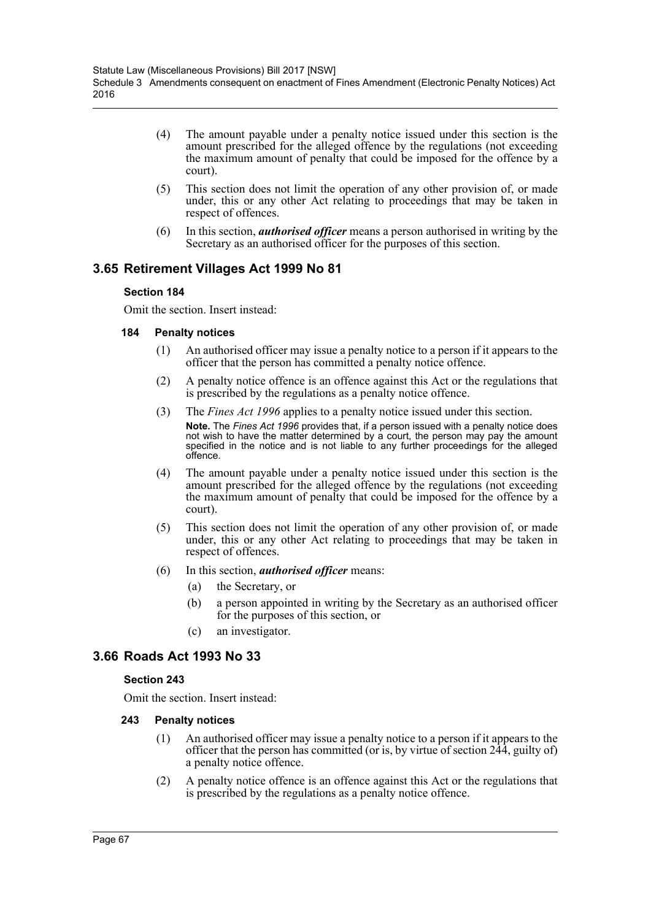- (4) The amount payable under a penalty notice issued under this section is the amount prescribed for the alleged offence by the regulations (not exceeding the maximum amount of penalty that could be imposed for the offence by a court).
- (5) This section does not limit the operation of any other provision of, or made under, this or any other Act relating to proceedings that may be taken in respect of offences.
- (6) In this section, *authorised officer* means a person authorised in writing by the Secretary as an authorised officer for the purposes of this section.

# **3.65 Retirement Villages Act 1999 No 81**

### **Section 184**

Omit the section. Insert instead:

### **184 Penalty notices**

- (1) An authorised officer may issue a penalty notice to a person if it appears to the officer that the person has committed a penalty notice offence.
- (2) A penalty notice offence is an offence against this Act or the regulations that is prescribed by the regulations as a penalty notice offence.
- (3) The *Fines Act 1996* applies to a penalty notice issued under this section. **Note.** The *Fines Act 1996* provides that, if a person issued with a penalty notice does not wish to have the matter determined by a court, the person may pay the amount specified in the notice and is not liable to any further proceedings for the alleged offence.
- (4) The amount payable under a penalty notice issued under this section is the amount prescribed for the alleged offence by the regulations (not exceeding the maximum amount of penalty that could be imposed for the offence by a court).
- (5) This section does not limit the operation of any other provision of, or made under, this or any other Act relating to proceedings that may be taken in respect of offences.
- (6) In this section, *authorised officer* means:
	- (a) the Secretary, or
	- (b) a person appointed in writing by the Secretary as an authorised officer for the purposes of this section, or
	- (c) an investigator.

# **3.66 Roads Act 1993 No 33**

### **Section 243**

Omit the section. Insert instead:

- (1) An authorised officer may issue a penalty notice to a person if it appears to the officer that the person has committed (or is, by virtue of section 244, guilty of) a penalty notice offence.
- (2) A penalty notice offence is an offence against this Act or the regulations that is prescribed by the regulations as a penalty notice offence.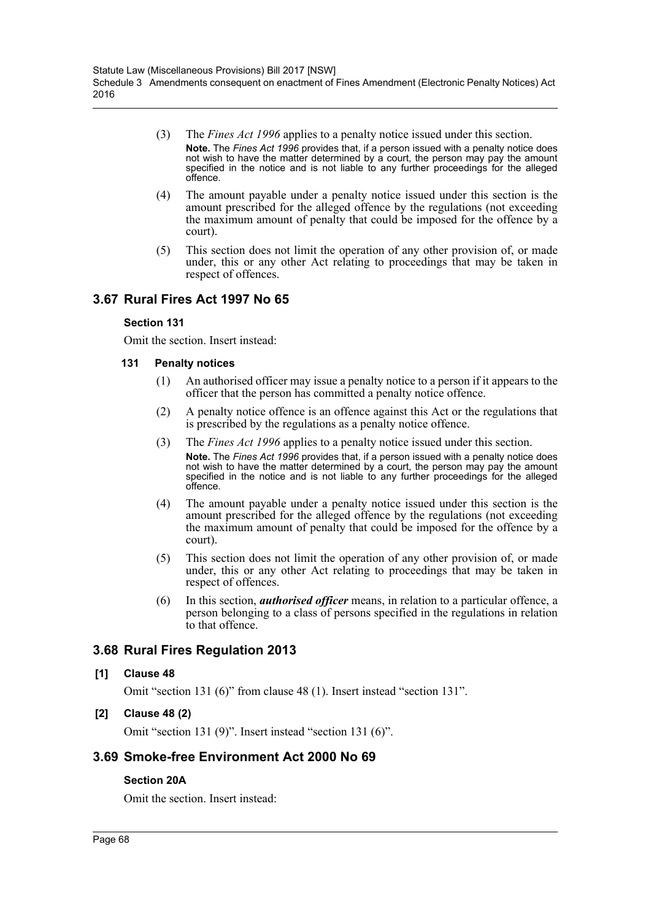- (3) The *Fines Act 1996* applies to a penalty notice issued under this section. **Note.** The *Fines Act 1996* provides that, if a person issued with a penalty notice does not wish to have the matter determined by a court, the person may pay the amount specified in the notice and is not liable to any further proceedings for the alleged offence.
- (4) The amount payable under a penalty notice issued under this section is the amount prescribed for the alleged offence by the regulations (not exceeding the maximum amount of penalty that could be imposed for the offence by a court).
- (5) This section does not limit the operation of any other provision of, or made under, this or any other Act relating to proceedings that may be taken in respect of offences.

# **3.67 Rural Fires Act 1997 No 65**

### **Section 131**

Omit the section. Insert instead:

### **131 Penalty notices**

- (1) An authorised officer may issue a penalty notice to a person if it appears to the officer that the person has committed a penalty notice offence.
- (2) A penalty notice offence is an offence against this Act or the regulations that is prescribed by the regulations as a penalty notice offence.
- (3) The *Fines Act 1996* applies to a penalty notice issued under this section. **Note.** The *Fines Act 1996* provides that, if a person issued with a penalty notice does not wish to have the matter determined by a court, the person may pay the amount specified in the notice and is not liable to any further proceedings for the alleged offence.
- (4) The amount payable under a penalty notice issued under this section is the amount prescribed for the alleged offence by the regulations (not exceeding the maximum amount of penalty that could be imposed for the offence by a court).
- (5) This section does not limit the operation of any other provision of, or made under, this or any other Act relating to proceedings that may be taken in respect of offences.
- (6) In this section, *authorised officer* means, in relation to a particular offence, a person belonging to a class of persons specified in the regulations in relation to that offence.

# **3.68 Rural Fires Regulation 2013**

### **[1] Clause 48**

Omit "section 131 (6)" from clause 48 (1). Insert instead "section 131".

## **[2] Clause 48 (2)**

Omit "section 131 (9)". Insert instead "section 131 (6)".

# **3.69 Smoke-free Environment Act 2000 No 69**

## **Section 20A**

Omit the section. Insert instead: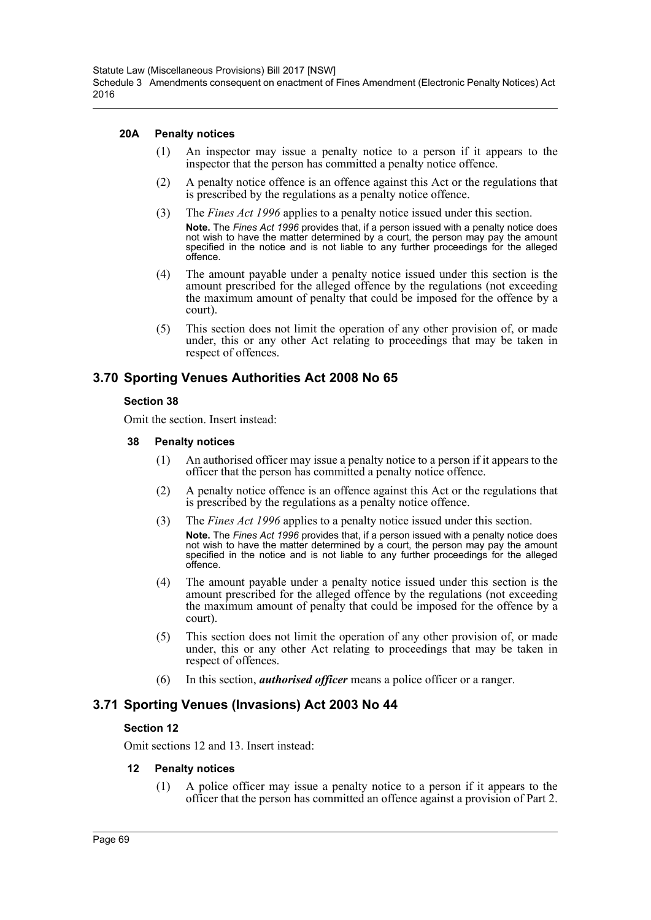#### **20A Penalty notices**

- (1) An inspector may issue a penalty notice to a person if it appears to the inspector that the person has committed a penalty notice offence.
- (2) A penalty notice offence is an offence against this Act or the regulations that is prescribed by the regulations as a penalty notice offence.
- (3) The *Fines Act 1996* applies to a penalty notice issued under this section. **Note.** The *Fines Act 1996* provides that, if a person issued with a penalty notice does note, the matter less premise the matter determined by a court, the person may pay the amount specified in the notice and is not liable to any further proceedings for the alleged offence.
- (4) The amount payable under a penalty notice issued under this section is the amount prescribed for the alleged offence by the regulations (not exceeding the maximum amount of penalty that could be imposed for the offence by a court).
- (5) This section does not limit the operation of any other provision of, or made under, this or any other Act relating to proceedings that may be taken in respect of offences.

## **3.70 Sporting Venues Authorities Act 2008 No 65**

### **Section 38**

Omit the section. Insert instead:

#### **38 Penalty notices**

- (1) An authorised officer may issue a penalty notice to a person if it appears to the officer that the person has committed a penalty notice offence.
- (2) A penalty notice offence is an offence against this Act or the regulations that is prescribed by the regulations as a penalty notice offence.
- (3) The *Fines Act 1996* applies to a penalty notice issued under this section. **Note.** The *Fines Act 1996* provides that, if a person issued with a penalty notice does not wish to have the matter determined by a court, the person may pay the amount specified in the notice and is not liable to any further proceedings for the alleged offence.
- (4) The amount payable under a penalty notice issued under this section is the amount prescribed for the alleged offence by the regulations (not exceeding the maximum amount of penalty that could be imposed for the offence by a court).
- (5) This section does not limit the operation of any other provision of, or made under, this or any other Act relating to proceedings that may be taken in respect of offences.
- (6) In this section, *authorised officer* means a police officer or a ranger.

## **3.71 Sporting Venues (Invasions) Act 2003 No 44**

### **Section 12**

Omit sections 12 and 13. Insert instead:

### **12 Penalty notices**

(1) A police officer may issue a penalty notice to a person if it appears to the officer that the person has committed an offence against a provision of Part 2.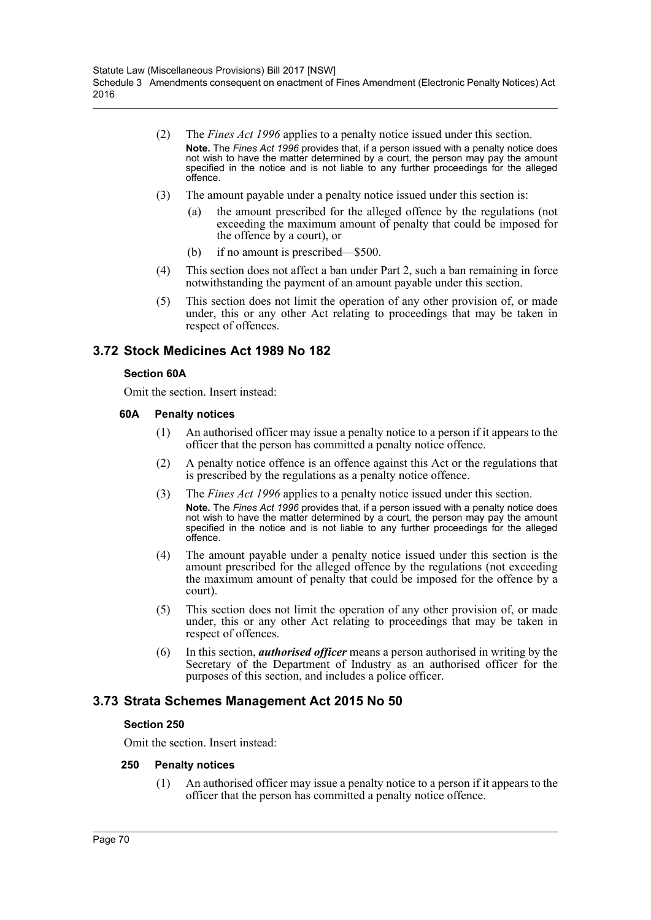- (2) The *Fines Act 1996* applies to a penalty notice issued under this section. **Note.** The *Fines Act 1996* provides that, if a person issued with a penalty notice does not wish to have the matter determined by a court, the person may pay the amount specified in the notice and is not liable to any further proceedings for the alleged offence.
- (3) The amount payable under a penalty notice issued under this section is:
	- (a) the amount prescribed for the alleged offence by the regulations (not exceeding the maximum amount of penalty that could be imposed for the offence by a court), or
	- (b) if no amount is prescribed—\$500.
- (4) This section does not affect a ban under Part 2, such a ban remaining in force notwithstanding the payment of an amount payable under this section.
- (5) This section does not limit the operation of any other provision of, or made under, this or any other Act relating to proceedings that may be taken in respect of offences.

## **3.72 Stock Medicines Act 1989 No 182**

#### **Section 60A**

Omit the section. Insert instead:

#### **60A Penalty notices**

- (1) An authorised officer may issue a penalty notice to a person if it appears to the officer that the person has committed a penalty notice offence.
- (2) A penalty notice offence is an offence against this Act or the regulations that is prescribed by the regulations as a penalty notice offence.
- (3) The *Fines Act 1996* applies to a penalty notice issued under this section. **Note.** The *Fines Act 1996* provides that, if a person issued with a penalty notice does not wish to have the matter determined by a court, the person may pay the amount specified in the notice and is not liable to any further proceedings for the alleged offence.
- (4) The amount payable under a penalty notice issued under this section is the amount prescribed for the alleged offence by the regulations (not exceeding the maximum amount of penalty that could be imposed for the offence by a court).
- (5) This section does not limit the operation of any other provision of, or made under, this or any other Act relating to proceedings that may be taken in respect of offences.
- (6) In this section, *authorised officer* means a person authorised in writing by the Secretary of the Department of Industry as an authorised officer for the purposes of this section, and includes a police officer.

## **3.73 Strata Schemes Management Act 2015 No 50**

### **Section 250**

Omit the section. Insert instead:

### **250 Penalty notices**

(1) An authorised officer may issue a penalty notice to a person if it appears to the officer that the person has committed a penalty notice offence.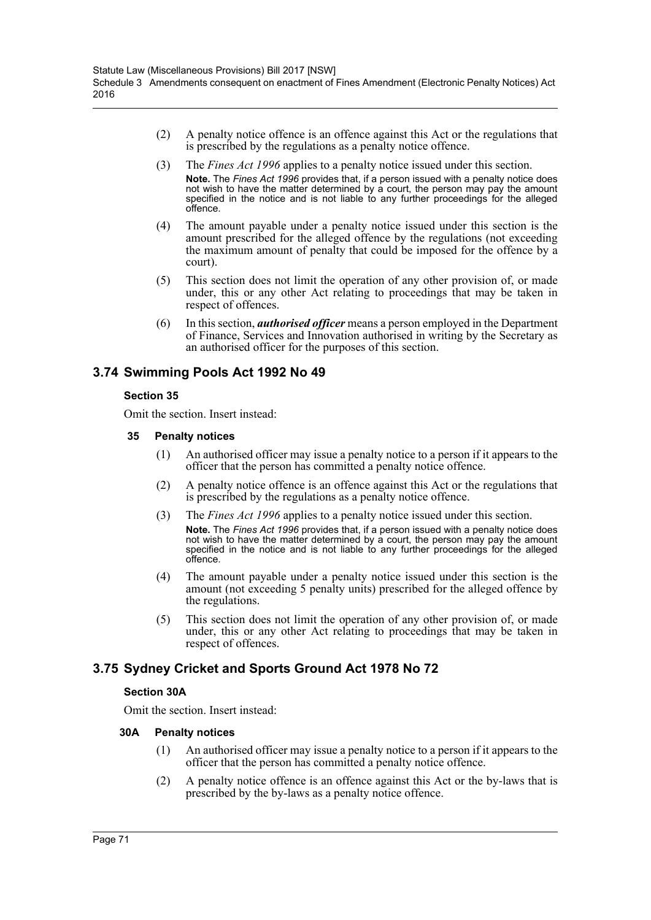- (2) A penalty notice offence is an offence against this Act or the regulations that is prescribed by the regulations as a penalty notice offence.
- (3) The *Fines Act 1996* applies to a penalty notice issued under this section. **Note.** The *Fines Act 1996* provides that, if a person issued with a penalty notice does not wish to have the matter determined by a court, the person may pay the amount specified in the notice and is not liable to any further proceedings for the alleged offence.
- (4) The amount payable under a penalty notice issued under this section is the amount prescribed for the alleged offence by the regulations (not exceeding the maximum amount of penalty that could be imposed for the offence by a court).
- (5) This section does not limit the operation of any other provision of, or made under, this or any other Act relating to proceedings that may be taken in respect of offences.
- (6) In this section, *authorised officer* means a person employed in the Department of Finance, Services and Innovation authorised in writing by the Secretary as an authorised officer for the purposes of this section.

# **3.74 Swimming Pools Act 1992 No 49**

## **Section 35**

Omit the section. Insert instead:

### **35 Penalty notices**

- (1) An authorised officer may issue a penalty notice to a person if it appears to the officer that the person has committed a penalty notice offence.
- (2) A penalty notice offence is an offence against this Act or the regulations that is prescribed by the regulations as a penalty notice offence.
- (3) The *Fines Act 1996* applies to a penalty notice issued under this section. **Note.** The *Fines Act 1996* provides that, if a person issued with a penalty notice does not wish to have the matter determined by a court, the person may pay the amount specified in the notice and is not liable to any further proceedings for the alleged offence.
- (4) The amount payable under a penalty notice issued under this section is the amount (not exceeding 5 penalty units) prescribed for the alleged offence by the regulations.
- (5) This section does not limit the operation of any other provision of, or made under, this or any other Act relating to proceedings that may be taken in respect of offences.

# **3.75 Sydney Cricket and Sports Ground Act 1978 No 72**

## **Section 30A**

Omit the section. Insert instead:

- (1) An authorised officer may issue a penalty notice to a person if it appears to the officer that the person has committed a penalty notice offence.
- (2) A penalty notice offence is an offence against this Act or the by-laws that is prescribed by the by-laws as a penalty notice offence.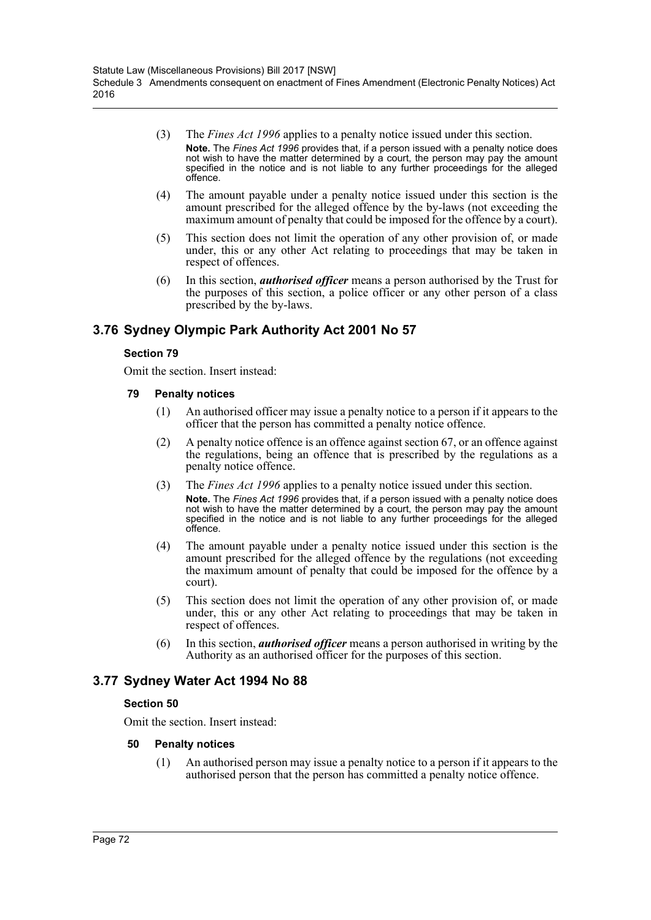- (3) The *Fines Act 1996* applies to a penalty notice issued under this section. **Note.** The *Fines Act 1996* provides that, if a person issued with a penalty notice does not wish to have the matter determined by a court, the person may pay the amount specified in the notice and is not liable to any further proceedings for the alleged offence.
- (4) The amount payable under a penalty notice issued under this section is the amount prescribed for the alleged offence by the by-laws (not exceeding the maximum amount of penalty that could be imposed for the offence by a court).
- (5) This section does not limit the operation of any other provision of, or made under, this or any other Act relating to proceedings that may be taken in respect of offences.
- (6) In this section, *authorised officer* means a person authorised by the Trust for the purposes of this section, a police officer or any other person of a class prescribed by the by-laws.

# **3.76 Sydney Olympic Park Authority Act 2001 No 57**

#### **Section 79**

Omit the section. Insert instead:

- **79 Penalty notices**
	- (1) An authorised officer may issue a penalty notice to a person if it appears to the officer that the person has committed a penalty notice offence.
	- (2) A penalty notice offence is an offence against section 67, or an offence against the regulations, being an offence that is prescribed by the regulations as a penalty notice offence.
	- (3) The *Fines Act 1996* applies to a penalty notice issued under this section. **Note.** The *Fines Act 1996* provides that, if a person issued with a penalty notice does not wish to have the matter determined by a court, the person may pay the amount specified in the notice and is not liable to any further proceedings for the alleged offence.
	- (4) The amount payable under a penalty notice issued under this section is the amount prescribed for the alleged offence by the regulations (not exceeding the maximum amount of penalty that could be imposed for the offence by a court).
	- (5) This section does not limit the operation of any other provision of, or made under, this or any other Act relating to proceedings that may be taken in respect of offences.
	- (6) In this section, *authorised officer* means a person authorised in writing by the Authority as an authorised officer for the purposes of this section.

### **3.77 Sydney Water Act 1994 No 88**

#### **Section 50**

Omit the section. Insert instead:

#### **50 Penalty notices**

(1) An authorised person may issue a penalty notice to a person if it appears to the authorised person that the person has committed a penalty notice offence.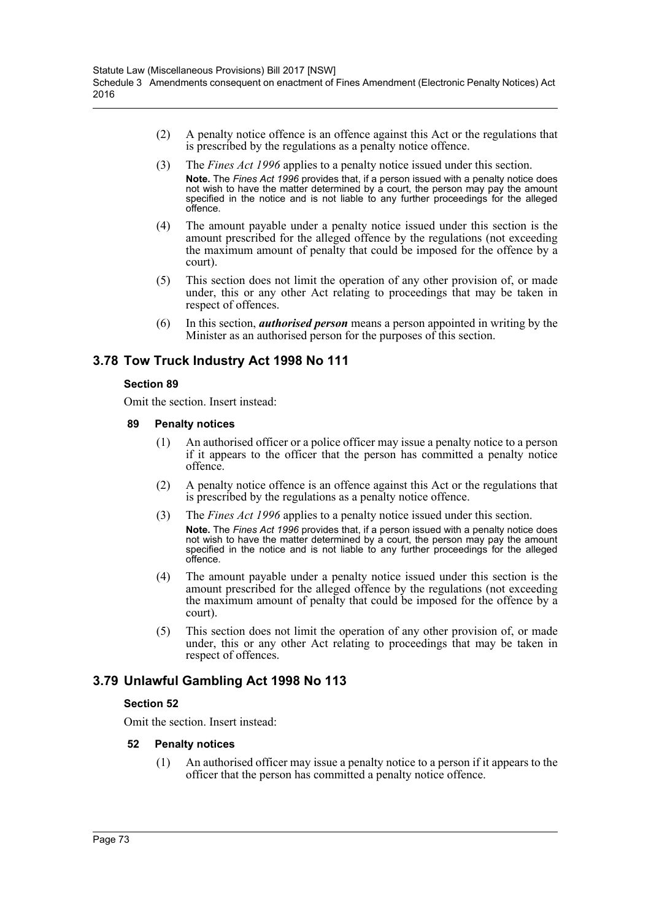- (2) A penalty notice offence is an offence against this Act or the regulations that is prescribed by the regulations as a penalty notice offence.
- (3) The *Fines Act 1996* applies to a penalty notice issued under this section. **Note.** The *Fines Act 1996* provides that, if a person issued with a penalty notice does not wish to have the matter determined by a court, the person may pay the amount specified in the notice and is not liable to any further proceedings for the alleged offence.
- (4) The amount payable under a penalty notice issued under this section is the amount prescribed for the alleged offence by the regulations (not exceeding the maximum amount of penalty that could be imposed for the offence by a court).
- (5) This section does not limit the operation of any other provision of, or made under, this or any other Act relating to proceedings that may be taken in respect of offences.
- (6) In this section, *authorised person* means a person appointed in writing by the Minister as an authorised person for the purposes of this section.

# **3.78 Tow Truck Industry Act 1998 No 111**

#### **Section 89**

Omit the section. Insert instead:

- **89 Penalty notices**
	- (1) An authorised officer or a police officer may issue a penalty notice to a person if it appears to the officer that the person has committed a penalty notice offence.
	- (2) A penalty notice offence is an offence against this Act or the regulations that is prescribed by the regulations as a penalty notice offence.
	- (3) The *Fines Act 1996* applies to a penalty notice issued under this section. **Note.** The *Fines Act 1996* provides that, if a person issued with a penalty notice does not wish to have the matter determined by a court, the person may pay the amount specified in the notice and is not liable to any further proceedings for the alleged offence.
	- (4) The amount payable under a penalty notice issued under this section is the amount prescribed for the alleged offence by the regulations (not exceeding the maximum amount of penalty that could be imposed for the offence by a court).
	- (5) This section does not limit the operation of any other provision of, or made under, this or any other Act relating to proceedings that may be taken in respect of offences.

### **3.79 Unlawful Gambling Act 1998 No 113**

#### **Section 52**

Omit the section. Insert instead:

#### **52 Penalty notices**

(1) An authorised officer may issue a penalty notice to a person if it appears to the officer that the person has committed a penalty notice offence.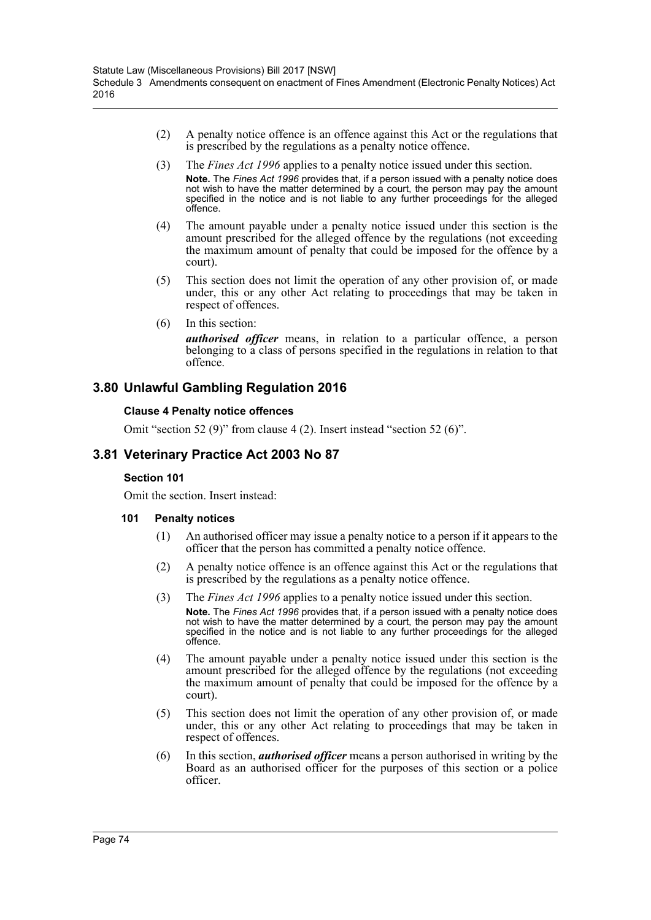- (2) A penalty notice offence is an offence against this Act or the regulations that is prescribed by the regulations as a penalty notice offence.
- (3) The *Fines Act 1996* applies to a penalty notice issued under this section. **Note.** The *Fines Act 1996* provides that, if a person issued with a penalty notice does not wish to have the matter determined by a court, the person may pay the amount specified in the notice and is not liable to any further proceedings for the alleged offence.
- (4) The amount payable under a penalty notice issued under this section is the amount prescribed for the alleged offence by the regulations (not exceeding the maximum amount of penalty that could be imposed for the offence by a court).
- (5) This section does not limit the operation of any other provision of, or made under, this or any other Act relating to proceedings that may be taken in respect of offences.
- (6) In this section:

*authorised officer* means, in relation to a particular offence, a person belonging to a class of persons specified in the regulations in relation to that offence.

### **3.80 Unlawful Gambling Regulation 2016**

#### **Clause 4 Penalty notice offences**

Omit "section 52 (9)" from clause 4 (2). Insert instead "section 52 (6)".

### **3.81 Veterinary Practice Act 2003 No 87**

#### **Section 101**

Omit the section. Insert instead:

#### **101 Penalty notices**

- (1) An authorised officer may issue a penalty notice to a person if it appears to the officer that the person has committed a penalty notice offence.
- (2) A penalty notice offence is an offence against this Act or the regulations that is prescribed by the regulations as a penalty notice offence.
- (3) The *Fines Act 1996* applies to a penalty notice issued under this section. **Note.** The *Fines Act 1996* provides that, if a person issued with a penalty notice does not wish to have the matter determined by a court, the person may pay the amount specified in the notice and is not liable to any further proceedings for the alleged offence.
- (4) The amount payable under a penalty notice issued under this section is the amount prescribed for the alleged offence by the regulations (not exceeding the maximum amount of penalty that could be imposed for the offence by a court).
- (5) This section does not limit the operation of any other provision of, or made under, this or any other Act relating to proceedings that may be taken in respect of offences.
- (6) In this section, *authorised officer* means a person authorised in writing by the Board as an authorised officer for the purposes of this section or a police officer.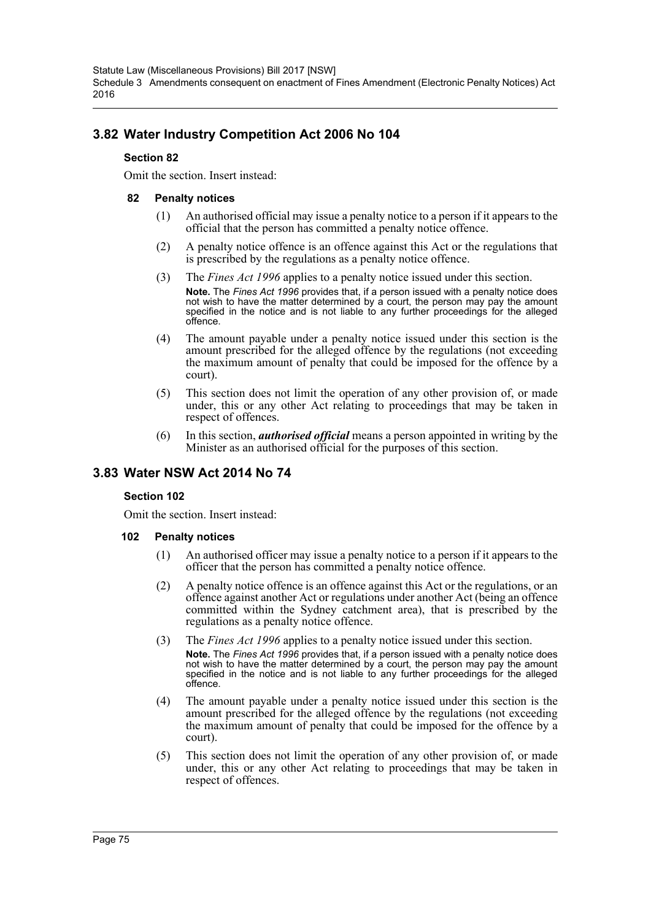Statute Law (Miscellaneous Provisions) Bill 2017 [NSW] Schedule 3 Amendments consequent on enactment of Fines Amendment (Electronic Penalty Notices) Act 2016

# **3.82 Water Industry Competition Act 2006 No 104**

#### **Section 82**

Omit the section. Insert instead:

#### **82 Penalty notices**

- (1) An authorised official may issue a penalty notice to a person if it appears to the official that the person has committed a penalty notice offence.
- (2) A penalty notice offence is an offence against this Act or the regulations that is prescribed by the regulations as a penalty notice offence.
- (3) The *Fines Act 1996* applies to a penalty notice issued under this section. **Note.** The *Fines Act 1996* provides that, if a person issued with a penalty notice does not wish to have the matter determined by a court, the person may pay the amount specified in the notice and is not liable to any further proceedings for the alleged offence.
- (4) The amount payable under a penalty notice issued under this section is the amount prescribed for the alleged offence by the regulations (not exceeding the maximum amount of penalty that could be imposed for the offence by a court).
- (5) This section does not limit the operation of any other provision of, or made under, this or any other Act relating to proceedings that may be taken in respect of offences.
- (6) In this section, *authorised official* means a person appointed in writing by the Minister as an authorised official for the purposes of this section.

### **3.83 Water NSW Act 2014 No 74**

#### **Section 102**

Omit the section. Insert instead:

#### **102 Penalty notices**

- (1) An authorised officer may issue a penalty notice to a person if it appears to the officer that the person has committed a penalty notice offence.
- (2) A penalty notice offence is an offence against this Act or the regulations, or an offence against another Act or regulations under another Act (being an offence committed within the Sydney catchment area), that is prescribed by the regulations as a penalty notice offence.
- (3) The *Fines Act 1996* applies to a penalty notice issued under this section. **Note.** The *Fines Act 1996* provides that, if a person issued with a penalty notice does not wish to have the matter determined by a court, the person may pay the amount specified in the notice and is not liable to any further proceedings for the alleged offence.
- (4) The amount payable under a penalty notice issued under this section is the amount prescribed for the alleged offence by the regulations (not exceeding the maximum amount of penalty that could be imposed for the offence by a court).
- (5) This section does not limit the operation of any other provision of, or made under, this or any other Act relating to proceedings that may be taken in respect of offences.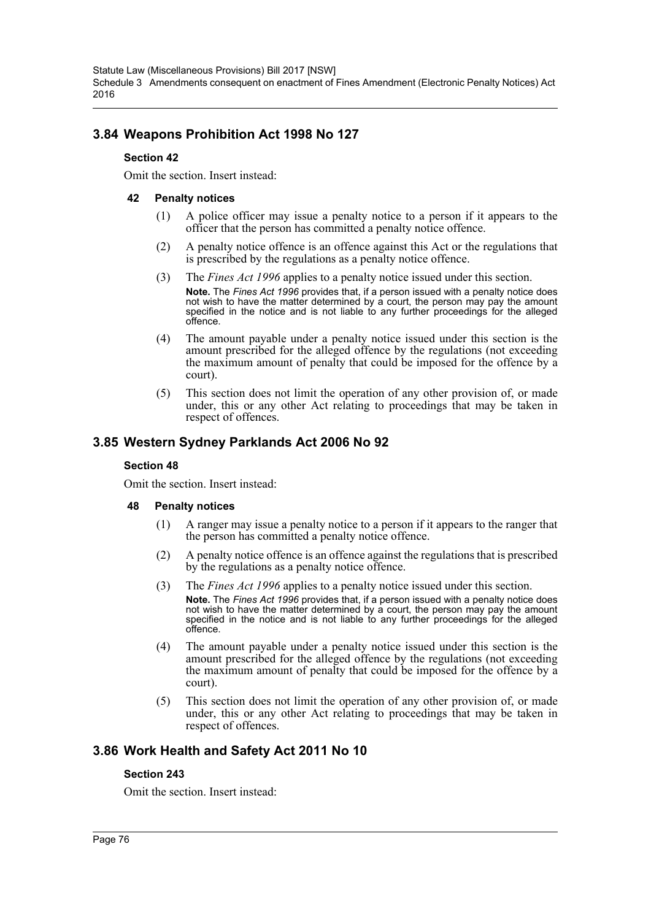Statute Law (Miscellaneous Provisions) Bill 2017 [NSW] Schedule 3 Amendments consequent on enactment of Fines Amendment (Electronic Penalty Notices) Act 2016

### **3.84 Weapons Prohibition Act 1998 No 127**

#### **Section 42**

Omit the section. Insert instead:

#### **42 Penalty notices**

- (1) A police officer may issue a penalty notice to a person if it appears to the officer that the person has committed a penalty notice offence.
- (2) A penalty notice offence is an offence against this Act or the regulations that is prescribed by the regulations as a penalty notice offence.
- (3) The *Fines Act 1996* applies to a penalty notice issued under this section. **Note.** The *Fines Act 1996* provides that, if a person issued with a penalty notice does not wish to have the matter determined by a court, the person may pay the amount specified in the notice and is not liable to any further proceedings for the alleged offence.
- (4) The amount payable under a penalty notice issued under this section is the amount prescribed for the alleged offence by the regulations (not exceeding the maximum amount of penalty that could be imposed for the offence by a court).
- (5) This section does not limit the operation of any other provision of, or made under, this or any other Act relating to proceedings that may be taken in respect of offences.

### **3.85 Western Sydney Parklands Act 2006 No 92**

#### **Section 48**

Omit the section. Insert instead:

#### **48 Penalty notices**

- (1) A ranger may issue a penalty notice to a person if it appears to the ranger that the person has committed a penalty notice offence.
- (2) A penalty notice offence is an offence against the regulations that is prescribed by the regulations as a penalty notice offence.
- (3) The *Fines Act 1996* applies to a penalty notice issued under this section. **Note.** The *Fines Act 1996* provides that, if a person issued with a penalty notice does not wish to have the matter determined by a court, the person may pay the amount specified in the notice and is not liable to any further proceedings for the alleged offence.
- (4) The amount payable under a penalty notice issued under this section is the amount prescribed for the alleged offence by the regulations (not exceeding the maximum amount of penalty that could be imposed for the offence by a court).
- (5) This section does not limit the operation of any other provision of, or made under, this or any other Act relating to proceedings that may be taken in respect of offences.

### **3.86 Work Health and Safety Act 2011 No 10**

#### **Section 243**

Omit the section. Insert instead: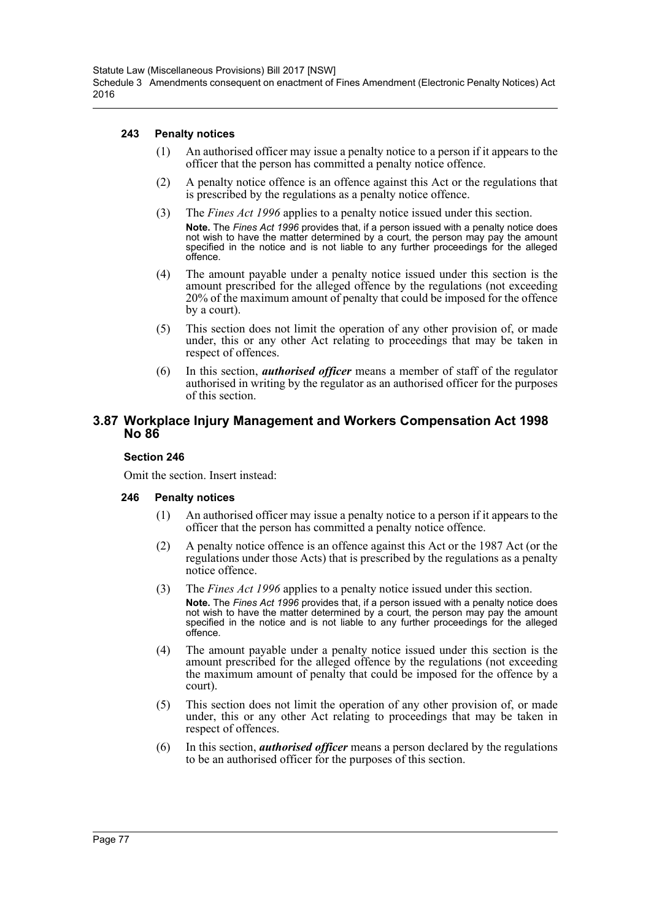#### **243 Penalty notices**

- (1) An authorised officer may issue a penalty notice to a person if it appears to the officer that the person has committed a penalty notice offence.
- (2) A penalty notice offence is an offence against this Act or the regulations that is prescribed by the regulations as a penalty notice offence.
- (3) The *Fines Act 1996* applies to a penalty notice issued under this section. **Note.** The *Fines Act 1996* provides that, if a person issued with a penalty notice does note, the matter determined by a court, the person may pay the amount not wish to have the matter determined by a court, the person may pay the allocad specified in the notice and is not liable to any further proceedings for the alleged offence.
- (4) The amount payable under a penalty notice issued under this section is the amount prescribed for the alleged offence by the regulations (not exceeding 20% of the maximum amount of penalty that could be imposed for the offence by a court).
- (5) This section does not limit the operation of any other provision of, or made under, this or any other Act relating to proceedings that may be taken in respect of offences.
- (6) In this section, *authorised officer* means a member of staff of the regulator authorised in writing by the regulator as an authorised officer for the purposes of this section.

#### **3.87 Workplace Injury Management and Workers Compensation Act 1998 No 86**

#### **Section 246**

Omit the section. Insert instead:

#### **246 Penalty notices**

- (1) An authorised officer may issue a penalty notice to a person if it appears to the officer that the person has committed a penalty notice offence.
- (2) A penalty notice offence is an offence against this Act or the 1987 Act (or the regulations under those Acts) that is prescribed by the regulations as a penalty notice offence.
- (3) The *Fines Act 1996* applies to a penalty notice issued under this section. **Note.** The *Fines Act 1996* provides that, if a person issued with a penalty notice does not wish to have the matter determined by a court, the person may pay the amount specified in the notice and is not liable to any further proceedings for the alleged offence.
- (4) The amount payable under a penalty notice issued under this section is the amount prescribed for the alleged offence by the regulations (not exceeding the maximum amount of penalty that could be imposed for the offence by a court).
- (5) This section does not limit the operation of any other provision of, or made under, this or any other Act relating to proceedings that may be taken in respect of offences.
- (6) In this section, *authorised officer* means a person declared by the regulations to be an authorised officer for the purposes of this section.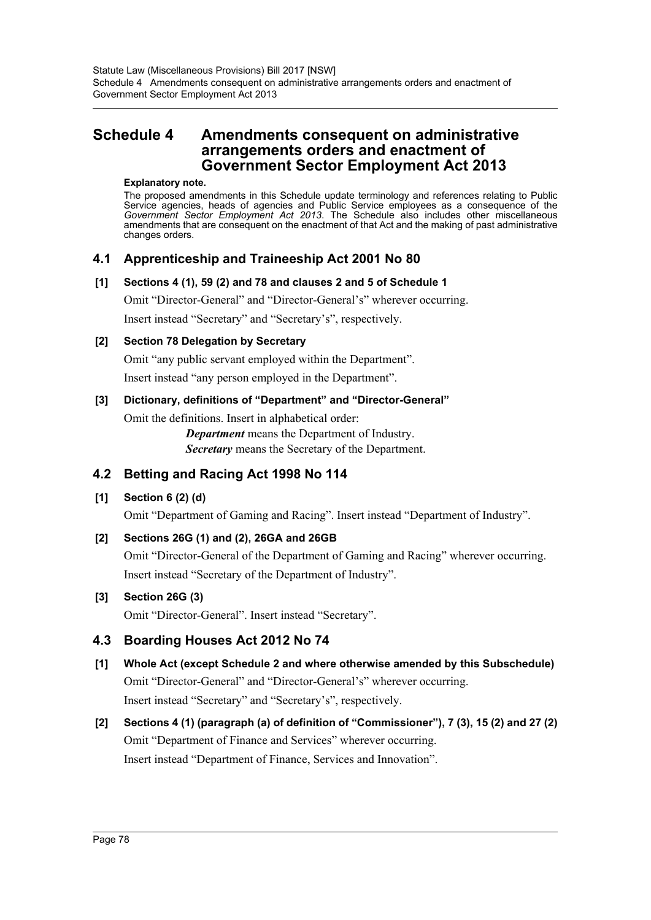# **Schedule 4 Amendments consequent on administrative arrangements orders and enactment of Government Sector Employment Act 2013**

#### **Explanatory note.**

The proposed amendments in this Schedule update terminology and references relating to Public Service agencies, heads of agencies and Public Service employees as a consequence of the *Government Sector Employment Act 2013*. The Schedule also includes other miscellaneous amendments that are consequent on the enactment of that Act and the making of past administrative changes orders.

### **4.1 Apprenticeship and Traineeship Act 2001 No 80**

#### **[1] Sections 4 (1), 59 (2) and 78 and clauses 2 and 5 of Schedule 1**

Omit "Director-General" and "Director-General's" wherever occurring.

Insert instead "Secretary" and "Secretary's", respectively.

#### **[2] Section 78 Delegation by Secretary**

Omit "any public servant employed within the Department".

Insert instead "any person employed in the Department".

#### **[3] Dictionary, definitions of "Department" and "Director-General"**

Omit the definitions. Insert in alphabetical order:

*Department* means the Department of Industry. *Secretary* means the Secretary of the Department.

# **4.2 Betting and Racing Act 1998 No 114**

#### **[1] Section 6 (2) (d)**

Omit "Department of Gaming and Racing". Insert instead "Department of Industry".

#### **[2] Sections 26G (1) and (2), 26GA and 26GB**

Omit "Director-General of the Department of Gaming and Racing" wherever occurring. Insert instead "Secretary of the Department of Industry".

#### **[3] Section 26G (3)**

Omit "Director-General". Insert instead "Secretary".

### **4.3 Boarding Houses Act 2012 No 74**

- **[1] Whole Act (except Schedule 2 and where otherwise amended by this Subschedule)** Omit "Director-General" and "Director-General's" wherever occurring. Insert instead "Secretary" and "Secretary's", respectively.
- **[2] Sections 4 (1) (paragraph (a) of definition of "Commissioner"), 7 (3), 15 (2) and 27 (2)** Omit "Department of Finance and Services" wherever occurring. Insert instead "Department of Finance, Services and Innovation".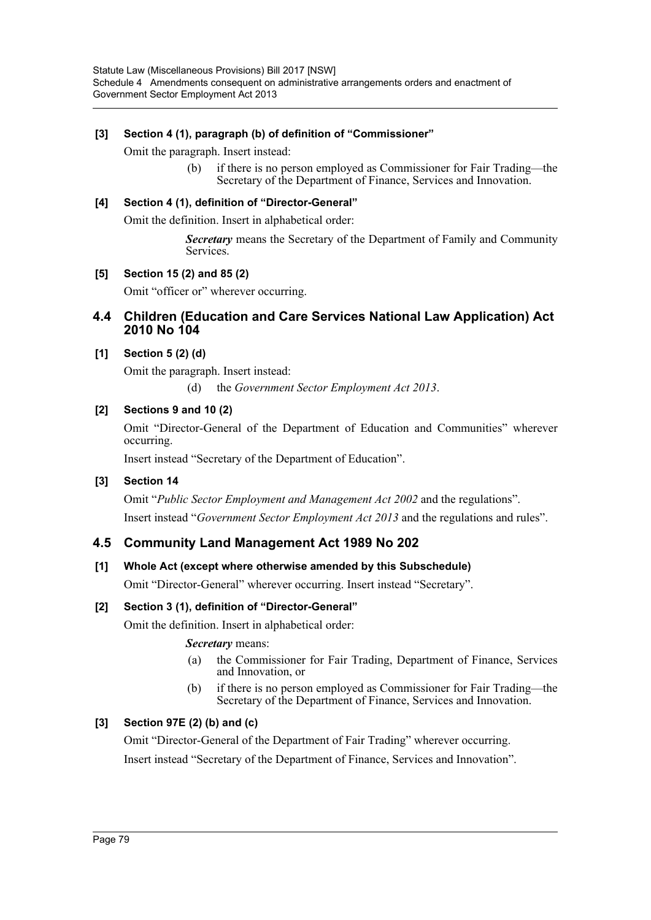#### **[3] Section 4 (1), paragraph (b) of definition of "Commissioner"**

Omit the paragraph. Insert instead:

(b) if there is no person employed as Commissioner for Fair Trading—the Secretary of the Department of Finance, Services and Innovation.

#### **[4] Section 4 (1), definition of "Director-General"**

Omit the definition. Insert in alphabetical order:

*Secretary* means the Secretary of the Department of Family and Community Services.

#### **[5] Section 15 (2) and 85 (2)**

Omit "officer or" wherever occurring.

#### **4.4 Children (Education and Care Services National Law Application) Act 2010 No 104**

#### **[1] Section 5 (2) (d)**

Omit the paragraph. Insert instead:

(d) the *Government Sector Employment Act 2013*.

#### **[2] Sections 9 and 10 (2)**

Omit "Director-General of the Department of Education and Communities" wherever occurring.

Insert instead "Secretary of the Department of Education".

#### **[3] Section 14**

Omit "*Public Sector Employment and Management Act 2002* and the regulations". Insert instead "*Government Sector Employment Act 2013* and the regulations and rules".

#### **4.5 Community Land Management Act 1989 No 202**

#### **[1] Whole Act (except where otherwise amended by this Subschedule)**

Omit "Director-General" wherever occurring. Insert instead "Secretary".

#### **[2] Section 3 (1), definition of "Director-General"**

Omit the definition. Insert in alphabetical order:

#### *Secretary* means:

- (a) the Commissioner for Fair Trading, Department of Finance, Services and Innovation, or
- (b) if there is no person employed as Commissioner for Fair Trading—the Secretary of the Department of Finance, Services and Innovation.

#### **[3] Section 97E (2) (b) and (c)**

Omit "Director-General of the Department of Fair Trading" wherever occurring. Insert instead "Secretary of the Department of Finance, Services and Innovation".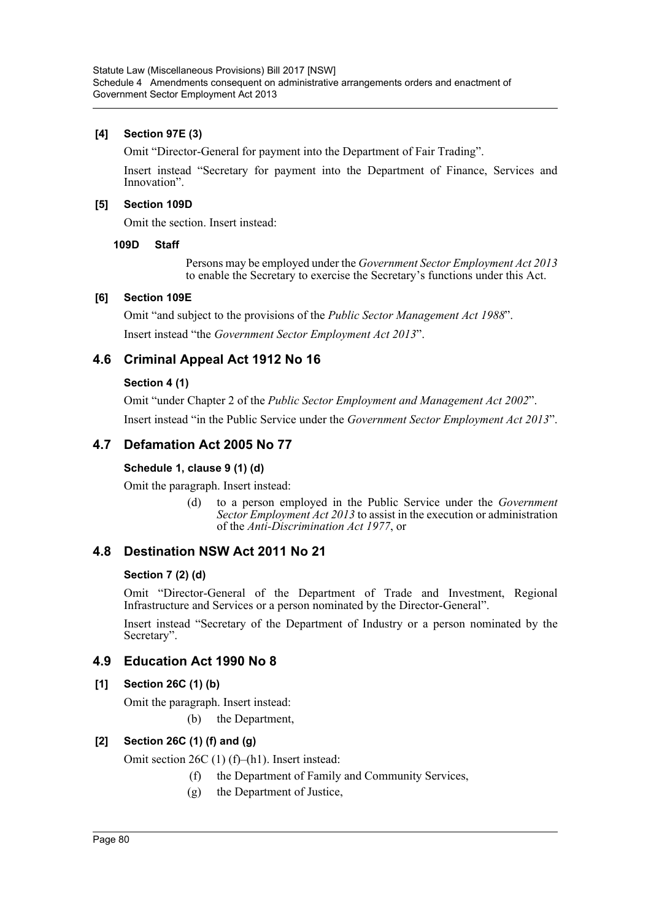#### **[4] Section 97E (3)**

Omit "Director-General for payment into the Department of Fair Trading".

Insert instead "Secretary for payment into the Department of Finance, Services and Innovation".

#### **[5] Section 109D**

Omit the section. Insert instead:

#### **109D Staff**

Persons may be employed under the *Government Sector Employment Act 2013* to enable the Secretary to exercise the Secretary's functions under this Act.

#### **[6] Section 109E**

Omit "and subject to the provisions of the *Public Sector Management Act 1988*". Insert instead "the *Government Sector Employment Act 2013*".

# **4.6 Criminal Appeal Act 1912 No 16**

#### **Section 4 (1)**

Omit "under Chapter 2 of the *Public Sector Employment and Management Act 2002*". Insert instead "in the Public Service under the *Government Sector Employment Act 2013*".

# **4.7 Defamation Act 2005 No 77**

#### **Schedule 1, clause 9 (1) (d)**

Omit the paragraph. Insert instead:

(d) to a person employed in the Public Service under the *Government Sector Employment Act 2013* to assist in the execution or administration of the *Anti-Discrimination Act 1977*, or

### **4.8 Destination NSW Act 2011 No 21**

#### **Section 7 (2) (d)**

Omit "Director-General of the Department of Trade and Investment, Regional Infrastructure and Services or a person nominated by the Director-General".

Insert instead "Secretary of the Department of Industry or a person nominated by the Secretary".

#### **4.9 Education Act 1990 No 8**

#### **[1] Section 26C (1) (b)**

Omit the paragraph. Insert instead:

(b) the Department,

#### **[2] Section 26C (1) (f) and (g)**

Omit section 26C (1) (f)–(h1). Insert instead:

- (f) the Department of Family and Community Services,
- (g) the Department of Justice,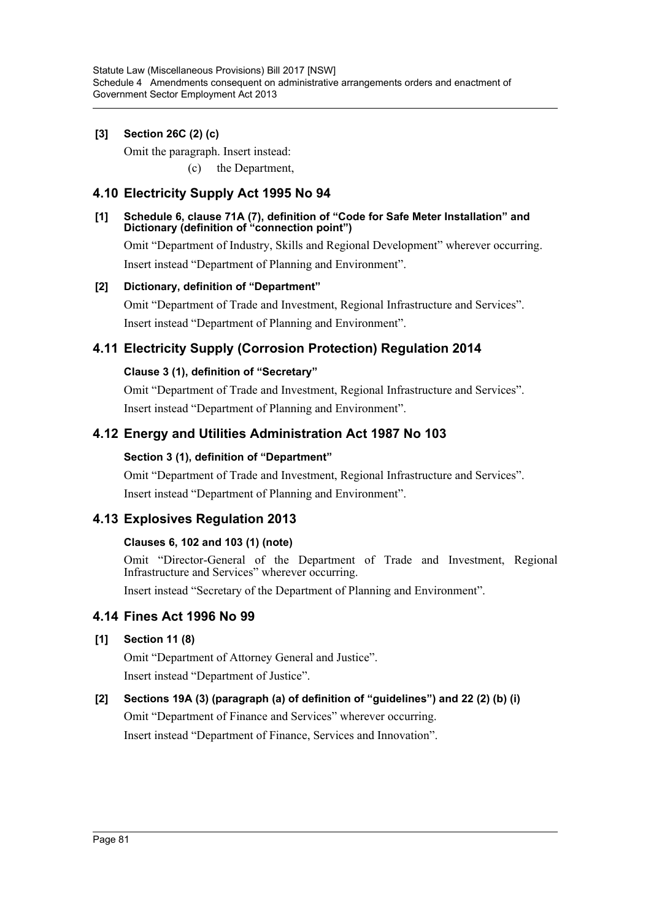### **[3] Section 26C (2) (c)**

Omit the paragraph. Insert instead: (c) the Department,

# **4.10 Electricity Supply Act 1995 No 94**

#### **[1] Schedule 6, clause 71A (7), definition of "Code for Safe Meter Installation" and Dictionary (definition of "connection point")**

Omit "Department of Industry, Skills and Regional Development" wherever occurring. Insert instead "Department of Planning and Environment".

#### **[2] Dictionary, definition of "Department"**

Omit "Department of Trade and Investment, Regional Infrastructure and Services". Insert instead "Department of Planning and Environment".

# **4.11 Electricity Supply (Corrosion Protection) Regulation 2014**

### **Clause 3 (1), definition of "Secretary"**

Omit "Department of Trade and Investment, Regional Infrastructure and Services". Insert instead "Department of Planning and Environment".

# **4.12 Energy and Utilities Administration Act 1987 No 103**

#### **Section 3 (1), definition of "Department"**

Omit "Department of Trade and Investment, Regional Infrastructure and Services". Insert instead "Department of Planning and Environment".

### **4.13 Explosives Regulation 2013**

#### **Clauses 6, 102 and 103 (1) (note)**

Omit "Director-General of the Department of Trade and Investment, Regional Infrastructure and Services" wherever occurring.

Insert instead "Secretary of the Department of Planning and Environment".

#### **4.14 Fines Act 1996 No 99**

#### **[1] Section 11 (8)**

Omit "Department of Attorney General and Justice". Insert instead "Department of Justice".

#### **[2] Sections 19A (3) (paragraph (a) of definition of "guidelines") and 22 (2) (b) (i)**

Omit "Department of Finance and Services" wherever occurring. Insert instead "Department of Finance, Services and Innovation".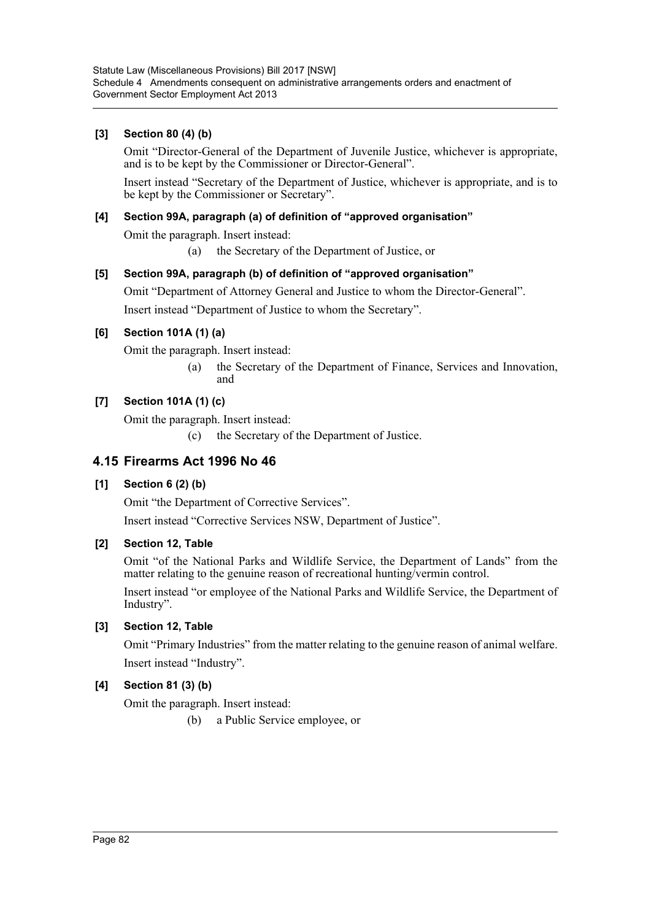#### **[3] Section 80 (4) (b)**

Omit "Director-General of the Department of Juvenile Justice, whichever is appropriate, and is to be kept by the Commissioner or Director-General".

Insert instead "Secretary of the Department of Justice, whichever is appropriate, and is to be kept by the Commissioner or Secretary".

#### **[4] Section 99A, paragraph (a) of definition of "approved organisation"**

Omit the paragraph. Insert instead:

(a) the Secretary of the Department of Justice, or

#### **[5] Section 99A, paragraph (b) of definition of "approved organisation"**

Omit "Department of Attorney General and Justice to whom the Director-General".

Insert instead "Department of Justice to whom the Secretary".

#### **[6] Section 101A (1) (a)**

Omit the paragraph. Insert instead:

(a) the Secretary of the Department of Finance, Services and Innovation, and

#### **[7] Section 101A (1) (c)**

Omit the paragraph. Insert instead:

(c) the Secretary of the Department of Justice.

### **4.15 Firearms Act 1996 No 46**

#### **[1] Section 6 (2) (b)**

Omit "the Department of Corrective Services".

Insert instead "Corrective Services NSW, Department of Justice".

#### **[2] Section 12, Table**

Omit "of the National Parks and Wildlife Service, the Department of Lands" from the matter relating to the genuine reason of recreational hunting/vermin control.

Insert instead "or employee of the National Parks and Wildlife Service, the Department of Industry".

#### **[3] Section 12, Table**

Omit "Primary Industries" from the matter relating to the genuine reason of animal welfare. Insert instead "Industry".

#### **[4] Section 81 (3) (b)**

Omit the paragraph. Insert instead:

(b) a Public Service employee, or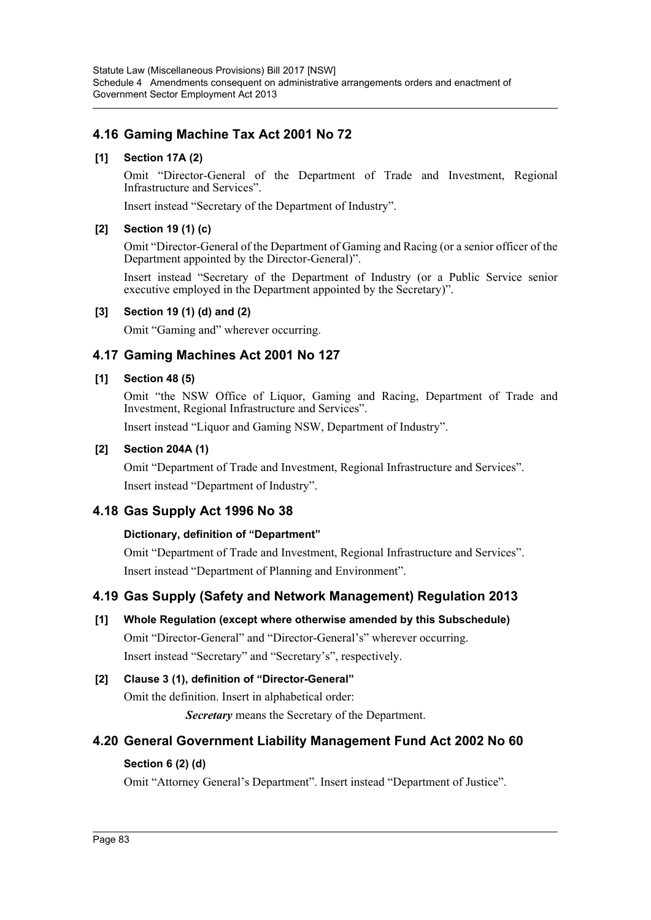# **4.16 Gaming Machine Tax Act 2001 No 72**

### **[1] Section 17A (2)**

Omit "Director-General of the Department of Trade and Investment, Regional Infrastructure and Services".

Insert instead "Secretary of the Department of Industry".

#### **[2] Section 19 (1) (c)**

Omit "Director-General of the Department of Gaming and Racing (or a senior officer of the Department appointed by the Director-General)".

Insert instead "Secretary of the Department of Industry (or a Public Service senior executive employed in the Department appointed by the Secretary)".

#### **[3] Section 19 (1) (d) and (2)**

Omit "Gaming and" wherever occurring.

# **4.17 Gaming Machines Act 2001 No 127**

#### **[1] Section 48 (5)**

Omit "the NSW Office of Liquor, Gaming and Racing, Department of Trade and Investment, Regional Infrastructure and Services".

Insert instead "Liquor and Gaming NSW, Department of Industry".

#### **[2] Section 204A (1)**

Omit "Department of Trade and Investment, Regional Infrastructure and Services". Insert instead "Department of Industry".

# **4.18 Gas Supply Act 1996 No 38**

#### **Dictionary, definition of "Department"**

Omit "Department of Trade and Investment, Regional Infrastructure and Services". Insert instead "Department of Planning and Environment".

### **4.19 Gas Supply (Safety and Network Management) Regulation 2013**

**[1] Whole Regulation (except where otherwise amended by this Subschedule)** Omit "Director-General" and "Director-General's" wherever occurring. Insert instead "Secretary" and "Secretary's", respectively.

# **[2] Clause 3 (1), definition of "Director-General"**

Omit the definition. Insert in alphabetical order:

*Secretary* means the Secretary of the Department.

# **4.20 General Government Liability Management Fund Act 2002 No 60**

### **Section 6 (2) (d)**

Omit "Attorney General's Department". Insert instead "Department of Justice".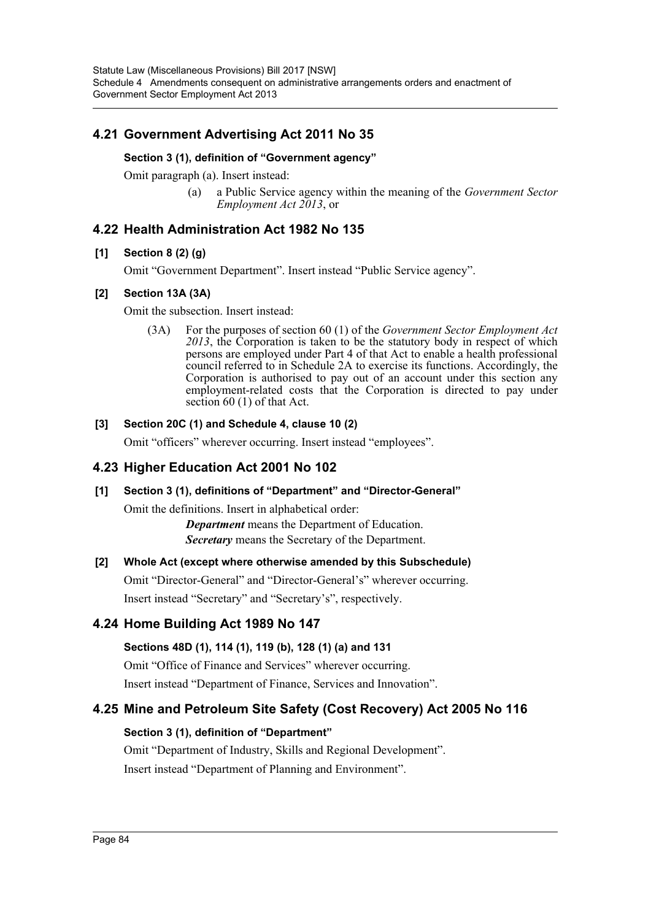# **4.21 Government Advertising Act 2011 No 35**

#### **Section 3 (1), definition of "Government agency"**

Omit paragraph (a). Insert instead:

(a) a Public Service agency within the meaning of the *Government Sector Employment Act 2013*, or

### **4.22 Health Administration Act 1982 No 135**

#### **[1] Section 8 (2) (g)**

Omit "Government Department". Insert instead "Public Service agency".

#### **[2] Section 13A (3A)**

Omit the subsection. Insert instead:

(3A) For the purposes of section 60 (1) of the *Government Sector Employment Act 2013*, the Corporation is taken to be the statutory body in respect of which persons are employed under Part 4 of that Act to enable a health professional council referred to in Schedule 2A to exercise its functions. Accordingly, the Corporation is authorised to pay out of an account under this section any employment-related costs that the Corporation is directed to pay under section 60 (1) of that Act.

#### **[3] Section 20C (1) and Schedule 4, clause 10 (2)**

Omit "officers" wherever occurring. Insert instead "employees".

### **4.23 Higher Education Act 2001 No 102**

#### **[1] Section 3 (1), definitions of "Department" and "Director-General"**

Omit the definitions. Insert in alphabetical order:

*Department* means the Department of Education. *Secretary* means the Secretary of the Department.

#### **[2] Whole Act (except where otherwise amended by this Subschedule)**

Omit "Director-General" and "Director-General's" wherever occurring. Insert instead "Secretary" and "Secretary's", respectively.

### **4.24 Home Building Act 1989 No 147**

#### **Sections 48D (1), 114 (1), 119 (b), 128 (1) (a) and 131**

Omit "Office of Finance and Services" wherever occurring.

Insert instead "Department of Finance, Services and Innovation".

### **4.25 Mine and Petroleum Site Safety (Cost Recovery) Act 2005 No 116**

#### **Section 3 (1), definition of "Department"**

Omit "Department of Industry, Skills and Regional Development". Insert instead "Department of Planning and Environment".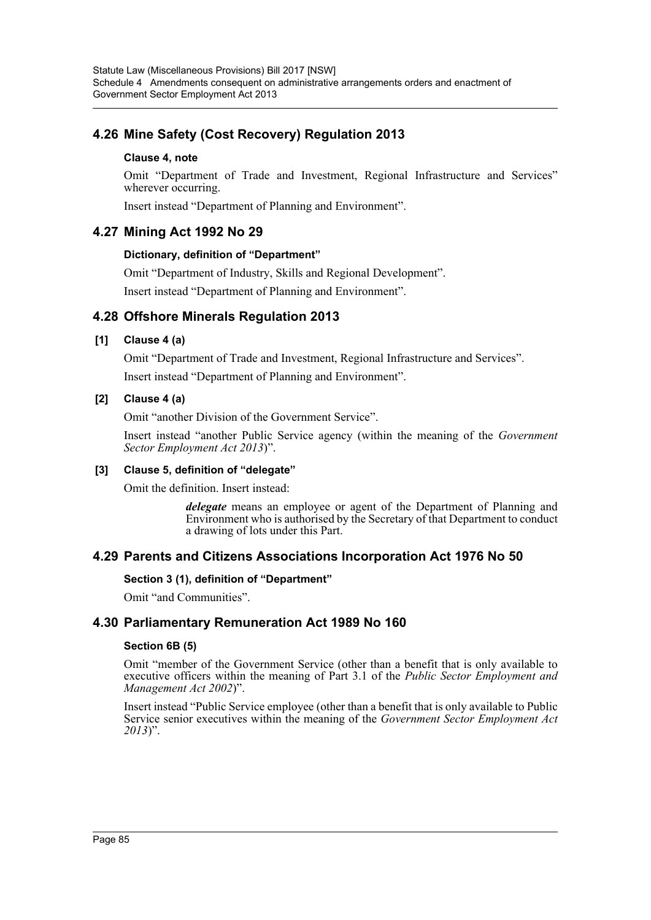# **4.26 Mine Safety (Cost Recovery) Regulation 2013**

#### **Clause 4, note**

Omit "Department of Trade and Investment, Regional Infrastructure and Services" wherever occurring.

Insert instead "Department of Planning and Environment".

### **4.27 Mining Act 1992 No 29**

#### **Dictionary, definition of "Department"**

Omit "Department of Industry, Skills and Regional Development".

Insert instead "Department of Planning and Environment".

### **4.28 Offshore Minerals Regulation 2013**

#### **[1] Clause 4 (a)**

Omit "Department of Trade and Investment, Regional Infrastructure and Services". Insert instead "Department of Planning and Environment".

#### **[2] Clause 4 (a)**

Omit "another Division of the Government Service".

Insert instead "another Public Service agency (within the meaning of the *Government Sector Employment Act 2013*)".

#### **[3] Clause 5, definition of "delegate"**

Omit the definition. Insert instead:

*delegate* means an employee or agent of the Department of Planning and Environment who is authorised by the Secretary of that Department to conduct a drawing of lots under this Part.

#### **4.29 Parents and Citizens Associations Incorporation Act 1976 No 50**

#### **Section 3 (1), definition of "Department"**

Omit "and Communities".

### **4.30 Parliamentary Remuneration Act 1989 No 160**

#### **Section 6B (5)**

Omit "member of the Government Service (other than a benefit that is only available to executive officers within the meaning of Part 3.1 of the *Public Sector Employment and Management Act 2002*)".

Insert instead "Public Service employee (other than a benefit that is only available to Public Service senior executives within the meaning of the *Government Sector Employment Act 2013*)".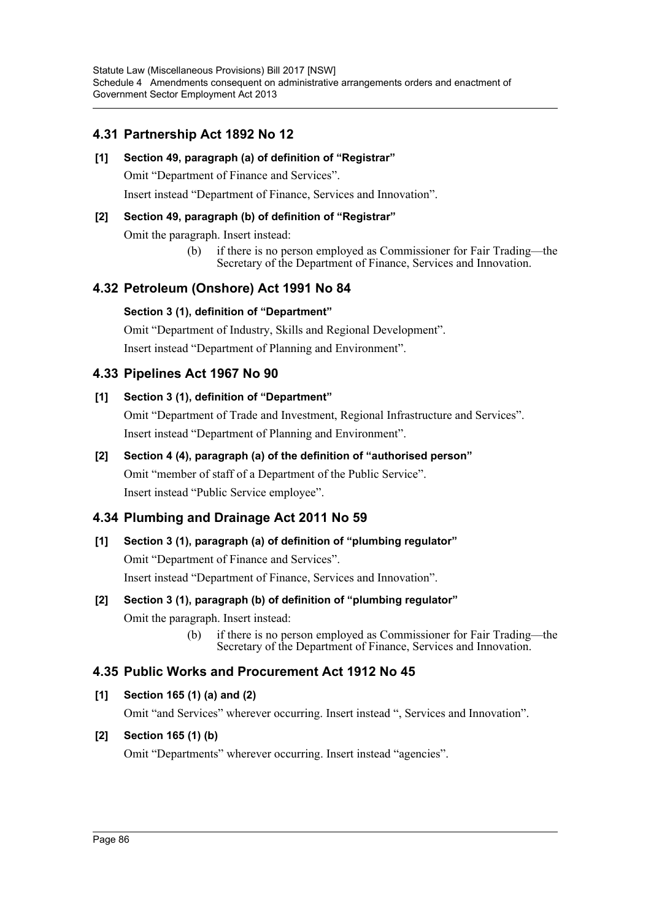# **4.31 Partnership Act 1892 No 12**

#### **[1] Section 49, paragraph (a) of definition of "Registrar"**

Omit "Department of Finance and Services".

Insert instead "Department of Finance, Services and Innovation".

#### **[2] Section 49, paragraph (b) of definition of "Registrar"**

Omit the paragraph. Insert instead:

(b) if there is no person employed as Commissioner for Fair Trading—the Secretary of the Department of Finance, Services and Innovation.

# **4.32 Petroleum (Onshore) Act 1991 No 84**

#### **Section 3 (1), definition of "Department"**

Omit "Department of Industry, Skills and Regional Development". Insert instead "Department of Planning and Environment".

# **4.33 Pipelines Act 1967 No 90**

### **[1] Section 3 (1), definition of "Department"**

Omit "Department of Trade and Investment, Regional Infrastructure and Services". Insert instead "Department of Planning and Environment".

### **[2] Section 4 (4), paragraph (a) of the definition of "authorised person"**

Omit "member of staff of a Department of the Public Service". Insert instead "Public Service employee".

### **4.34 Plumbing and Drainage Act 2011 No 59**

#### **[1] Section 3 (1), paragraph (a) of definition of "plumbing regulator"**

Omit "Department of Finance and Services".

Insert instead "Department of Finance, Services and Innovation".

#### **[2] Section 3 (1), paragraph (b) of definition of "plumbing regulator"**

Omit the paragraph. Insert instead:

(b) if there is no person employed as Commissioner for Fair Trading—the Secretary of the Department of Finance, Services and Innovation.

### **4.35 Public Works and Procurement Act 1912 No 45**

#### **[1] Section 165 (1) (a) and (2)**

Omit "and Services" wherever occurring. Insert instead ", Services and Innovation".

#### **[2] Section 165 (1) (b)**

Omit "Departments" wherever occurring. Insert instead "agencies".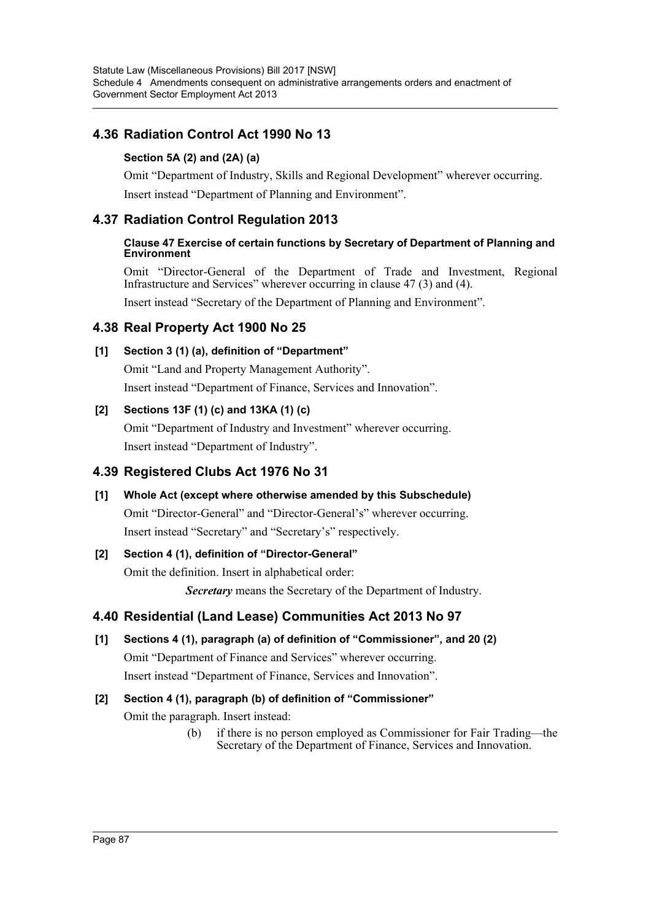# **4.36 Radiation Control Act 1990 No 13**

### **Section 5A (2) and (2A) (a)**

Omit "Department of Industry, Skills and Regional Development" wherever occurring. Insert instead "Department of Planning and Environment".

# **4.37 Radiation Control Regulation 2013**

#### **Clause 47 Exercise of certain functions by Secretary of Department of Planning and Environment**

Omit "Director-General of the Department of Trade and Investment, Regional Infrastructure and Services" wherever occurring in clause 47 (3) and (4).

Insert instead "Secretary of the Department of Planning and Environment".

# **4.38 Real Property Act 1900 No 25**

### **[1] Section 3 (1) (a), definition of "Department"**

Omit "Land and Property Management Authority".

Insert instead "Department of Finance, Services and Innovation".

### **[2] Sections 13F (1) (c) and 13KA (1) (c)**

Omit "Department of Industry and Investment" wherever occurring. Insert instead "Department of Industry".

# **4.39 Registered Clubs Act 1976 No 31**

# **[1] Whole Act (except where otherwise amended by this Subschedule)**

Omit "Director-General" and "Director-General's" wherever occurring. Insert instead "Secretary" and "Secretary's" respectively.

### **[2] Section 4 (1), definition of "Director-General"**

Omit the definition. Insert in alphabetical order:

*Secretary* means the Secretary of the Department of Industry.

# **4.40 Residential (Land Lease) Communities Act 2013 No 97**

# **[1] Sections 4 (1), paragraph (a) of definition of "Commissioner", and 20 (2)**

Omit "Department of Finance and Services" wherever occurring. Insert instead "Department of Finance, Services and Innovation".

# **[2] Section 4 (1), paragraph (b) of definition of "Commissioner"**

Omit the paragraph. Insert instead:

(b) if there is no person employed as Commissioner for Fair Trading—the Secretary of the Department of Finance, Services and Innovation.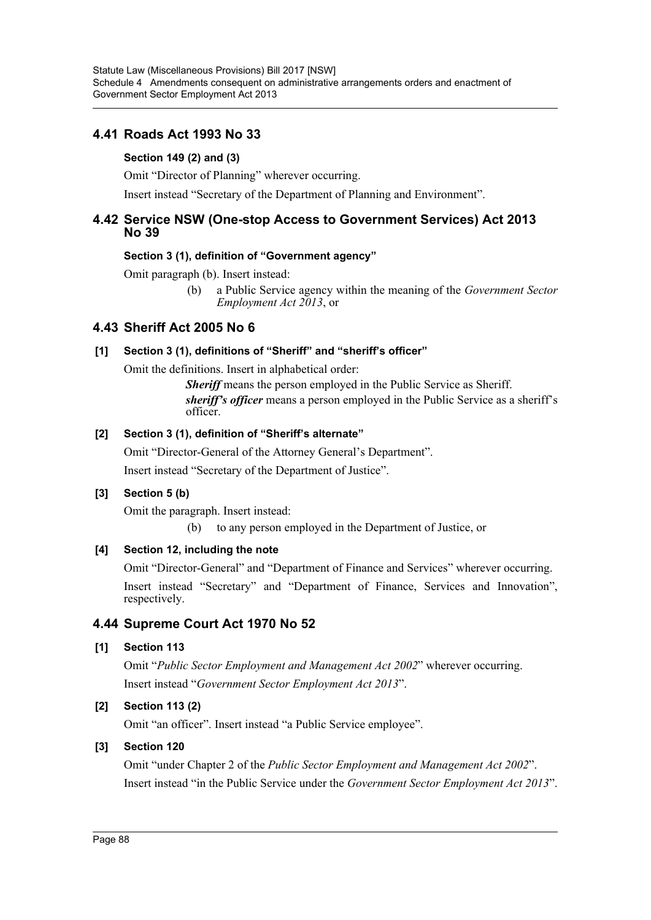# **4.41 Roads Act 1993 No 33**

#### **Section 149 (2) and (3)**

Omit "Director of Planning" wherever occurring.

Insert instead "Secretary of the Department of Planning and Environment".

### **4.42 Service NSW (One-stop Access to Government Services) Act 2013 No 39**

#### **Section 3 (1), definition of "Government agency"**

Omit paragraph (b). Insert instead:

(b) a Public Service agency within the meaning of the *Government Sector Employment Act 2013*, or

# **4.43 Sheriff Act 2005 No 6**

#### **[1] Section 3 (1), definitions of "Sheriff" and "sheriff's officer"**

Omit the definitions. Insert in alphabetical order:

*Sheriff* means the person employed in the Public Service as Sheriff. *sheriff's officer* means a person employed in the Public Service as a sheriff's officer.

#### **[2] Section 3 (1), definition of "Sheriff's alternate"**

Omit "Director-General of the Attorney General's Department". Insert instead "Secretary of the Department of Justice".

#### **[3] Section 5 (b)**

Omit the paragraph. Insert instead:

(b) to any person employed in the Department of Justice, or

#### **[4] Section 12, including the note**

Omit "Director-General" and "Department of Finance and Services" wherever occurring.

Insert instead "Secretary" and "Department of Finance, Services and Innovation", respectively.

### **4.44 Supreme Court Act 1970 No 52**

#### **[1] Section 113**

Omit "*Public Sector Employment and Management Act 2002*" wherever occurring. Insert instead "*Government Sector Employment Act 2013*".

#### **[2] Section 113 (2)**

Omit "an officer". Insert instead "a Public Service employee".

#### **[3] Section 120**

Omit "under Chapter 2 of the *Public Sector Employment and Management Act 2002*". Insert instead "in the Public Service under the *Government Sector Employment Act 2013*".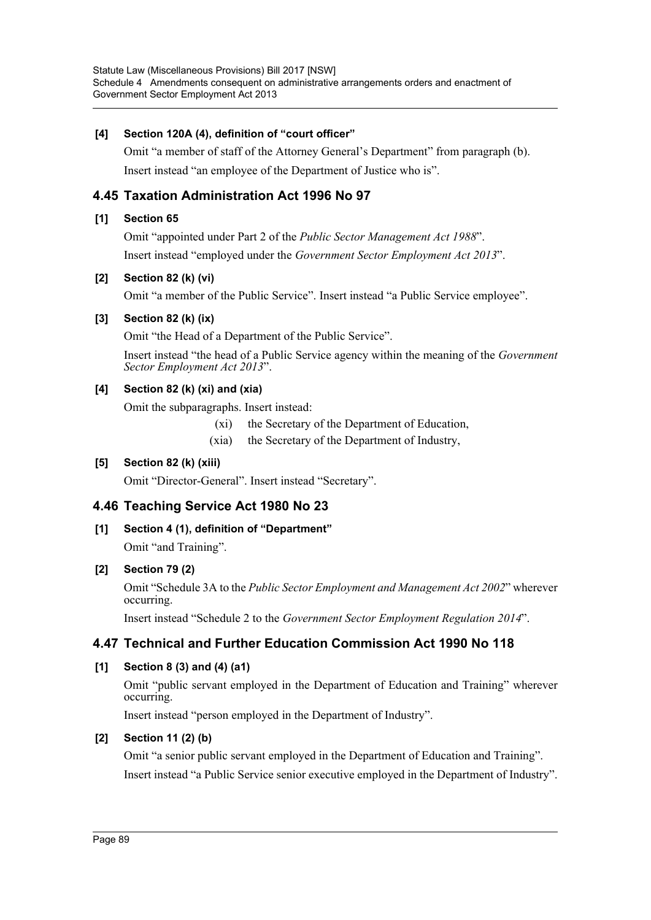#### **[4] Section 120A (4), definition of "court officer"**

Omit "a member of staff of the Attorney General's Department" from paragraph (b). Insert instead "an employee of the Department of Justice who is".

# **4.45 Taxation Administration Act 1996 No 97**

#### **[1] Section 65**

Omit "appointed under Part 2 of the *Public Sector Management Act 1988*". Insert instead "employed under the *Government Sector Employment Act 2013*".

#### **[2] Section 82 (k) (vi)**

Omit "a member of the Public Service". Insert instead "a Public Service employee".

#### **[3] Section 82 (k) (ix)**

Omit "the Head of a Department of the Public Service".

Insert instead "the head of a Public Service agency within the meaning of the *Government Sector Employment Act 2013*".

#### **[4] Section 82 (k) (xi) and (xia)**

Omit the subparagraphs. Insert instead:

- (xi) the Secretary of the Department of Education,
- (xia) the Secretary of the Department of Industry,

#### **[5] Section 82 (k) (xiii)**

Omit "Director-General". Insert instead "Secretary".

### **4.46 Teaching Service Act 1980 No 23**

**[1] Section 4 (1), definition of "Department"** Omit "and Training".

#### **[2] Section 79 (2)**

Omit "Schedule 3A to the *Public Sector Employment and Management Act 2002*" wherever occurring.

Insert instead "Schedule 2 to the *Government Sector Employment Regulation 2014*".

### **4.47 Technical and Further Education Commission Act 1990 No 118**

#### **[1] Section 8 (3) and (4) (a1)**

Omit "public servant employed in the Department of Education and Training" wherever occurring.

Insert instead "person employed in the Department of Industry".

#### **[2] Section 11 (2) (b)**

Omit "a senior public servant employed in the Department of Education and Training". Insert instead "a Public Service senior executive employed in the Department of Industry".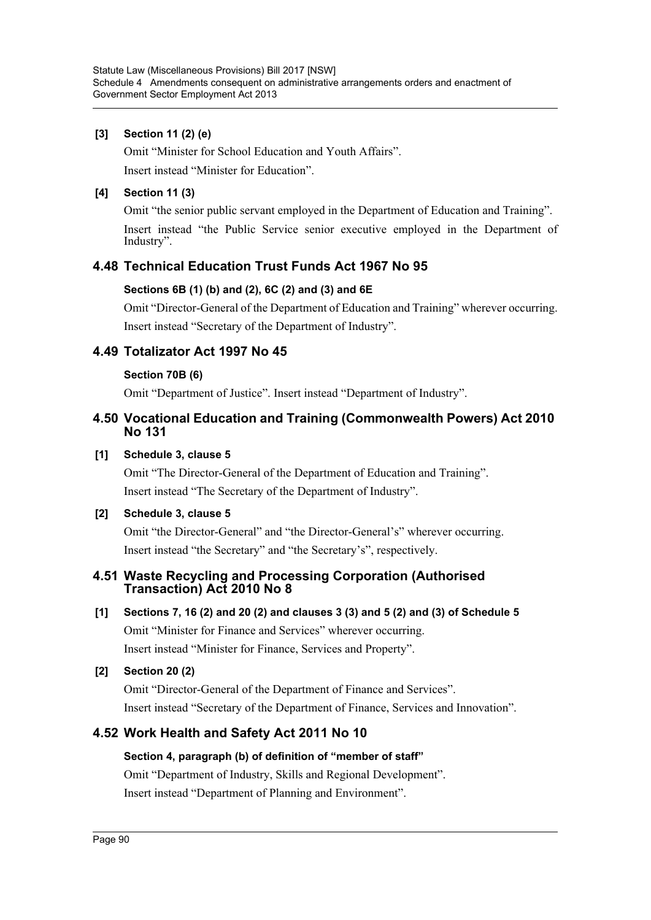#### **[3] Section 11 (2) (e)**

Omit "Minister for School Education and Youth Affairs".

Insert instead "Minister for Education".

#### **[4] Section 11 (3)**

Omit "the senior public servant employed in the Department of Education and Training".

Insert instead "the Public Service senior executive employed in the Department of Industry".

# **4.48 Technical Education Trust Funds Act 1967 No 95**

### **Sections 6B (1) (b) and (2), 6C (2) and (3) and 6E**

Omit "Director-General of the Department of Education and Training" wherever occurring. Insert instead "Secretary of the Department of Industry".

# **4.49 Totalizator Act 1997 No 45**

#### **Section 70B (6)**

Omit "Department of Justice". Insert instead "Department of Industry".

# **4.50 Vocational Education and Training (Commonwealth Powers) Act 2010 No 131**

#### **[1] Schedule 3, clause 5**

Omit "The Director-General of the Department of Education and Training". Insert instead "The Secretary of the Department of Industry".

### **[2] Schedule 3, clause 5**

Omit "the Director-General" and "the Director-General's" wherever occurring. Insert instead "the Secretary" and "the Secretary's", respectively.

### **4.51 Waste Recycling and Processing Corporation (Authorised Transaction) Act 2010 No 8**

**[1] Sections 7, 16 (2) and 20 (2) and clauses 3 (3) and 5 (2) and (3) of Schedule 5**

Omit "Minister for Finance and Services" wherever occurring. Insert instead "Minister for Finance, Services and Property".

### **[2] Section 20 (2)**

Omit "Director-General of the Department of Finance and Services". Insert instead "Secretary of the Department of Finance, Services and Innovation".

# **4.52 Work Health and Safety Act 2011 No 10**

### **Section 4, paragraph (b) of definition of "member of staff"**

Omit "Department of Industry, Skills and Regional Development". Insert instead "Department of Planning and Environment".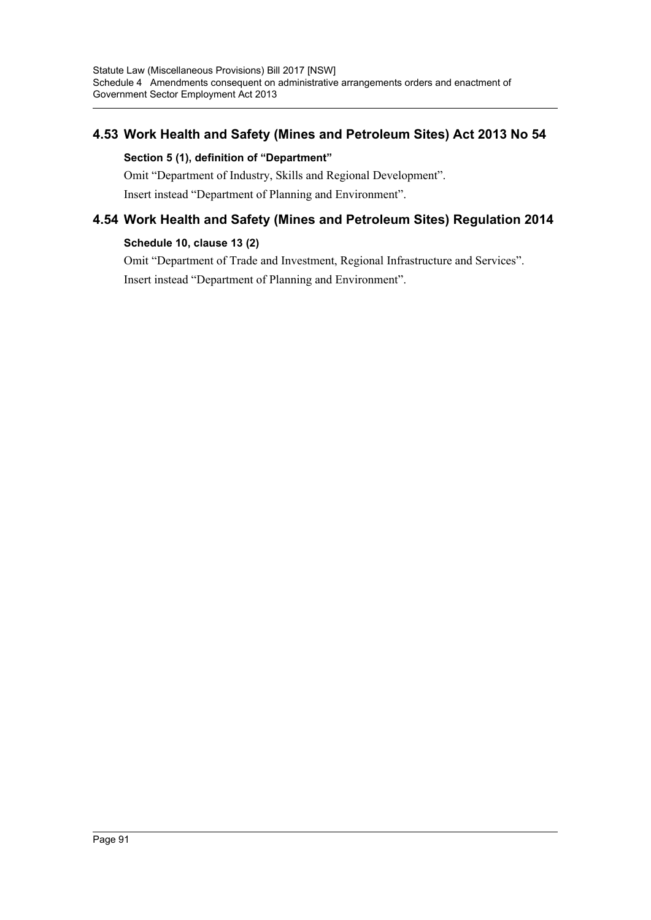# **4.53 Work Health and Safety (Mines and Petroleum Sites) Act 2013 No 54**

#### **Section 5 (1), definition of "Department"**

Omit "Department of Industry, Skills and Regional Development". Insert instead "Department of Planning and Environment".

# **4.54 Work Health and Safety (Mines and Petroleum Sites) Regulation 2014**

#### **Schedule 10, clause 13 (2)**

Omit "Department of Trade and Investment, Regional Infrastructure and Services". Insert instead "Department of Planning and Environment".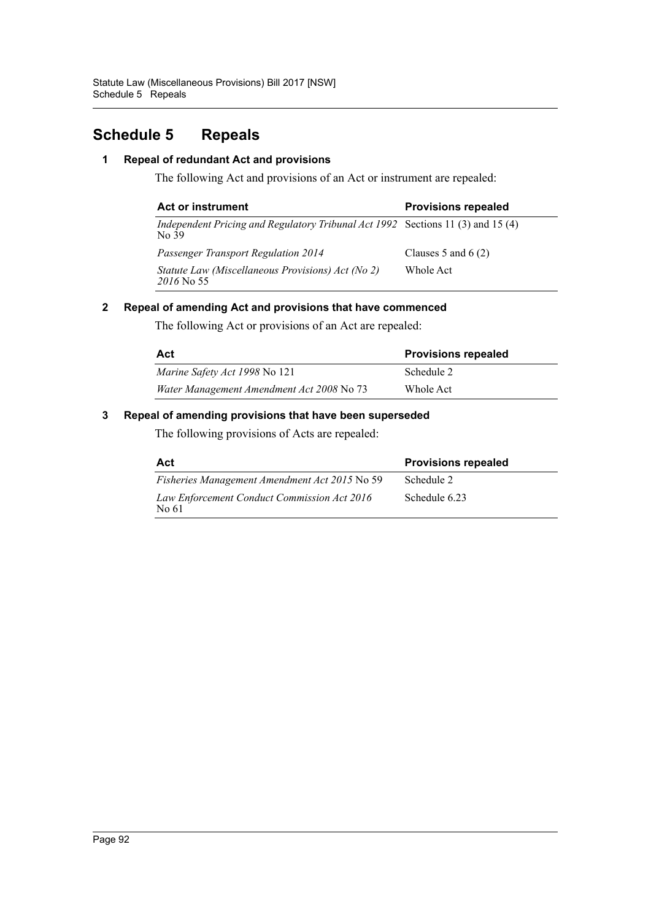# **Schedule 5 Repeals**

#### **1 Repeal of redundant Act and provisions**

The following Act and provisions of an Act or instrument are repealed:

| Act or instrument                                                                        | <b>Provisions repealed</b> |
|------------------------------------------------------------------------------------------|----------------------------|
| Independent Pricing and Regulatory Tribunal Act 1992 Sections 11 (3) and 15 (4)<br>No 39 |                            |
| <b>Passenger Transport Regulation 2014</b>                                               | Clauses 5 and $6(2)$       |
| Statute Law (Miscellaneous Provisions) Act (No 2)<br>2016 No. 55                         | Whole Act                  |

#### **2 Repeal of amending Act and provisions that have commenced**

The following Act or provisions of an Act are repealed:

| Act                                       | <b>Provisions repealed</b> |
|-------------------------------------------|----------------------------|
| Marine Safety Act 1998 No 121             | Schedule 2                 |
| Water Management Amendment Act 2008 No 73 | Whole Act                  |

### **3 Repeal of amending provisions that have been superseded**

The following provisions of Acts are repealed:

| Act                                                  | <b>Provisions repealed</b> |
|------------------------------------------------------|----------------------------|
| Fisheries Management Amendment Act 2015 No 59        | Schedule 2                 |
| Law Enforcement Conduct Commission Act 2016<br>No 61 | Schedule 6.23              |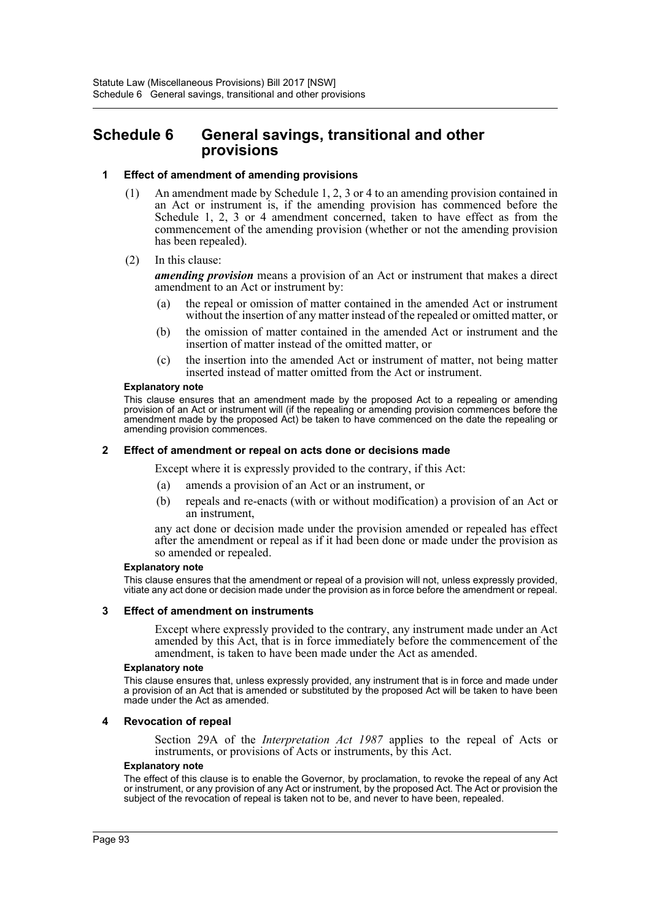# **Schedule 6 General savings, transitional and other provisions**

#### **1 Effect of amendment of amending provisions**

- (1) An amendment made by Schedule 1, 2, 3 or 4 to an amending provision contained in an Act or instrument is, if the amending provision has commenced before the Schedule 1, 2, 3 or 4 amendment concerned, taken to have effect as from the commencement of the amending provision (whether or not the amending provision has been repealed).
- (2) In this clause:

*amending provision* means a provision of an Act or instrument that makes a direct amendment to an Act or instrument by:

- (a) the repeal or omission of matter contained in the amended Act or instrument without the insertion of any matter instead of the repealed or omitted matter, or
- (b) the omission of matter contained in the amended Act or instrument and the insertion of matter instead of the omitted matter, or
- (c) the insertion into the amended Act or instrument of matter, not being matter inserted instead of matter omitted from the Act or instrument.

#### **Explanatory note**

This clause ensures that an amendment made by the proposed Act to a repealing or amending provision of an Act or instrument will (if the repealing or amending provision commences before the amendment made by the proposed Act) be taken to have commenced on the date the repealing or amending provision commences.

#### **2 Effect of amendment or repeal on acts done or decisions made**

Except where it is expressly provided to the contrary, if this Act:

- (a) amends a provision of an Act or an instrument, or
- (b) repeals and re-enacts (with or without modification) a provision of an Act or an instrument,

any act done or decision made under the provision amended or repealed has effect after the amendment or repeal as if it had been done or made under the provision as so amended or repealed.

#### **Explanatory note**

This clause ensures that the amendment or repeal of a provision will not, unless expressly provided, vitiate any act done or decision made under the provision as in force before the amendment or repeal.

#### **3 Effect of amendment on instruments**

Except where expressly provided to the contrary, any instrument made under an Act amended by this Act, that is in force immediately before the commencement of the amendment, is taken to have been made under the Act as amended.

#### **Explanatory note**

This clause ensures that, unless expressly provided, any instrument that is in force and made under a provision of an Act that is amended or substituted by the proposed Act will be taken to have been made under the Act as amended.

#### **4 Revocation of repeal**

Section 29A of the *Interpretation Act 1987* applies to the repeal of Acts or instruments, or provisions of Acts or instruments, by this Act.

#### **Explanatory note**

The effect of this clause is to enable the Governor, by proclamation, to revoke the repeal of any Act or instrument, or any provision of any Act or instrument, by the proposed Act. The Act or provision the subject of the revocation of repeal is taken not to be, and never to have been, repealed.